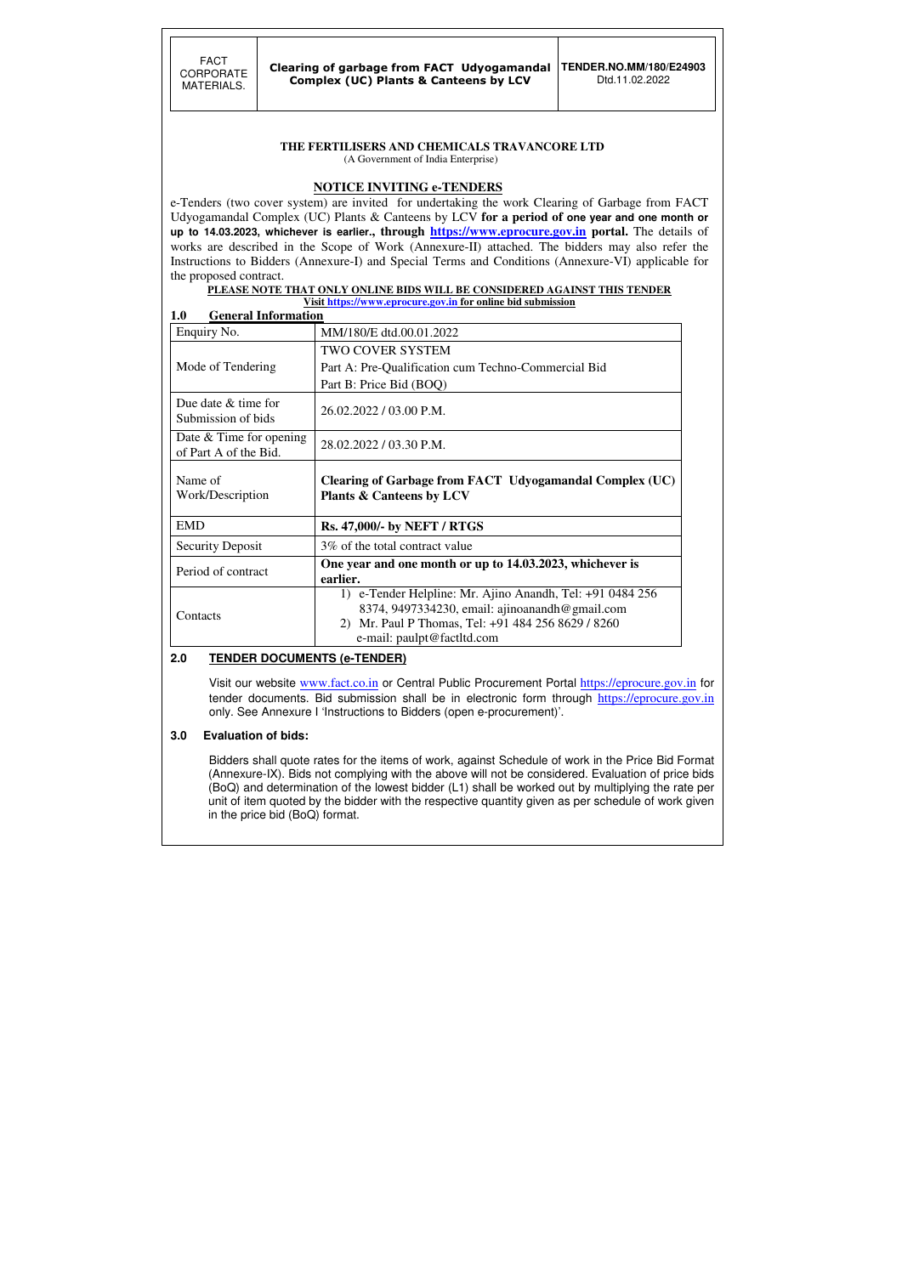## **THE FERTILISERS AND CHEMICALS TRAVANCORE LTD**

(A Government of India Enterprise)

### **NOTICE INVITING e-TENDERS**

e-Tenders (two cover system) are invited for undertaking the work Clearing of Garbage from FACT Udyogamandal Complex (UC) Plants & Canteens by LCV **for a period of one year and one month or up to 14.03.2023, whichever is earlier., through https://www.eprocure.gov.in portal.** The details of works are described in the Scope of Work (Annexure-II) attached. The bidders may also refer the Instructions to Bidders (Annexure-I) and Special Terms and Conditions (Annexure-VI) applicable for the proposed contract.

#### **PLEASE NOTE THAT ONLY ONLINE BIDS WILL BE CONSIDERED AGAINST THIS TENDER Visit https://www.eprocure.gov.in for online bid submission**

| <b>General Information</b><br>1.0                  | <u>VISIU HUPS.// W W W.CPI OCUI C.COV.III TOT UHIHIC DIU SUDHIISSIOII</u>                                                                                                                       |
|----------------------------------------------------|-------------------------------------------------------------------------------------------------------------------------------------------------------------------------------------------------|
| Enquiry No.                                        | MM/180/E dtd.00.01.2022                                                                                                                                                                         |
|                                                    | <b>TWO COVER SYSTEM</b>                                                                                                                                                                         |
| Mode of Tendering                                  | Part A: Pre-Qualification cum Techno-Commercial Bid                                                                                                                                             |
|                                                    | Part B: Price Bid (BOQ)                                                                                                                                                                         |
| Due date $&$ time for<br>Submission of bids        | 26.02.2022 / 03.00 P.M.                                                                                                                                                                         |
| Date $&$ Time for opening<br>of Part A of the Bid. | 28.02.2022 / 03.30 P.M.                                                                                                                                                                         |
| Name of<br>Work/Description                        | Clearing of Garbage from FACT Udyogamandal Complex (UC)<br><b>Plants &amp; Canteens by LCV</b>                                                                                                  |
| <b>EMD</b>                                         | <b>Rs. 47,000/- by NEFT / RTGS</b>                                                                                                                                                              |
| <b>Security Deposit</b>                            | 3\% of the total contract value                                                                                                                                                                 |
| Period of contract                                 | One year and one month or up to 14.03.2023, whichever is<br>earlier.                                                                                                                            |
| Contacts                                           | 1) e-Tender Helpline: Mr. Ajino Anandh, Tel: +91 0484 256<br>8374, 9497334230, email: ajinoanandh@gmail.com<br>2) Mr. Paul P Thomas, Tel: +91 484 256 8629 / 8260<br>e-mail: paulpt@factltd.com |

### **2.0 TENDER DOCUMENTS (e-TENDER)**

Visit our website www.fact.co.in or Central Public Procurement Portal https://eprocure.gov.in for tender documents. Bid submission shall be in electronic form through https://eprocure.gov.in only. See Annexure I 'Instructions to Bidders (open e-procurement)'.

### **3.0 Evaluation of bids:**

Bidders shall quote rates for the items of work, against Schedule of work in the Price Bid Format (Annexure-IX). Bids not complying with the above will not be considered. Evaluation of price bids (BoQ) and determination of the lowest bidder (L1) shall be worked out by multiplying the rate per unit of item quoted by the bidder with the respective quantity given as per schedule of work given in the price bid (BoQ) format.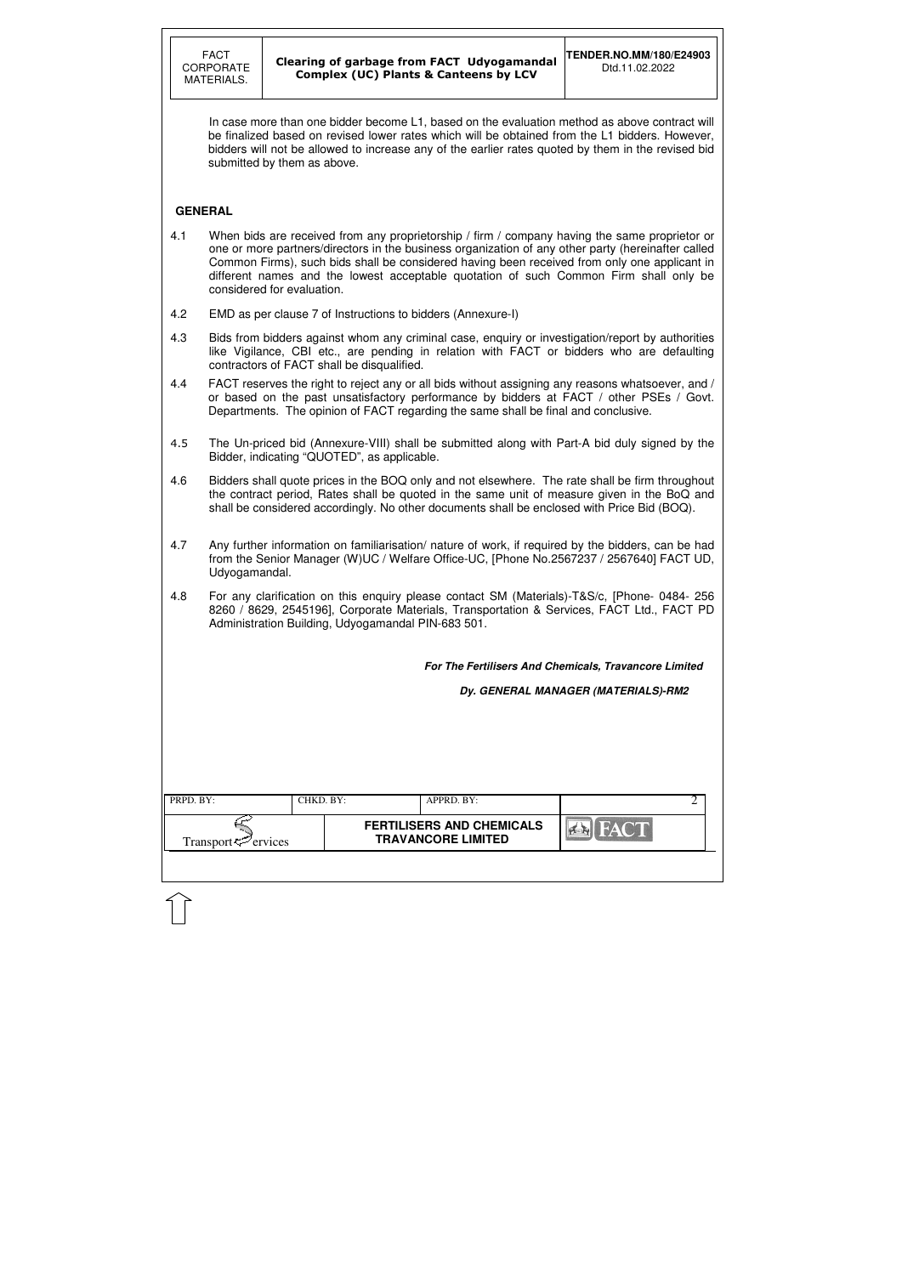| PRPD. BY:                      | CHKD. BY: |  | APPRD. BY:                                                    |       |  |
|--------------------------------|-----------|--|---------------------------------------------------------------|-------|--|
| Transport <sup>7</sup> ervices |           |  | <b>FERTILISERS AND CHEMICALS</b><br><b>TRAVANCORE LIMITED</b> | HACTE |  |
|                                |           |  |                                                               |       |  |

 In case more than one bidder become L1, based on the evaluation method as above contract will be finalized based on revised lower rates which will be obtained from the L1 bidders. However, bidders will not be allowed to increase any of the earlier rates quoted by them in the revised bid submitted by them as above.

### **GENERAL**

- 4.1 When bids are received from any proprietorship / firm / company having the same proprietor or one or more partners/directors in the business organization of any other party (hereinafter called Common Firms), such bids shall be considered having been received from only one applicant in different names and the lowest acceptable quotation of such Common Firm shall only be considered for evaluation.
- 4.2 EMD as per clause 7 of Instructions to bidders (Annexure-I)
- 4.3 Bids from bidders against whom any criminal case, enquiry or investigation/report by authorities like Vigilance, CBI etc., are pending in relation with FACT or bidders who are defaulting contractors of FACT shall be disqualified.
- 4.4 FACT reserves the right to reject any or all bids without assigning any reasons whatsoever, and / or based on the past unsatisfactory performance by bidders at FACT / other PSEs / Govt. Departments. The opinion of FACT regarding the same shall be final and conclusive.
- 4.5 The Un-priced bid (Annexure-VIII) shall be submitted along with Part-A bid duly signed by the Bidder, indicating "QUOTED", as applicable.
- 4.6 Bidders shall quote prices in the BOQ only and not elsewhere. The rate shall be firm throughout the contract period, Rates shall be quoted in the same unit of measure given in the BoQ and shall be considered accordingly. No other documents shall be enclosed with Price Bid (BOQ).
- 4.7 Any further information on familiarisation/ nature of work, if required by the bidders, can be had from the Senior Manager (W)UC / Welfare Office-UC, [Phone No.2567237 / 2567640] FACT UD, Udyogamandal.
- 4.8 For any clarification on this enquiry please contact SM (Materials)-T&S/c, [Phone- 0484- 256 8260 / 8629, 2545196], Corporate Materials, Transportation & Services, FACT Ltd., FACT PD Administration Building, Udyogamandal PIN-683 501.

**For The Fertilisers And Chemicals, Travancore Limited** 

**Dy. GENERAL MANAGER (MATERIALS)-RM2**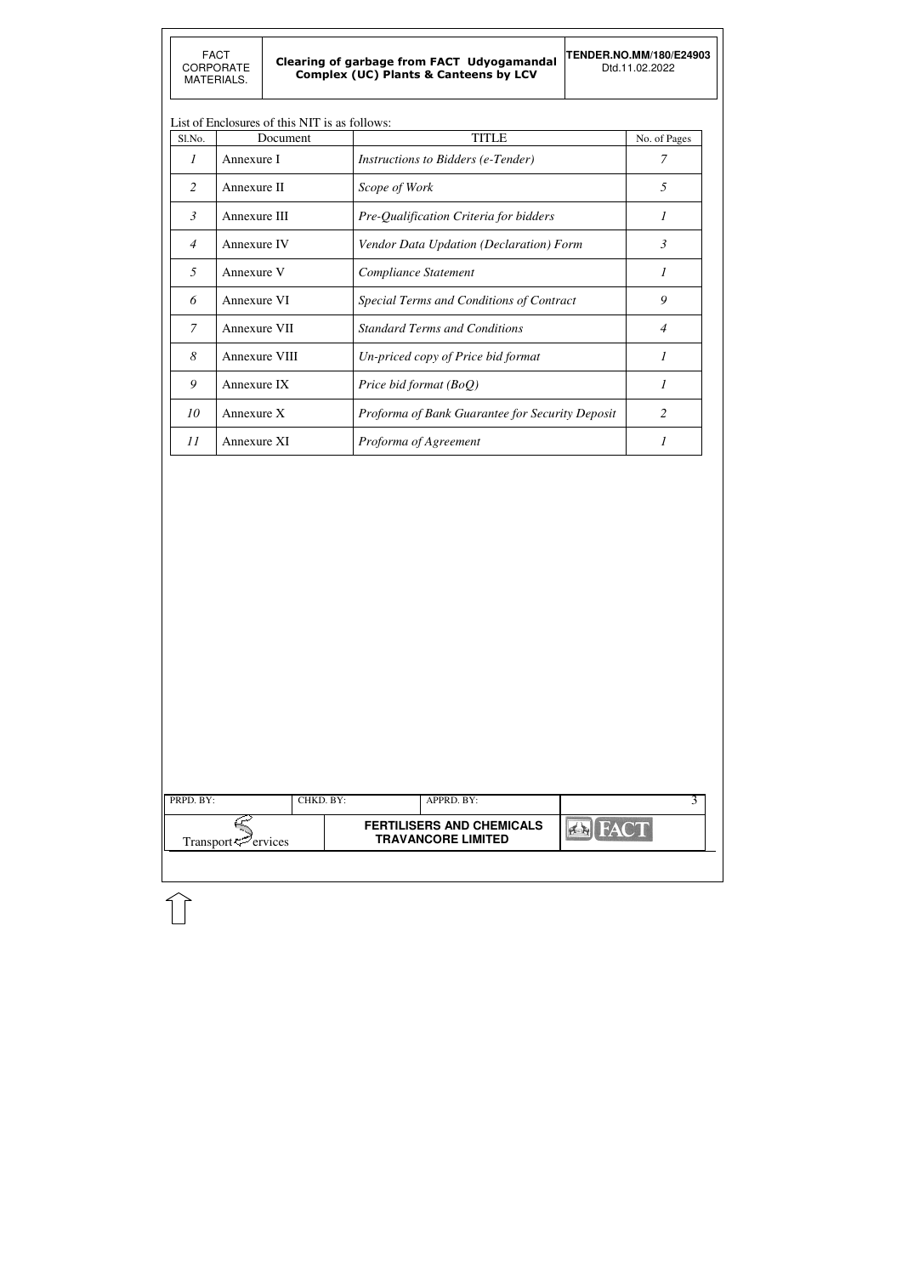| PRPD. BY:<br>Transport <sup>ry</sup> ervices | CHKD. BY: | APPRD. BY:<br><b>FERTILISERS AND CHEMICALS</b><br><b>TRAVANCORE LIMITED</b> |  | <b>FACT</b><br>$7 - 12$ | 3 |
|----------------------------------------------|-----------|-----------------------------------------------------------------------------|--|-------------------------|---|
|                                              |           |                                                                             |  |                         |   |

## List of Enclosures of this NIT is as follows:

| Sl.No.         | Document      | <b>TITLE</b>                                    | No. of Pages   |
|----------------|---------------|-------------------------------------------------|----------------|
| 1              | Annexure I    | <i>Instructions to Bidders (e-Tender)</i>       |                |
| 2              | Annexure II   | Scope of Work                                   | 5              |
| $\mathfrak{Z}$ | Annexure III  | Pre-Qualification Criteria for bidders          | 1              |
| $\overline{4}$ | Annexure IV   | Vendor Data Updation (Declaration) Form         | 3              |
| 5              | Annexure V    | Compliance Statement                            | 1              |
| 6              | Annexure VI   | Special Terms and Conditions of Contract        | 9              |
| $\mathcal{I}$  | Annexure VII  | <b>Standard Terms and Conditions</b>            | $\overline{4}$ |
| 8              | Annexure VIII | Un-priced copy of Price bid format              | 1              |
| 9              | Annexure IX   | Price bid format (BoQ)                          | 1              |
| 10             | Annexure X    | Proforma of Bank Guarantee for Security Deposit | 2              |
| 11             | Annexure XI   | Proforma of Agreement                           |                |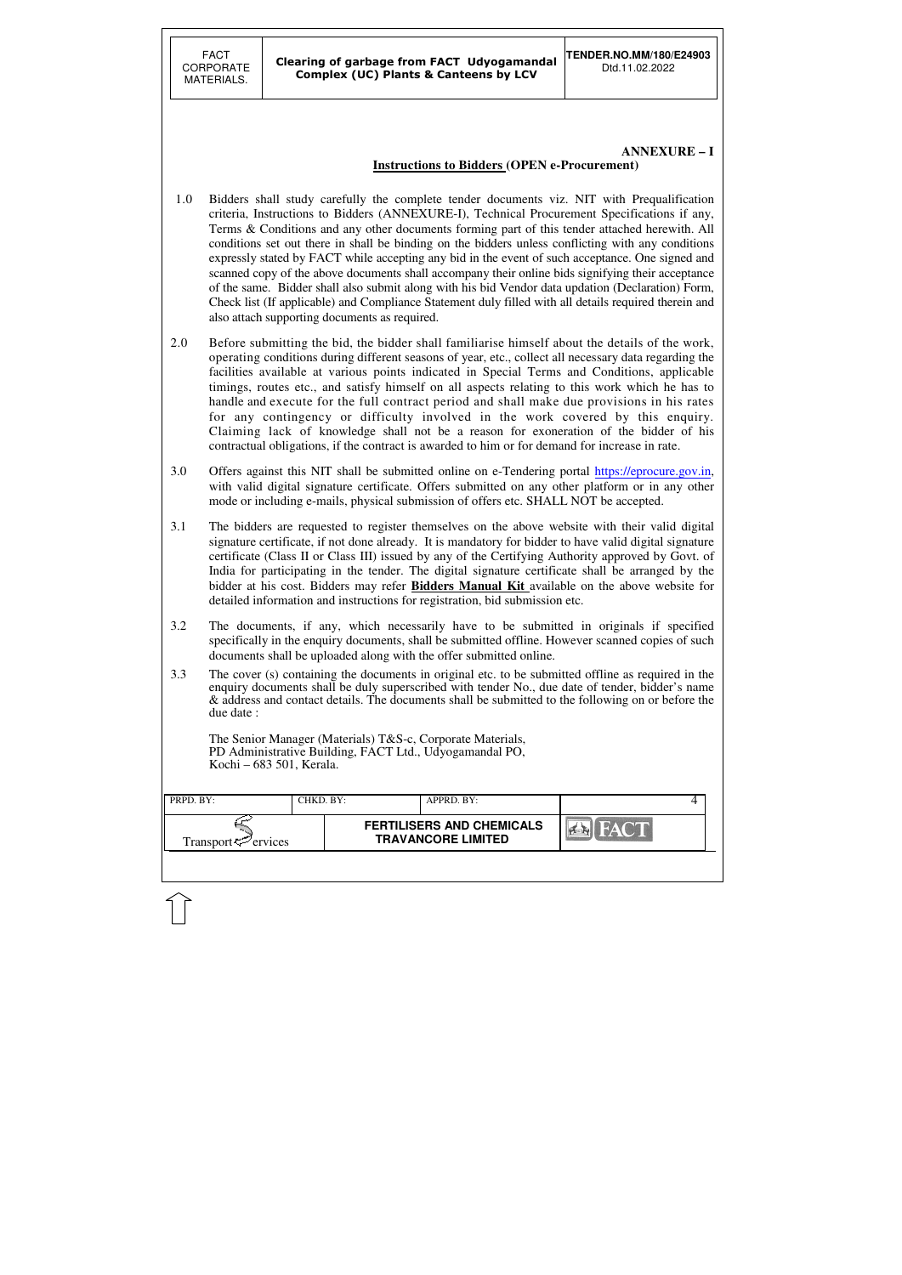| PRPD. BY:                       | CHKD. BY: | APPRD. BY:                                                    |                         |  |
|---------------------------------|-----------|---------------------------------------------------------------|-------------------------|--|
| Transport $\mathcal{P}$ ervices |           | <b>FERTILISERS AND CHEMICALS</b><br><b>TRAVANCORE LIMITED</b> | FACT.<br>$\sum_{i=1}^n$ |  |
|                                 |           |                                                               |                         |  |

# **ANNEXURE – I**

# **Instructions to Bidders (OPEN e-Procurement)**

- 1.0 Bidders shall study carefully the complete tender documents viz. NIT with Prequalification criteria, Instructions to Bidders (ANNEXURE-I), Technical Procurement Specifications if any, Terms & Conditions and any other documents forming part of this tender attached herewith. All conditions set out there in shall be binding on the bidders unless conflicting with any conditions expressly stated by FACT while accepting any bid in the event of such acceptance. One signed and scanned copy of the above documents shall accompany their online bids signifying their acceptance of the same. Bidder shall also submit along with his bid Vendor data updation (Declaration) Form, Check list (If applicable) and Compliance Statement duly filled with all details required therein and also attach supporting documents as required.
- 2.0 Before submitting the bid, the bidder shall familiarise himself about the details of the work, operating conditions during different seasons of year, etc., collect all necessary data regarding the facilities available at various points indicated in Special Terms and Conditions, applicable timings, routes etc., and satisfy himself on all aspects relating to this work which he has to handle and execute for the full contract period and shall make due provisions in his rates for any contingency or difficulty involved in the work covered by this enquiry. Claiming lack of knowledge shall not be a reason for exoneration of the bidder of his contractual obligations, if the contract is awarded to him or for demand for increase in rate.
- 3.0 Offers against this NIT shall be submitted online on e-Tendering portal https://eprocure.gov.in, with valid digital signature certificate. Offers submitted on any other platform or in any other mode or including e-mails, physical submission of offers etc. SHALL NOT be accepted.
- 3.1 The bidders are requested to register themselves on the above website with their valid digital signature certificate, if not done already. It is mandatory for bidder to have valid digital signature certificate (Class II or Class III) issued by any of the Certifying Authority approved by Govt. of India for participating in the tender. The digital signature certificate shall be arranged by the bidder at his cost. Bidders may refer **Bidders Manual Kit** available on the above website for detailed information and instructions for registration, bid submission etc.
- 3.2 The documents, if any, which necessarily have to be submitted in originals if specified specifically in the enquiry documents, shall be submitted offline. However scanned copies of such documents shall be uploaded along with the offer submitted online.
- 3.3 The cover (s) containing the documents in original etc. to be submitted offline as required in the enquiry documents shall be duly superscribed with tender No., due date of tender, bidder's name & address and contact details. The documents shall be submitted to the following on or before the due date :

The Senior Manager (Materials) T&S-c, Corporate Materials, PD Administrative Building, FACT Ltd., Udyogamandal PO, Kochi – 683 501, Kerala.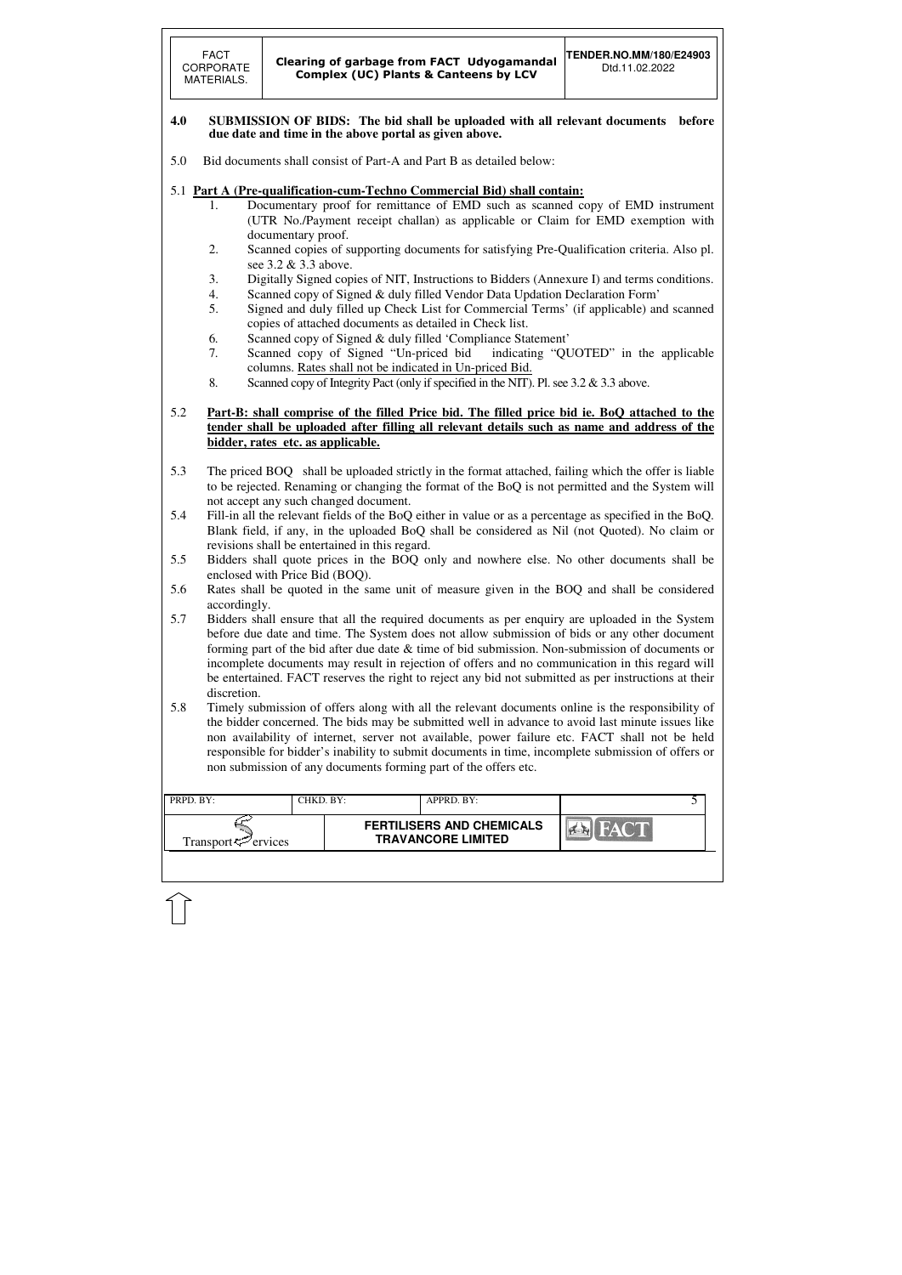| PRPD. BY:                      | CHKD. BY: | APPRD. BY:                                                    |       |  |
|--------------------------------|-----------|---------------------------------------------------------------|-------|--|
| Transport <sup>7</sup> ervices |           | <b>FERTILISERS AND CHEMICALS</b><br><b>TRAVANCORE LIMITED</b> | HAC'T |  |
|                                |           |                                                               |       |  |

#### **4.0 SUBMISSION OF BIDS: The bid shall be uploaded with all relevant documents before due date and time in the above portal as given above.**

- 5.0 Bid documents shall consist of Part-A and Part B as detailed below:
- 5.1 **Part A (Pre-qualification-cum-Techno Commercial Bid) shall contain:**
	- 1. Documentary proof for remittance of EMD such as scanned copy of EMD instrument (UTR No./Payment receipt challan) as applicable or Claim for EMD exemption with documentary proof.
	- 2. Scanned copies of supporting documents for satisfying Pre-Qualification criteria. Also pl. see 3.2 & 3.3 above.
	- 3. Digitally Signed copies of NIT, Instructions to Bidders (Annexure I) and terms conditions.
	- 4. Scanned copy of Signed & duly filled Vendor Data Updation Declaration Form'
	- 5. Signed and duly filled up Check List for Commercial Terms' (if applicable) and scanned copies of attached documents as detailed in Check list.
	- 6. Scanned copy of Signed & duly filled 'Compliance Statement'
	- 7. Scanned copy of Signed "Un-priced bid indicating "QUOTED" in the applicable columns. Rates shall not be indicated in Un-priced Bid.
	- 8. Scanned copy of Integrity Pact (only if specified in the NIT). Pl. see 3.2 & 3.3 above.
- 5.2 **Part-B: shall comprise of the filled Price bid. The filled price bid ie. BoQ attached to the tender shall be uploaded after filling all relevant details such as name and address of the bidder, rates etc. as applicable.**
- 5.3 The priced BOQ shall be uploaded strictly in the format attached, failing which the offer is liable to be rejected. Renaming or changing the format of the BoQ is not permitted and the System will not accept any such changed document.
- 5.4 Fill-in all the relevant fields of the BoQ either in value or as a percentage as specified in the BoQ. Blank field, if any, in the uploaded BoQ shall be considered as Nil (not Quoted). No claim or revisions shall be entertained in this regard.
- 5.5 Bidders shall quote prices in the BOQ only and nowhere else. No other documents shall be enclosed with Price Bid (BOQ).
- 5.6 Rates shall be quoted in the same unit of measure given in the BOQ and shall be considered accordingly.
- 5.7 Bidders shall ensure that all the required documents as per enquiry are uploaded in the System before due date and time. The System does not allow submission of bids or any other document forming part of the bid after due date & time of bid submission. Non-submission of documents or incomplete documents may result in rejection of offers and no communication in this regard will be entertained. FACT reserves the right to reject any bid not submitted as per instructions at their discretion.
- 5.8 Timely submission of offers along with all the relevant documents online is the responsibility of the bidder concerned. The bids may be submitted well in advance to avoid last minute issues like non availability of internet, server not available, power failure etc. FACT shall not be held responsible for bidder's inability to submit documents in time, incomplete submission of offers or non submission of any documents forming part of the offers etc.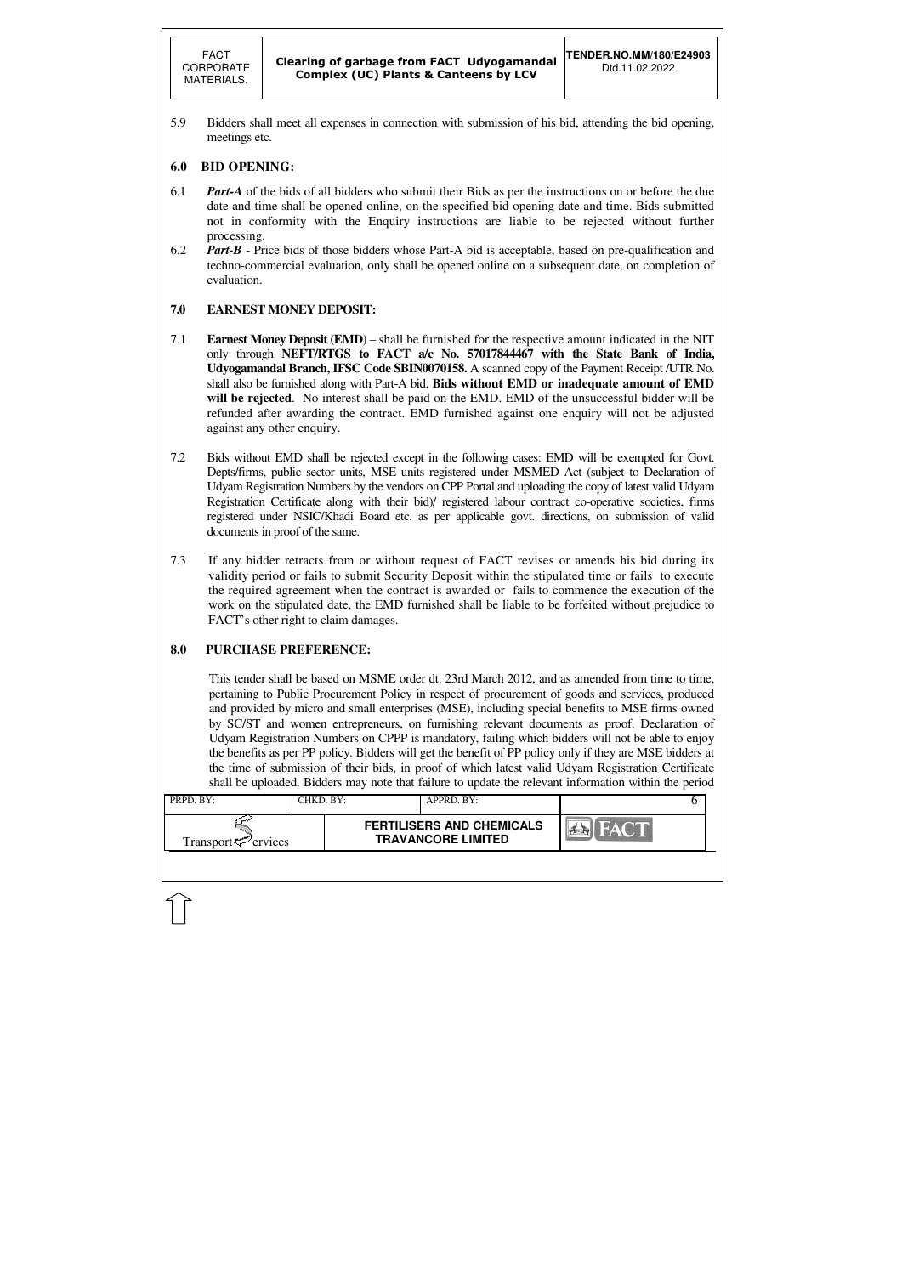

5.9 Bidders shall meet all expenses in connection with submission of his bid, attending the bid opening, meetings etc.

### **6.0 BID OPENING:**

- 6.1 *Part-A* of the bids of all bidders who submit their Bids as per the instructions on or before the due date and time shall be opened online, on the specified bid opening date and time. Bids submitted not in conformity with the Enquiry instructions are liable to be rejected without further processing.
- 6.2 *Part-B* Price bids of those bidders whose Part-A bid is acceptable, based on pre-qualification and techno-commercial evaluation, only shall be opened online on a subsequent date, on completion of evaluation.

### **7.0 EARNEST MONEY DEPOSIT:**

- 7.1 **Earnest Money Deposit (EMD)** shall be furnished for the respective amount indicated in the NIT only through **NEFT/RTGS to FACT a/c No. 57017844467 with the State Bank of India, Udyogamandal Branch, IFSC Code SBIN0070158.** A scanned copy of the Payment Receipt /UTR No. shall also be furnished along with Part-A bid. **Bids without EMD or inadequate amount of EMD will be rejected**. No interest shall be paid on the EMD. EMD of the unsuccessful bidder will be refunded after awarding the contract. EMD furnished against one enquiry will not be adjusted against any other enquiry.
- 7.2 Bids without EMD shall be rejected except in the following cases: EMD will be exempted for Govt. Depts/firms, public sector units, MSE units registered under MSMED Act (subject to Declaration of Udyam Registration Numbers by the vendors on CPP Portal and uploading the copy of latest valid Udyam Registration Certificate along with their bid)/ registered labour contract co-operative societies, firms registered under NSIC/Khadi Board etc. as per applicable govt. directions, on submission of valid documents in proof of the same.
- 7.3 If any bidder retracts from or without request of FACT revises or amends his bid during its validity period or fails to submit Security Deposit within the stipulated time or fails to execute the required agreement when the contract is awarded or fails to commence the execution of the work on the stipulated date, the EMD furnished shall be liable to be forfeited without prejudice to FACT's other right to claim damages.

### **8.0 PURCHASE PREFERENCE:**

This tender shall be based on MSME order dt. 23rd March 2012, and as amended from time to time, pertaining to Public Procurement Policy in respect of procurement of goods and services, produced and provided by micro and small enterprises (MSE), including special benefits to MSE firms owned by SC/ST and women entrepreneurs, on furnishing relevant documents as proof. Declaration of Udyam Registration Numbers on CPPP is mandatory, failing which bidders will not be able to enjoy the benefits as per PP policy. Bidders will get the benefit of PP policy only if they are MSE bidders at the time of submission of their bids, in proof of which latest valid Udyam Registration Certificate shall be uploaded. Bidders may note that failure to update the relevant information within the period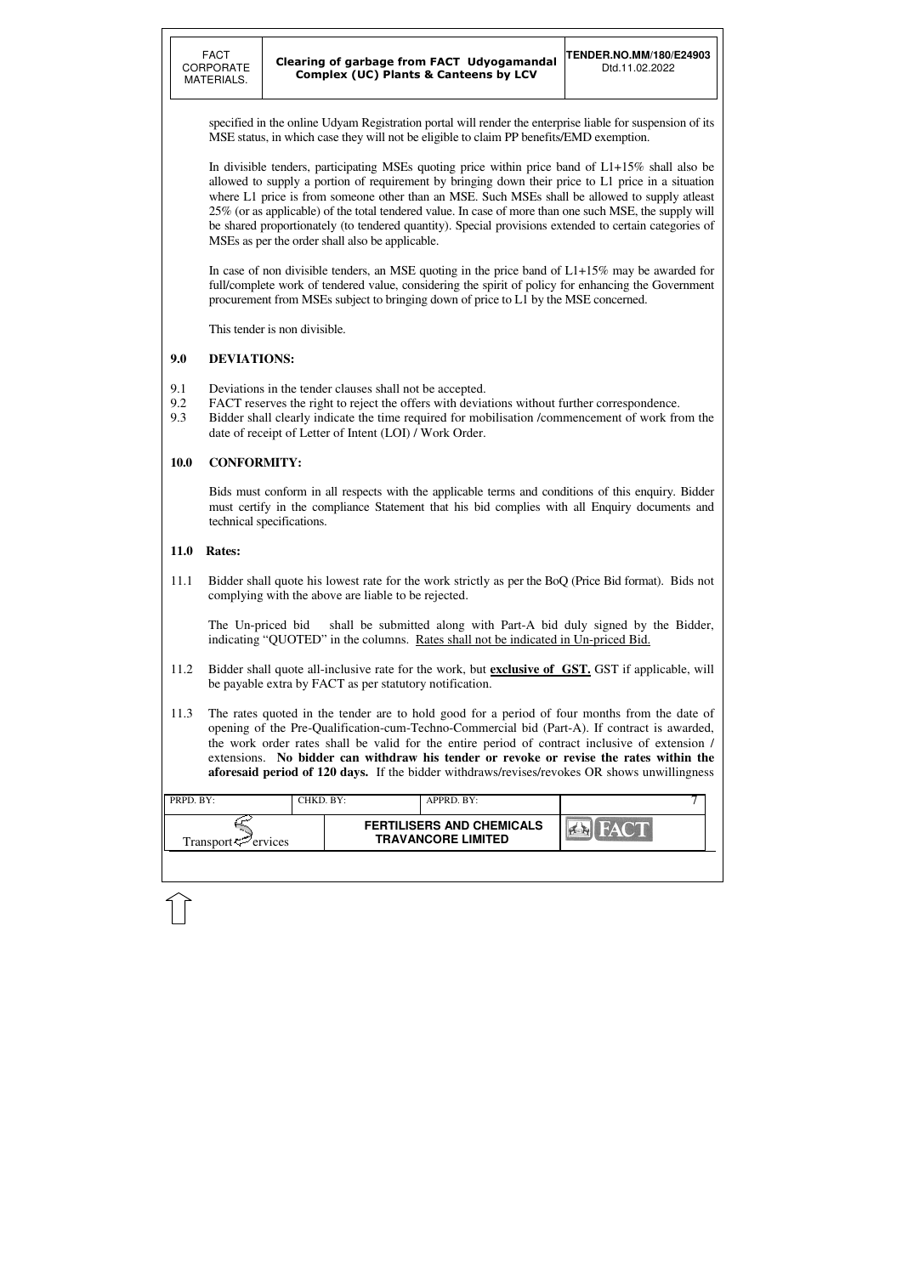| PRPD. BY:                      | CHKD. BY: | APPRD. BY:                                                    |  |
|--------------------------------|-----------|---------------------------------------------------------------|--|
| Transport <sup>7</sup> ervices |           | <b>FERTILISERS AND CHEMICALS</b><br><b>TRAVANCORE LIMITED</b> |  |

specified in the online Udyam Registration portal will render the enterprise liable for suspension of its MSE status, in which case they will not be eligible to claim PP benefits/EMD exemption.

In divisible tenders, participating MSEs quoting price within price band of L1+15% shall also be allowed to supply a portion of requirement by bringing down their price to L1 price in a situation where L1 price is from someone other than an MSE. Such MSEs shall be allowed to supply atleast 25% (or as applicable) of the total tendered value. In case of more than one such MSE, the supply will be shared proportionately (to tendered quantity). Special provisions extended to certain categories of MSEs as per the order shall also be applicable.

In case of non divisible tenders, an MSE quoting in the price band of L1+15% may be awarded for full/complete work of tendered value, considering the spirit of policy for enhancing the Government procurement from MSEs subject to bringing down of price to L1 by the MSE concerned.

This tender is non divisible.

### **9.0 DEVIATIONS:**

- 9.1 Deviations in the tender clauses shall not be accepted.
- 9.2 FACT reserves the right to reject the offers with deviations without further correspondence.
- 9.3 Bidder shall clearly indicate the time required for mobilisation /commencement of work from the date of receipt of Letter of Intent (LOI) / Work Order.

### **10.0 CONFORMITY:**

Bids must conform in all respects with the applicable terms and conditions of this enquiry. Bidder must certify in the compliance Statement that his bid complies with all Enquiry documents and technical specifications.

### **11.0 Rates:**

11.1 Bidder shall quote his lowest rate for the work strictly as per the BoQ (Price Bid format). Bids not complying with the above are liable to be rejected.

The Un-priced bid shall be submitted along with Part-A bid duly signed by the Bidder, indicating "QUOTED" in the columns. Rates shall not be indicated in Un-priced Bid.

- 11.2 Bidder shall quote all-inclusive rate for the work, but **exclusive of GST.** GST if applicable, will be payable extra by FACT as per statutory notification.
- 11.3 The rates quoted in the tender are to hold good for a period of four months from the date of opening of the Pre-Qualification-cum-Techno-Commercial bid (Part-A). If contract is awarded, the work order rates shall be valid for the entire period of contract inclusive of extension / extensions. **No bidder can withdraw his tender or revoke or revise the rates within the aforesaid period of 120 days.** If the bidder withdraws/revises/revokes OR shows unwillingness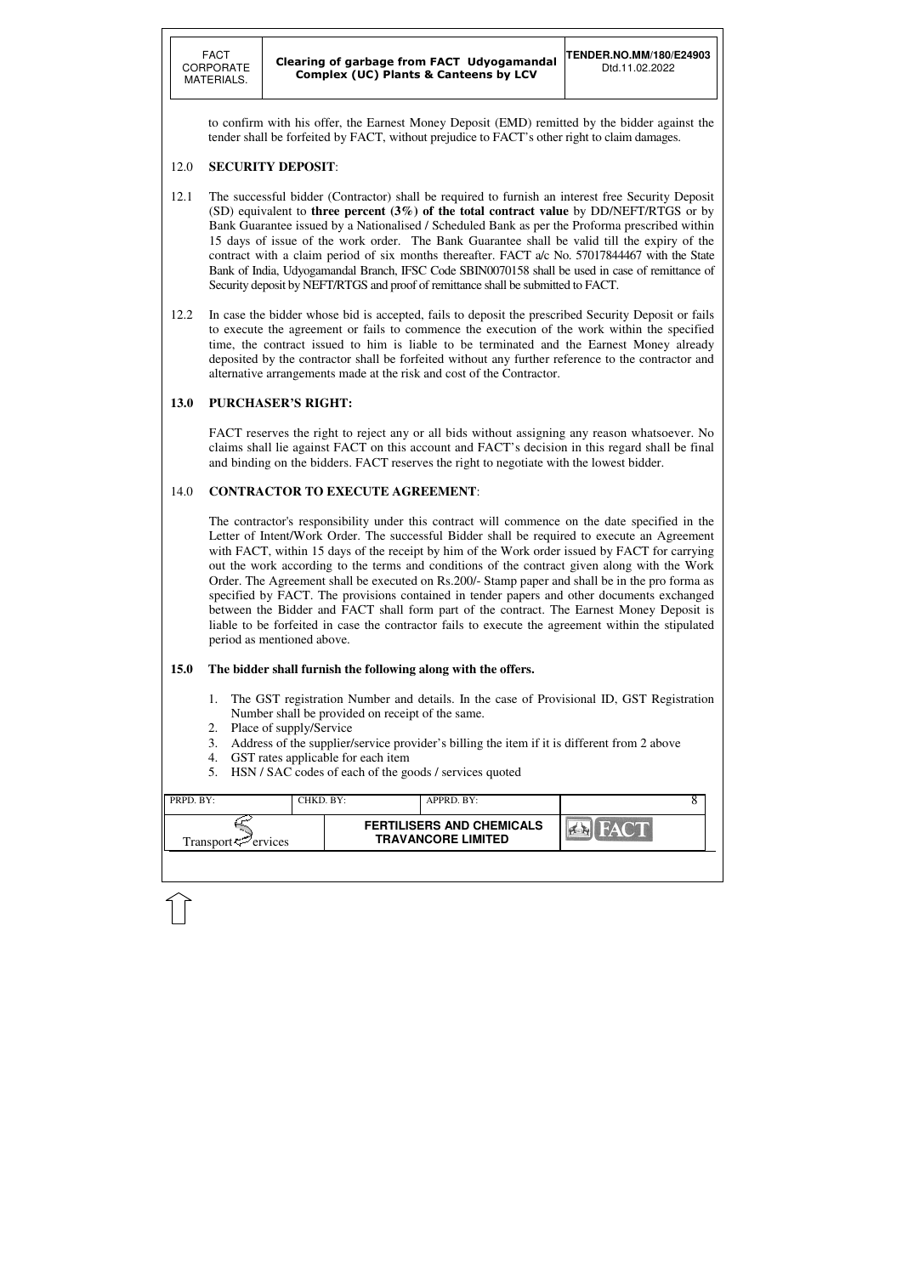| PRPD. BY:                      | CHKD. BY: | APPRD. BY:                                                    |                |  |
|--------------------------------|-----------|---------------------------------------------------------------|----------------|--|
| Transport <sup>7</sup> ervices |           | <b>FERTILISERS AND CHEMICALS</b><br><b>TRAVANCORE LIMITED</b> | <b>TEACHER</b> |  |
|                                |           |                                                               |                |  |

to confirm with his offer, the Earnest Money Deposit (EMD) remitted by the bidder against the tender shall be forfeited by FACT, without prejudice to FACT's other right to claim damages.

### 12.0 **SECURITY DEPOSIT**:

- 12.1 The successful bidder (Contractor) shall be required to furnish an interest free Security Deposit (SD) equivalent to **three percent (3%) of the total contract value** by DD/NEFT/RTGS or by Bank Guarantee issued by a Nationalised / Scheduled Bank as per the Proforma prescribed within 15 days of issue of the work order. The Bank Guarantee shall be valid till the expiry of the contract with a claim period of six months thereafter. FACT a/c No. 57017844467 with the State Bank of India, Udyogamandal Branch, IFSC Code SBIN0070158 shall be used in case of remittance of Security deposit by NEFT/RTGS and proof of remittance shall be submitted to FACT.
- 12.2 In case the bidder whose bid is accepted, fails to deposit the prescribed Security Deposit or fails to execute the agreement or fails to commence the execution of the work within the specified time, the contract issued to him is liable to be terminated and the Earnest Money already deposited by the contractor shall be forfeited without any further reference to the contractor and alternative arrangements made at the risk and cost of the Contractor.

### **13.0 PURCHASER'S RIGHT:**

 FACT reserves the right to reject any or all bids without assigning any reason whatsoever. No claims shall lie against FACT on this account and FACT's decision in this regard shall be final and binding on the bidders. FACT reserves the right to negotiate with the lowest bidder.

### 14.0 **CONTRACTOR TO EXECUTE AGREEMENT**:

 The contractor's responsibility under this contract will commence on the date specified in the Letter of Intent/Work Order. The successful Bidder shall be required to execute an Agreement with FACT, within 15 days of the receipt by him of the Work order issued by FACT for carrying out the work according to the terms and conditions of the contract given along with the Work Order. The Agreement shall be executed on Rs.200/- Stamp paper and shall be in the pro forma as specified by FACT. The provisions contained in tender papers and other documents exchanged between the Bidder and FACT shall form part of the contract. The Earnest Money Deposit is liable to be forfeited in case the contractor fails to execute the agreement within the stipulated period as mentioned above.

### **15.0 The bidder shall furnish the following along with the offers.**

- 1. The GST registration Number and details. In the case of Provisional ID, GST Registration Number shall be provided on receipt of the same.
- 2. Place of supply/Service
- 3. Address of the supplier/service provider's billing the item if it is different from 2 above
- 4. GST rates applicable for each item
- 5. HSN / SAC codes of each of the goods / services quoted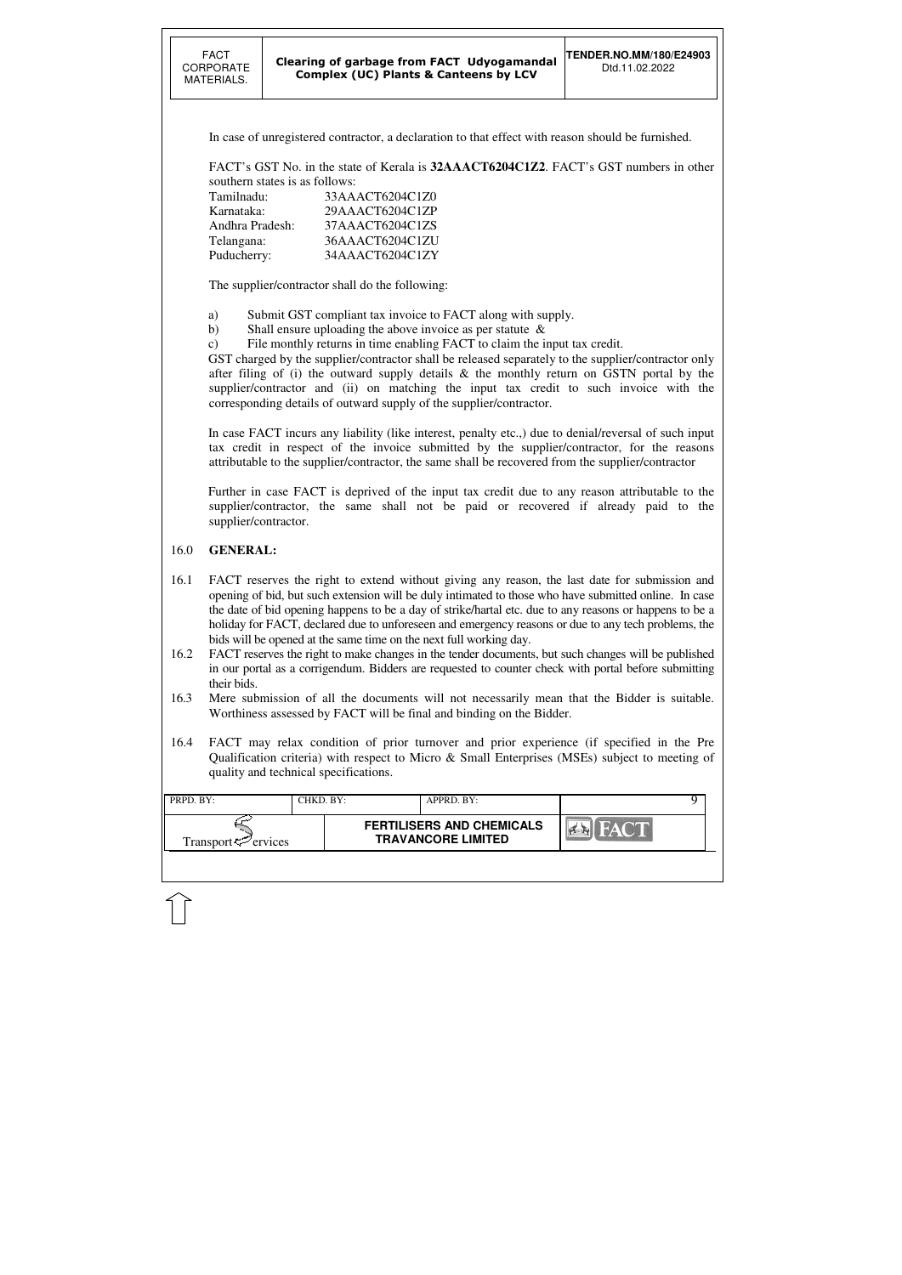| <b>FACT</b><br>CORPORATE<br>MATERIALS.                                                                                                                                                                                                                                                                                                                                                                                           |                                                                                                                                                                                                                                                                                   | Clearing of garbage from FACT Udyogamandal<br><b>Complex (UC) Plants &amp; Canteens by LCV</b>                                            |                                  | <b>TENDER.NO.MM/180/E24903</b><br>Dtd.11.02.2022                                                                                                                                                                                                                                                         |  |  |  |  |  |
|----------------------------------------------------------------------------------------------------------------------------------------------------------------------------------------------------------------------------------------------------------------------------------------------------------------------------------------------------------------------------------------------------------------------------------|-----------------------------------------------------------------------------------------------------------------------------------------------------------------------------------------------------------------------------------------------------------------------------------|-------------------------------------------------------------------------------------------------------------------------------------------|----------------------------------|----------------------------------------------------------------------------------------------------------------------------------------------------------------------------------------------------------------------------------------------------------------------------------------------------------|--|--|--|--|--|
|                                                                                                                                                                                                                                                                                                                                                                                                                                  |                                                                                                                                                                                                                                                                                   |                                                                                                                                           |                                  | In case of unregistered contractor, a declaration to that effect with reason should be furnished.                                                                                                                                                                                                        |  |  |  |  |  |
|                                                                                                                                                                                                                                                                                                                                                                                                                                  |                                                                                                                                                                                                                                                                                   |                                                                                                                                           |                                  | FACT's GST No. in the state of Kerala is 32AAACT6204C1Z2. FACT's GST numbers in other                                                                                                                                                                                                                    |  |  |  |  |  |
|                                                                                                                                                                                                                                                                                                                                                                                                                                  | southern states is as follows:                                                                                                                                                                                                                                                    |                                                                                                                                           |                                  |                                                                                                                                                                                                                                                                                                          |  |  |  |  |  |
|                                                                                                                                                                                                                                                                                                                                                                                                                                  | Tamilnadu:<br>33AAACT6204C1Z0<br>Karnataka:<br>29AAACT6204C1ZP                                                                                                                                                                                                                    |                                                                                                                                           |                                  |                                                                                                                                                                                                                                                                                                          |  |  |  |  |  |
|                                                                                                                                                                                                                                                                                                                                                                                                                                  | Andhra Pradesh:<br>37AAACT6204C1ZS                                                                                                                                                                                                                                                |                                                                                                                                           |                                  |                                                                                                                                                                                                                                                                                                          |  |  |  |  |  |
| Telangana:                                                                                                                                                                                                                                                                                                                                                                                                                       |                                                                                                                                                                                                                                                                                   | 36AAACT6204C1ZU                                                                                                                           |                                  |                                                                                                                                                                                                                                                                                                          |  |  |  |  |  |
| Puducherry:                                                                                                                                                                                                                                                                                                                                                                                                                      |                                                                                                                                                                                                                                                                                   | 34AAACT6204C1ZY                                                                                                                           |                                  |                                                                                                                                                                                                                                                                                                          |  |  |  |  |  |
|                                                                                                                                                                                                                                                                                                                                                                                                                                  |                                                                                                                                                                                                                                                                                   | The supplier/contractor shall do the following:                                                                                           |                                  |                                                                                                                                                                                                                                                                                                          |  |  |  |  |  |
| a)                                                                                                                                                                                                                                                                                                                                                                                                                               |                                                                                                                                                                                                                                                                                   | Submit GST compliant tax invoice to FACT along with supply.                                                                               |                                  |                                                                                                                                                                                                                                                                                                          |  |  |  |  |  |
| b)<br>$\mathbf{c})$                                                                                                                                                                                                                                                                                                                                                                                                              |                                                                                                                                                                                                                                                                                   | Shall ensure uploading the above invoice as per statute $\&$<br>File monthly returns in time enabling FACT to claim the input tax credit. |                                  |                                                                                                                                                                                                                                                                                                          |  |  |  |  |  |
|                                                                                                                                                                                                                                                                                                                                                                                                                                  |                                                                                                                                                                                                                                                                                   |                                                                                                                                           |                                  | GST charged by the supplier/contractor shall be released separately to the supplier/contractor only                                                                                                                                                                                                      |  |  |  |  |  |
|                                                                                                                                                                                                                                                                                                                                                                                                                                  |                                                                                                                                                                                                                                                                                   |                                                                                                                                           |                                  | after filing of (i) the outward supply details & the monthly return on GSTN portal by the                                                                                                                                                                                                                |  |  |  |  |  |
|                                                                                                                                                                                                                                                                                                                                                                                                                                  |                                                                                                                                                                                                                                                                                   | corresponding details of outward supply of the supplier/contractor.                                                                       |                                  | supplier/contractor and (ii) on matching the input tax credit to such invoice with the                                                                                                                                                                                                                   |  |  |  |  |  |
|                                                                                                                                                                                                                                                                                                                                                                                                                                  |                                                                                                                                                                                                                                                                                   |                                                                                                                                           |                                  | In case FACT incurs any liability (like interest, penalty etc.,) due to denial/reversal of such input<br>tax credit in respect of the invoice submitted by the supplier/contractor, for the reasons<br>attributable to the supplier/contractor, the same shall be recovered from the supplier/contractor |  |  |  |  |  |
|                                                                                                                                                                                                                                                                                                                                                                                                                                  | Further in case FACT is deprived of the input tax credit due to any reason attributable to the<br>supplier/contractor, the same shall not be paid or recovered if already paid to the<br>supplier/contractor.                                                                     |                                                                                                                                           |                                  |                                                                                                                                                                                                                                                                                                          |  |  |  |  |  |
| 16.0                                                                                                                                                                                                                                                                                                                                                                                                                             | <b>GENERAL:</b>                                                                                                                                                                                                                                                                   |                                                                                                                                           |                                  |                                                                                                                                                                                                                                                                                                          |  |  |  |  |  |
| 16.1<br>FACT reserves the right to extend without giving any reason, the last date for submission and<br>opening of bid, but such extension will be duly intimated to those who have submitted online. In case<br>the date of bid opening happens to be a day of strike/hartal etc. due to any reasons or happens to be a<br>holiday for FACT, declared due to unforeseen and emergency reasons or due to any tech problems, the |                                                                                                                                                                                                                                                                                   |                                                                                                                                           |                                  |                                                                                                                                                                                                                                                                                                          |  |  |  |  |  |
| 16.2                                                                                                                                                                                                                                                                                                                                                                                                                             | bids will be opened at the same time on the next full working day.<br>FACT reserves the right to make changes in the tender documents, but such changes will be published<br>in our portal as a corrigendum. Bidders are requested to counter check with portal before submitting |                                                                                                                                           |                                  |                                                                                                                                                                                                                                                                                                          |  |  |  |  |  |
|                                                                                                                                                                                                                                                                                                                                                                                                                                  | their bids.                                                                                                                                                                                                                                                                       |                                                                                                                                           |                                  |                                                                                                                                                                                                                                                                                                          |  |  |  |  |  |
| 16.3                                                                                                                                                                                                                                                                                                                                                                                                                             | Mere submission of all the documents will not necessarily mean that the Bidder is suitable.<br>Worthiness assessed by FACT will be final and binding on the Bidder.                                                                                                               |                                                                                                                                           |                                  |                                                                                                                                                                                                                                                                                                          |  |  |  |  |  |
| 16.4                                                                                                                                                                                                                                                                                                                                                                                                                             |                                                                                                                                                                                                                                                                                   |                                                                                                                                           |                                  | FACT may relax condition of prior turnover and prior experience (if specified in the Pre                                                                                                                                                                                                                 |  |  |  |  |  |
|                                                                                                                                                                                                                                                                                                                                                                                                                                  |                                                                                                                                                                                                                                                                                   | quality and technical specifications.                                                                                                     |                                  | Qualification criteria) with respect to Micro & Small Enterprises (MSEs) subject to meeting of                                                                                                                                                                                                           |  |  |  |  |  |
| PRPD. BY:                                                                                                                                                                                                                                                                                                                                                                                                                        |                                                                                                                                                                                                                                                                                   | CHKD. BY:                                                                                                                                 | APPRD. BY:                       | 9                                                                                                                                                                                                                                                                                                        |  |  |  |  |  |
|                                                                                                                                                                                                                                                                                                                                                                                                                                  |                                                                                                                                                                                                                                                                                   |                                                                                                                                           | <b>FERTILISERS AND CHEMICALS</b> |                                                                                                                                                                                                                                                                                                          |  |  |  |  |  |
| Transport $\zeta$                                                                                                                                                                                                                                                                                                                                                                                                                | ervices                                                                                                                                                                                                                                                                           |                                                                                                                                           | <b>TRAVANCORE LIMITED</b>        |                                                                                                                                                                                                                                                                                                          |  |  |  |  |  |

 $\hat{1}$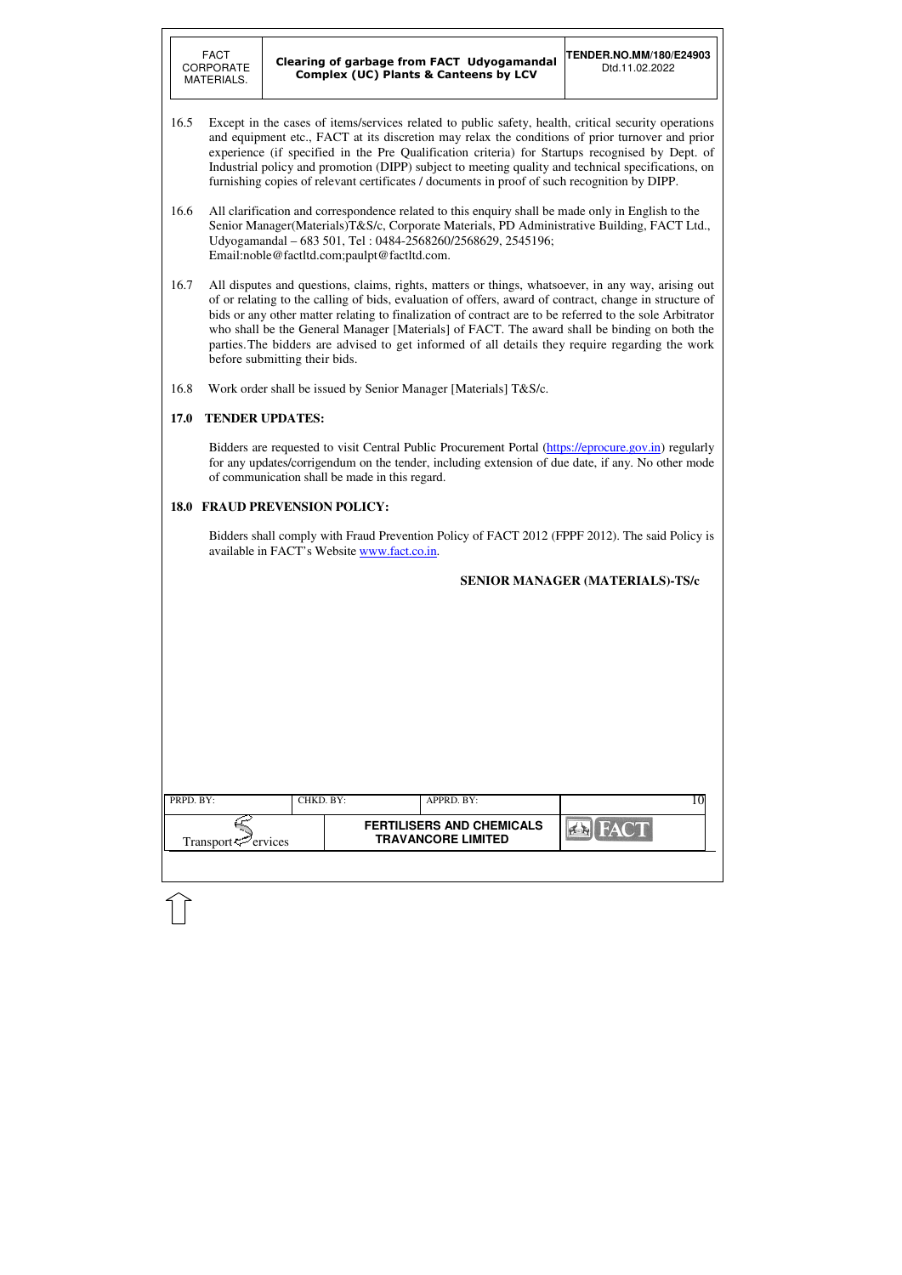| PRPD. BY:<br>CHKD. BY:<br>APPRD. BY:<br><b>FERTILISERS AND CHEMICALS</b><br><b>FACT</b><br><b>TRAVANCORE LIMITED</b><br>Transport $\approx$ ervices |  |  |  |
|-----------------------------------------------------------------------------------------------------------------------------------------------------|--|--|--|
|                                                                                                                                                     |  |  |  |
|                                                                                                                                                     |  |  |  |

- 16.5 Except in the cases of items/services related to public safety, health, critical security operations and equipment etc., FACT at its discretion may relax the conditions of prior turnover and prior experience (if specified in the Pre Qualification criteria) for Startups recognised by Dept. of Industrial policy and promotion (DIPP) subject to meeting quality and technical specifications, on furnishing copies of relevant certificates / documents in proof of such recognition by DIPP.
- 16.6 All clarification and correspondence related to this enquiry shall be made only in English to the Senior Manager(Materials)T&S/c, Corporate Materials, PD Administrative Building, FACT Ltd., Udyogamandal – 683 501, Tel : 0484-2568260/2568629, 2545196; Email:noble@factltd.com;paulpt@factltd.com.
- 16.7 All disputes and questions, claims, rights, matters or things, whatsoever, in any way, arising out of or relating to the calling of bids, evaluation of offers, award of contract, change in structure of bids or any other matter relating to finalization of contract are to be referred to the sole Arbitrator who shall be the General Manager [Materials] of FACT. The award shall be binding on both the parties. The bidders are advised to get informed of all details they require regarding the work before submitting their bids.
- 16.8 Work order shall be issued by Senior Manager [Materials] T&S/c.

### **17.0 TENDER UPDATES:**

Bidders are requested to visit Central Public Procurement Portal (https://eprocure.gov.in) regularly for any updates/corrigendum on the tender, including extension of due date, if any. No other mode of communication shall be made in this regard.

### **18.0 FRAUD PREVENSION POLICY:**

Bidders shall comply with Fraud Prevention Policy of FACT 2012 (FPPF 2012). The said Policy is available in FACT's Website www.fact.co.in.

### **SENIOR MANAGER (MATERIALS)-TS/c**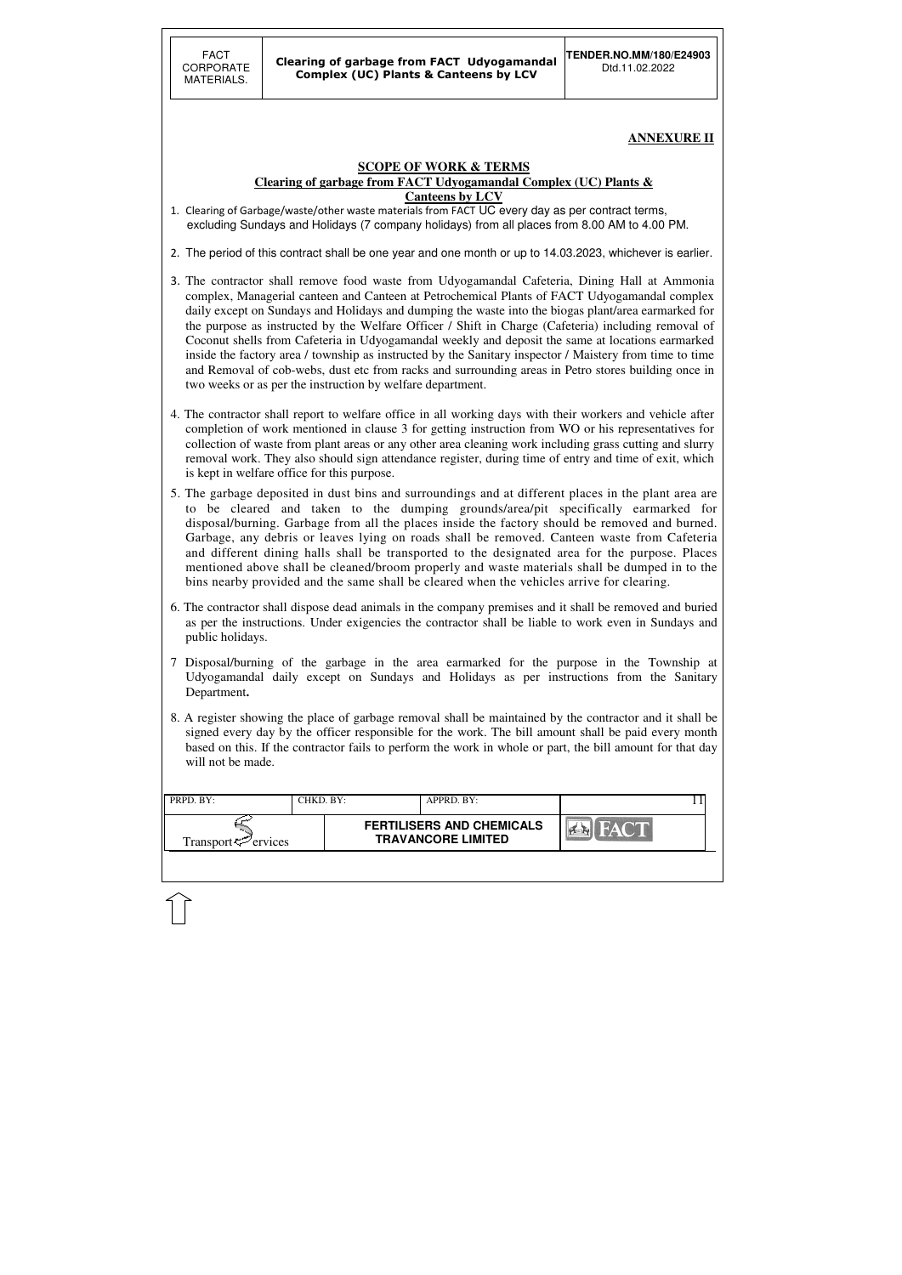| PRPD. BY:                                        | CHKD. BY: | APPRD. BY:                                                    |  |
|--------------------------------------------------|-----------|---------------------------------------------------------------|--|
| Transport <sup><math>\infty</math></sup> ervices |           | <b>FERTILISERS AND CHEMICALS</b><br><b>TRAVANCORE LIMITED</b> |  |
|                                                  |           |                                                               |  |

**ANNEXURE II** 

#### **SCOPE OF WORK & TERMS Clearing of garbage from FACT Udyogamandal Complex (UC) Plants & Canteens by LCV**

- 1. Clearing of Garbage/waste/other waste materials from FACT UC every day as per contract terms, excluding Sundays and Holidays (7 company holidays) from all places from 8.00 AM to 4.00 PM.
- 2. The period of this contract shall be one year and one month or up to 14.03.2023, whichever is earlier.
- 3. The contractor shall remove food waste from Udyogamandal Cafeteria, Dining Hall at Ammonia complex, Managerial canteen and Canteen at Petrochemical Plants of FACT Udyogamandal complex daily except on Sundays and Holidays and dumping the waste into the biogas plant/area earmarked for the purpose as instructed by the Welfare Officer / Shift in Charge (Cafeteria) including removal of Coconut shells from Cafeteria in Udyogamandal weekly and deposit the same at locations earmarked inside the factory area / township as instructed by the Sanitary inspector / Maistery from time to time and Removal of cob-webs, dust etc from racks and surrounding areas in Petro stores building once in two weeks or as per the instruction by welfare department.
- 4. The contractor shall report to welfare office in all working days with their workers and vehicle after completion of work mentioned in clause 3 for getting instruction from WO or his representatives for collection of waste from plant areas or any other area cleaning work including grass cutting and slurry removal work. They also should sign attendance register, during time of entry and time of exit, which is kept in welfare office for this purpose.
- 5. The garbage deposited in dust bins and surroundings and at different places in the plant area are to be cleared and taken to the dumping grounds/area/pit specifically earmarked for disposal/burning. Garbage from all the places inside the factory should be removed and burned. Garbage, any debris or leaves lying on roads shall be removed. Canteen waste from Cafeteria and different dining halls shall be transported to the designated area for the purpose. Places mentioned above shall be cleaned/broom properly and waste materials shall be dumped in to the bins nearby provided and the same shall be cleared when the vehicles arrive for clearing.
- 6. The contractor shall dispose dead animals in the company premises and it shall be removed and buried as per the instructions. Under exigencies the contractor shall be liable to work even in Sundays and public holidays.
- 7 Disposal/burning of the garbage in the area earmarked for the purpose in the Township at Udyogamandal daily except on Sundays and Holidays as per instructions from the Sanitary Department**.**
- 8. A register showing the place of garbage removal shall be maintained by the contractor and it shall be signed every day by the officer responsible for the work. The bill amount shall be paid every month based on this. If the contractor fails to perform the work in whole or part, the bill amount for that day will not be made.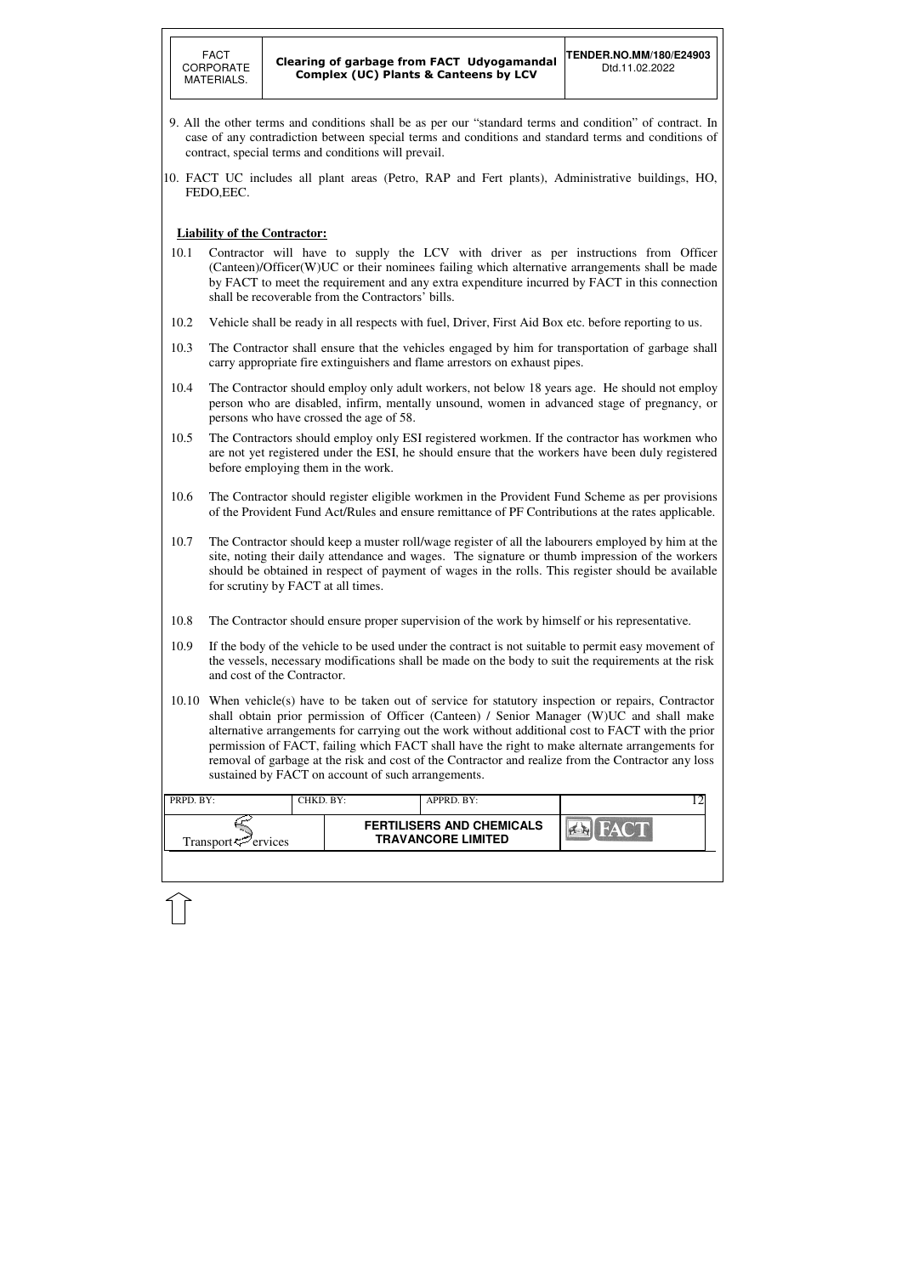

| PRPD. BY:                   | CHKD. BY: | APPRD. BY:                                                    |   |  |
|-----------------------------|-----------|---------------------------------------------------------------|---|--|
| Transport $\varphi$ ervices |           | <b>FERTILISERS AND CHEMICALS</b><br><b>TRAVANCORE LIMITED</b> | Y |  |
|                             |           |                                                               |   |  |

- 9. All the other terms and conditions shall be as per our "standard terms and condition" of contract. In case of any contradiction between special terms and conditions and standard terms and conditions of contract, special terms and conditions will prevail.
- 10. FACT UC includes all plant areas (Petro, RAP and Fert plants), Administrative buildings, HO, FEDO,EEC.

### **Liability of the Contractor:**

- 10.1 Contractor will have to supply the LCV with driver as per instructions from Officer (Canteen)/Officer(W)UC or their nominees failing which alternative arrangements shall be made by FACT to meet the requirement and any extra expenditure incurred by FACT in this connection shall be recoverable from the Contractors' bills.
- 10.2 Vehicle shall be ready in all respects with fuel, Driver, First Aid Box etc. before reporting to us.
- 10.3 The Contractor shall ensure that the vehicles engaged by him for transportation of garbage shall carry appropriate fire extinguishers and flame arrestors on exhaust pipes.
- 10.4 The Contractor should employ only adult workers, not below 18 years age. He should not employ person who are disabled, infirm, mentally unsound, women in advanced stage of pregnancy, or persons who have crossed the age of 58.
- 10.5 The Contractors should employ only ESI registered workmen. If the contractor has workmen who are not yet registered under the ESI, he should ensure that the workers have been duly registered before employing them in the work.
- 10.6 The Contractor should register eligible workmen in the Provident Fund Scheme as per provisions of the Provident Fund Act/Rules and ensure remittance of PF Contributions at the rates applicable.
- 10.7 The Contractor should keep a muster roll/wage register of all the labourers employed by him at the site, noting their daily attendance and wages. The signature or thumb impression of the workers should be obtained in respect of payment of wages in the rolls. This register should be available for scrutiny by FACT at all times.
- 10.8 The Contractor should ensure proper supervision of the work by himself or his representative.
- 10.9 If the body of the vehicle to be used under the contract is not suitable to permit easy movement of the vessels, necessary modifications shall be made on the body to suit the requirements at the risk and cost of the Contractor.
- 10.10 When vehicle(s) have to be taken out of service for statutory inspection or repairs, Contractor shall obtain prior permission of Officer (Canteen) / Senior Manager (W)UC and shall make alternative arrangements for carrying out the work without additional cost to FACT with the prior permission of FACT, failing which FACT shall have the right to make alternate arrangements for removal of garbage at the risk and cost of the Contractor and realize from the Contractor any loss sustained by FACT on account of such arrangements.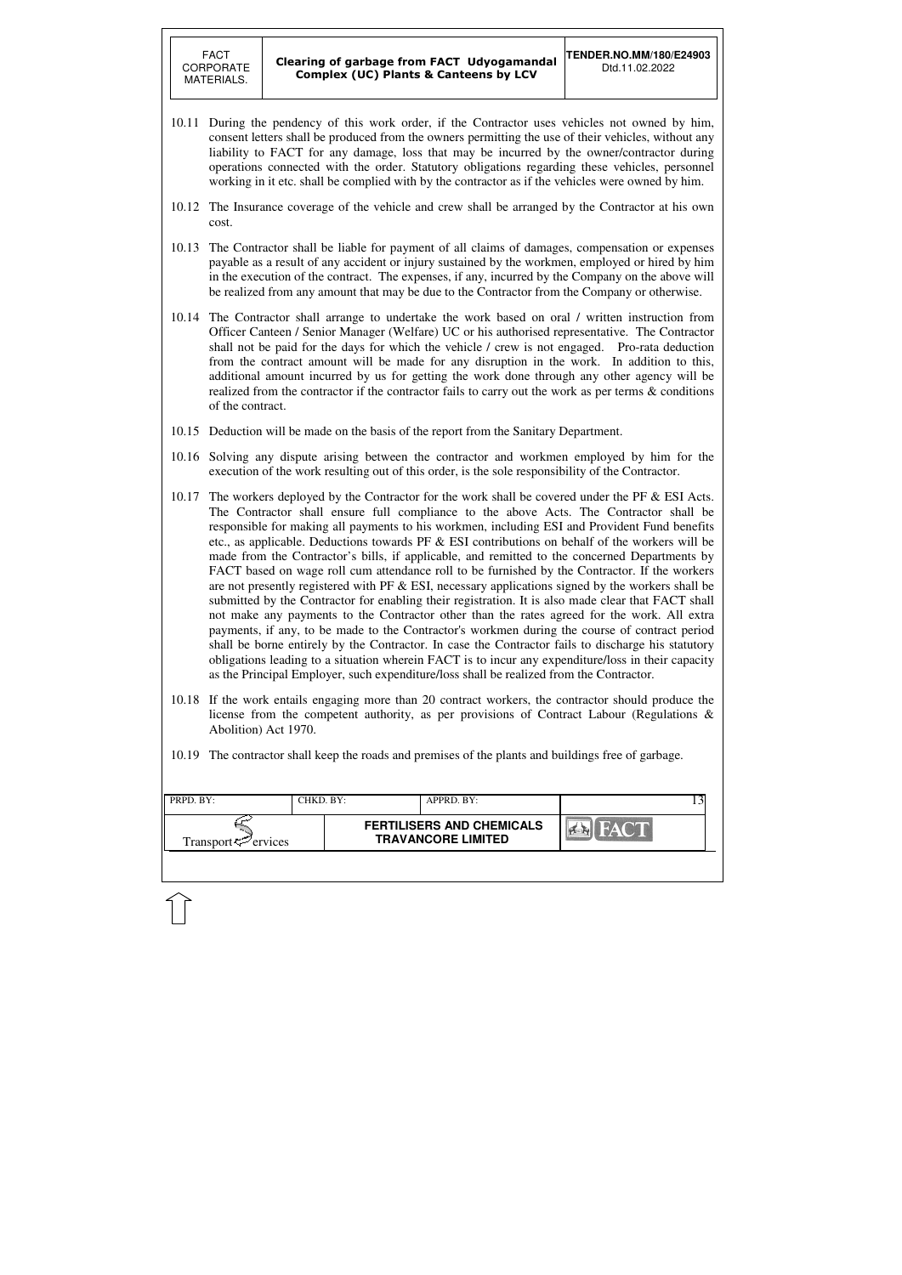| PRPD. BY:                      | CHKD. BY: | APPRD. BY:                                                    |       |  |
|--------------------------------|-----------|---------------------------------------------------------------|-------|--|
| Transport <sup>7</sup> ervices |           | <b>FERTILISERS AND CHEMICALS</b><br><b>TRAVANCORE LIMITED</b> | HAC T |  |
|                                |           |                                                               |       |  |

- 10.11 During the pendency of this work order, if the Contractor uses vehicles not owned by him, consent letters shall be produced from the owners permitting the use of their vehicles, without any liability to FACT for any damage, loss that may be incurred by the owner/contractor during operations connected with the order. Statutory obligations regarding these vehicles, personnel working in it etc. shall be complied with by the contractor as if the vehicles were owned by him.
- 10.12 The Insurance coverage of the vehicle and crew shall be arranged by the Contractor at his own cost.
- 10.13 The Contractor shall be liable for payment of all claims of damages, compensation or expenses payable as a result of any accident or injury sustained by the workmen, employed or hired by him in the execution of the contract. The expenses, if any, incurred by the Company on the above will be realized from any amount that may be due to the Contractor from the Company or otherwise.
- 10.14 The Contractor shall arrange to undertake the work based on oral / written instruction from Officer Canteen / Senior Manager (Welfare) UC or his authorised representative. The Contractor shall not be paid for the days for which the vehicle / crew is not engaged. Pro-rata deduction from the contract amount will be made for any disruption in the work. In addition to this, additional amount incurred by us for getting the work done through any other agency will be realized from the contractor if the contractor fails to carry out the work as per terms & conditions of the contract.
- 10.15 Deduction will be made on the basis of the report from the Sanitary Department.
- 10.16 Solving any dispute arising between the contractor and workmen employed by him for the execution of the work resulting out of this order, is the sole responsibility of the Contractor.
- 10.17 The workers deployed by the Contractor for the work shall be covered under the PF & ESI Acts. The Contractor shall ensure full compliance to the above Acts. The Contractor shall be responsible for making all payments to his workmen, including ESI and Provident Fund benefits etc., as applicable. Deductions towards PF  $\&$  ESI contributions on behalf of the workers will be made from the Contractor's bills, if applicable, and remitted to the concerned Departments by FACT based on wage roll cum attendance roll to be furnished by the Contractor. If the workers are not presently registered with PF  $\&$  ESI, necessary applications signed by the workers shall be submitted by the Contractor for enabling their registration. It is also made clear that FACT shall not make any payments to the Contractor other than the rates agreed for the work. All extra payments, if any, to be made to the Contractor's workmen during the course of contract period shall be borne entirely by the Contractor. In case the Contractor fails to discharge his statutory obligations leading to a situation wherein FACT is to incur any expenditure/loss in their capacity as the Principal Employer, such expenditure/loss shall be realized from the Contractor.
- 10.18 If the work entails engaging more than 20 contract workers, the contractor should produce the license from the competent authority, as per provisions of Contract Labour (Regulations & Abolition) Act 1970.
- 10.19 The contractor shall keep the roads and premises of the plants and buildings free of garbage.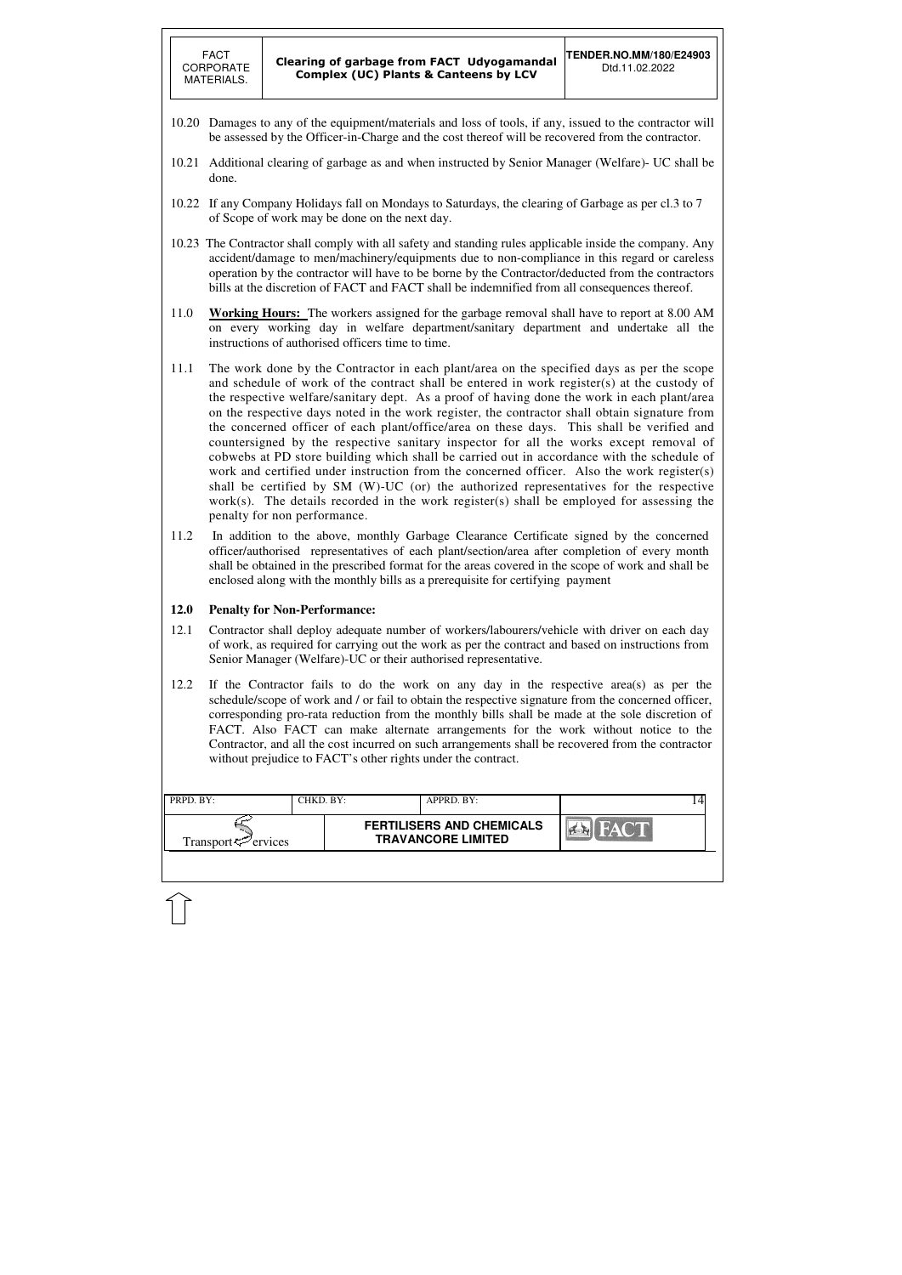| PRPD. BY:                      | CHKD. BY: | APPRD. BY:                                                    |      | 4 |
|--------------------------------|-----------|---------------------------------------------------------------|------|---|
| Transport <sup>7</sup> ervices |           | <b>FERTILISERS AND CHEMICALS</b><br><b>TRAVANCORE LIMITED</b> | HACT |   |
|                                |           |                                                               |      |   |

- 10.20 Damages to any of the equipment/materials and loss of tools, if any, issued to the contractor will be assessed by the Officer-in-Charge and the cost thereof will be recovered from the contractor.
- 10.21 Additional clearing of garbage as and when instructed by Senior Manager (Welfare)- UC shall be done.
- 10.22 If any Company Holidays fall on Mondays to Saturdays, the clearing of Garbage as per cl.3 to 7 of Scope of work may be done on the next day.
- 10.23 The Contractor shall comply with all safety and standing rules applicable inside the company. Any accident/damage to men/machinery/equipments due to non-compliance in this regard or careless operation by the contractor will have to be borne by the Contractor/deducted from the contractors bills at the discretion of FACT and FACT shall be indemnified from all consequences thereof.
- 11.0 **Working Hours:** The workers assigned for the garbage removal shall have to report at 8.00 AM on every working day in welfare department/sanitary department and undertake all the instructions of authorised officers time to time.
- 11.1 The work done by the Contractor in each plant/area on the specified days as per the scope and schedule of work of the contract shall be entered in work register(s) at the custody of the respective welfare/sanitary dept. As a proof of having done the work in each plant/area on the respective days noted in the work register, the contractor shall obtain signature from the concerned officer of each plant/office/area on these days. This shall be verified and countersigned by the respective sanitary inspector for all the works except removal of cobwebs at PD store building which shall be carried out in accordance with the schedule of work and certified under instruction from the concerned officer. Also the work register(s) shall be certified by SM (W)-UC (or) the authorized representatives for the respective work(s). The details recorded in the work register(s) shall be employed for assessing the penalty for non performance.
- 11.2 In addition to the above, monthly Garbage Clearance Certificate signed by the concerned officer/authorised representatives of each plant/section/area after completion of every month shall be obtained in the prescribed format for the areas covered in the scope of work and shall be enclosed along with the monthly bills as a prerequisite for certifying payment

### **12.0 Penalty for Non-Performance:**

- 12.1 Contractor shall deploy adequate number of workers/labourers/vehicle with driver on each day of work, as required for carrying out the work as per the contract and based on instructions from Senior Manager (Welfare)-UC or their authorised representative.
- 12.2 If the Contractor fails to do the work on any day in the respective area(s) as per the schedule/scope of work and / or fail to obtain the respective signature from the concerned officer, corresponding pro-rata reduction from the monthly bills shall be made at the sole discretion of FACT. Also FACT can make alternate arrangements for the work without notice to the Contractor, and all the cost incurred on such arrangements shall be recovered from the contractor without prejudice to FACT's other rights under the contract.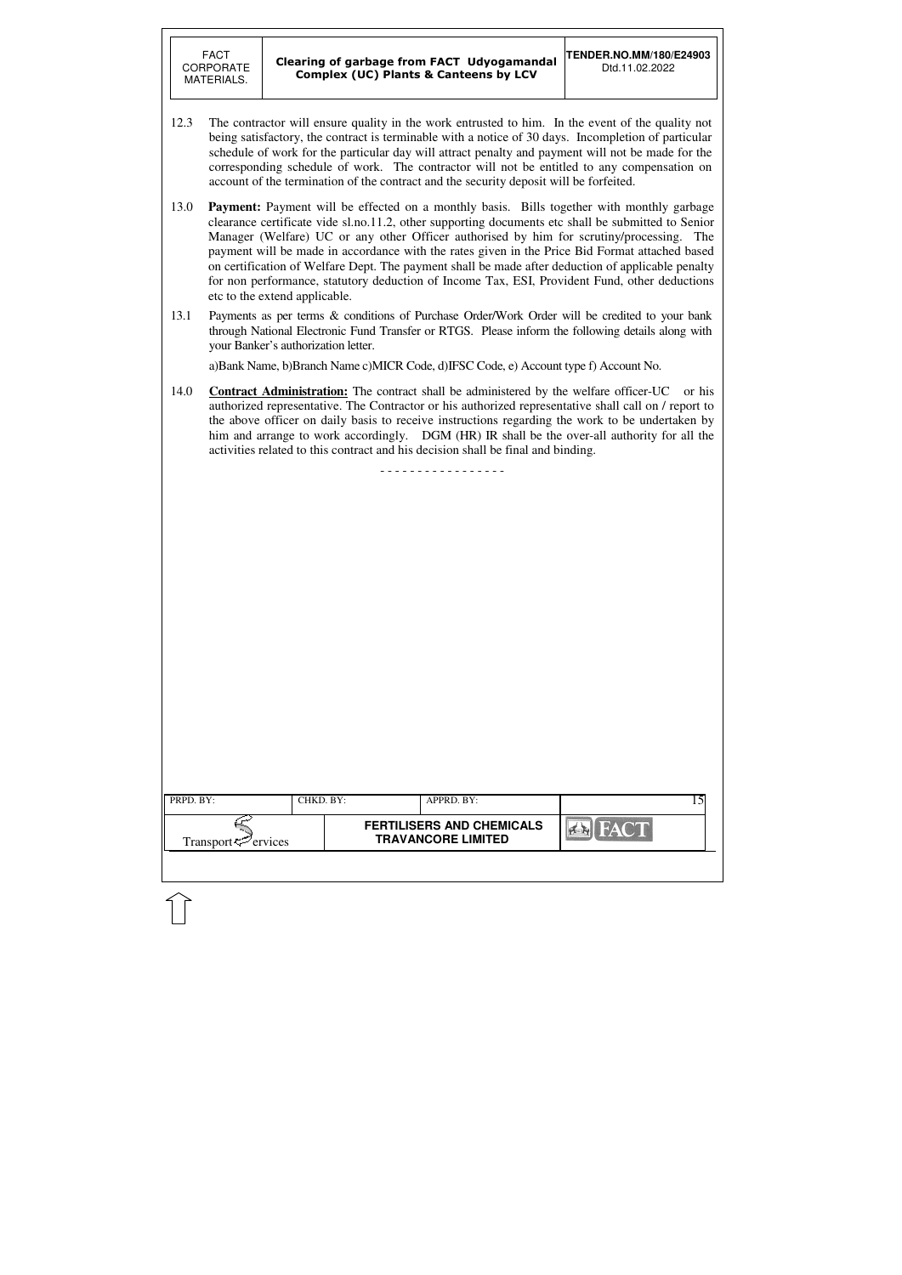| PRPD. BY:                      | CHKD. BY: |                                                               | APPRD. BY: |                | 15 |
|--------------------------------|-----------|---------------------------------------------------------------|------------|----------------|----|
| Transport <sup>7</sup> ervices |           | <b>FERTILISERS AND CHEMICALS</b><br><b>TRAVANCORE LIMITED</b> |            | <b>EX FACT</b> |    |

- 12.3 The contractor will ensure quality in the work entrusted to him. In the event of the quality not being satisfactory, the contract is terminable with a notice of 30 days. Incompletion of particular schedule of work for the particular day will attract penalty and payment will not be made for the corresponding schedule of work. The contractor will not be entitled to any compensation on account of the termination of the contract and the security deposit will be forfeited.
- 13.0 **Payment:** Payment will be effected on a monthly basis. Bills together with monthly garbage clearance certificate vide sl.no.11.2, other supporting documents etc shall be submitted to Senior Manager (Welfare) UC or any other Officer authorised by him for scrutiny/processing. The payment will be made in accordance with the rates given in the Price Bid Format attached based on certification of Welfare Dept. The payment shall be made after deduction of applicable penalty for non performance, statutory deduction of Income Tax, ESI, Provident Fund, other deductions etc to the extend applicable.
- 13.1 Payments as per terms & conditions of Purchase Order/Work Order will be credited to your bank through National Electronic Fund Transfer or RTGS. Please inform the following details along with your Banker's authorization letter.

a)Bank Name, b)Branch Name c)MICR Code, d)IFSC Code, e) Account type f) Account No.

14.0 **Contract Administration:** The contract shall be administered by the welfare officer-UC or his authorized representative. The Contractor or his authorized representative shall call on / report to the above officer on daily basis to receive instructions regarding the work to be undertaken by him and arrange to work accordingly. DGM (HR) IR shall be the over-all authority for all the activities related to this contract and his decision shall be final and binding.

- - - - - - - - - - - - - - - - -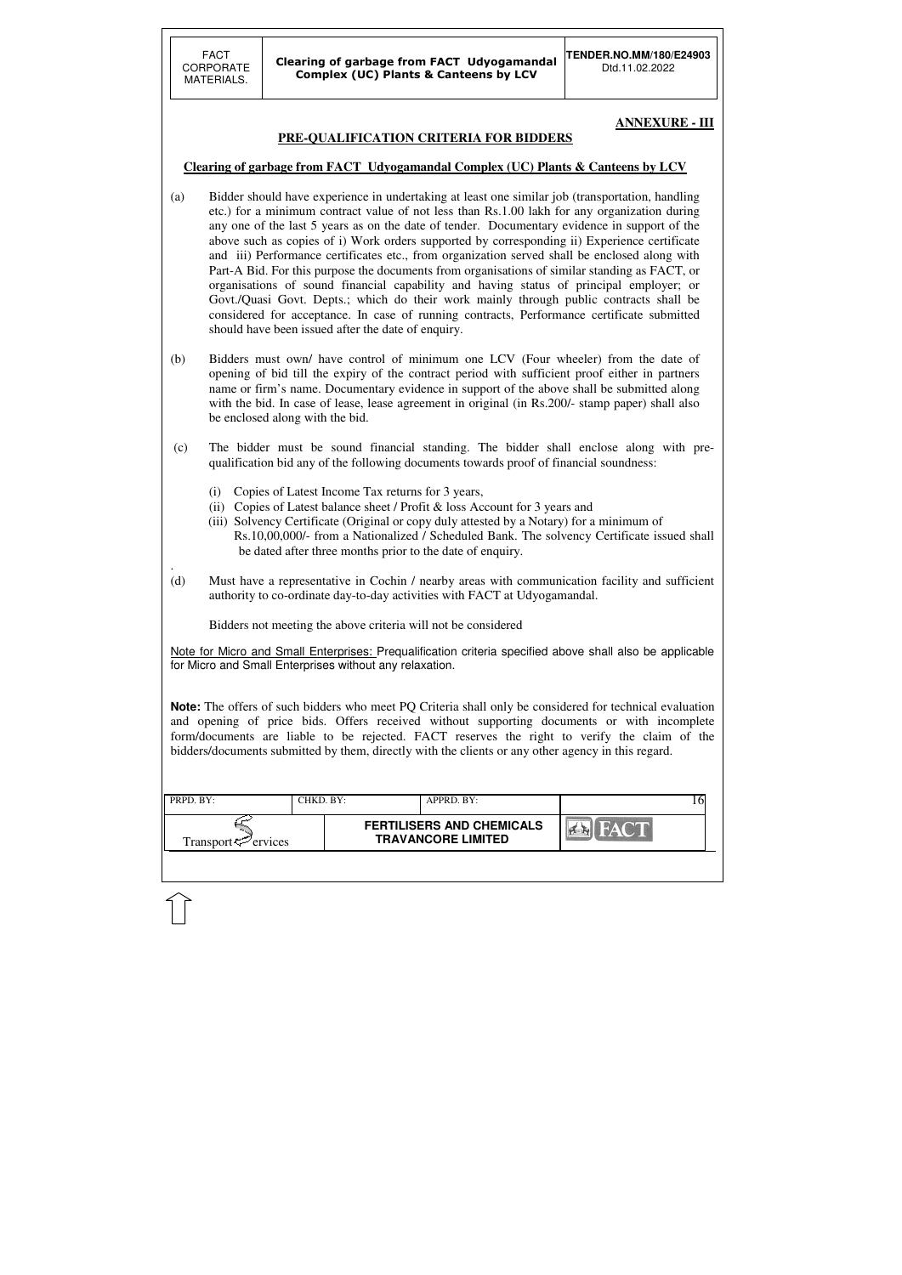| <b>FERTILISERS AND CHEMICALS</b> | PRPD. BY:<br>CHKD. BY:-         | APPRD. BY:                |  |
|----------------------------------|---------------------------------|---------------------------|--|
|                                  | Transport $\mathcal{P}$ ervices | <b>TRAVANCORE LIMITED</b> |  |

#### **ANNEXURE - III**

### **PRE-QUALIFICATION CRITERIA FOR BIDDERS**

### **Clearing of garbage from FACT Udyogamandal Complex (UC) Plants & Canteens by LCV**

- (a) Bidder should have experience in undertaking at least one similar job (transportation, handling etc.) for a minimum contract value of not less than Rs.1.00 lakh for any organization during any one of the last 5 years as on the date of tender. Documentary evidence in support of the above such as copies of i) Work orders supported by corresponding ii) Experience certificate and iii) Performance certificates etc., from organization served shall be enclosed along with Part-A Bid. For this purpose the documents from organisations of similar standing as FACT, or organisations of sound financial capability and having status of principal employer; or Govt./Quasi Govt. Depts.; which do their work mainly through public contracts shall be considered for acceptance. In case of running contracts, Performance certificate submitted should have been issued after the date of enquiry.
- (b) Bidders must own/ have control of minimum one LCV (Four wheeler) from the date of opening of bid till the expiry of the contract period with sufficient proof either in partners name or firm's name. Documentary evidence in support of the above shall be submitted along with the bid. In case of lease, lease agreement in original (in Rs.200/- stamp paper) shall also be enclosed along with the bid.
- (c) The bidder must be sound financial standing. The bidder shall enclose along with prequalification bid any of the following documents towards proof of financial soundness:
	- (i) Copies of Latest Income Tax returns for 3 years,
	- (ii) Copies of Latest balance sheet / Profit & loss Account for 3 years and
	- (iii) Solvency Certificate (Original or copy duly attested by a Notary) for a minimum of Rs.10,00,000/- from a Nationalized / Scheduled Bank. The solvency Certificate issued shall be dated after three months prior to the date of enquiry.
- (d) Must have a representative in Cochin / nearby areas with communication facility and sufficient authority to co-ordinate day-to-day activities with FACT at Udyogamandal.

.

Bidders not meeting the above criteria will not be considered

Note for Micro and Small Enterprises: Prequalification criteria specified above shall also be applicable for Micro and Small Enterprises without any relaxation.

**Note:** The offers of such bidders who meet PQ Criteria shall only be considered for technical evaluation and opening of price bids. Offers received without supporting documents or with incomplete form/documents are liable to be rejected. FACT reserves the right to verify the claim of the bidders/documents submitted by them, directly with the clients or any other agency in this regard.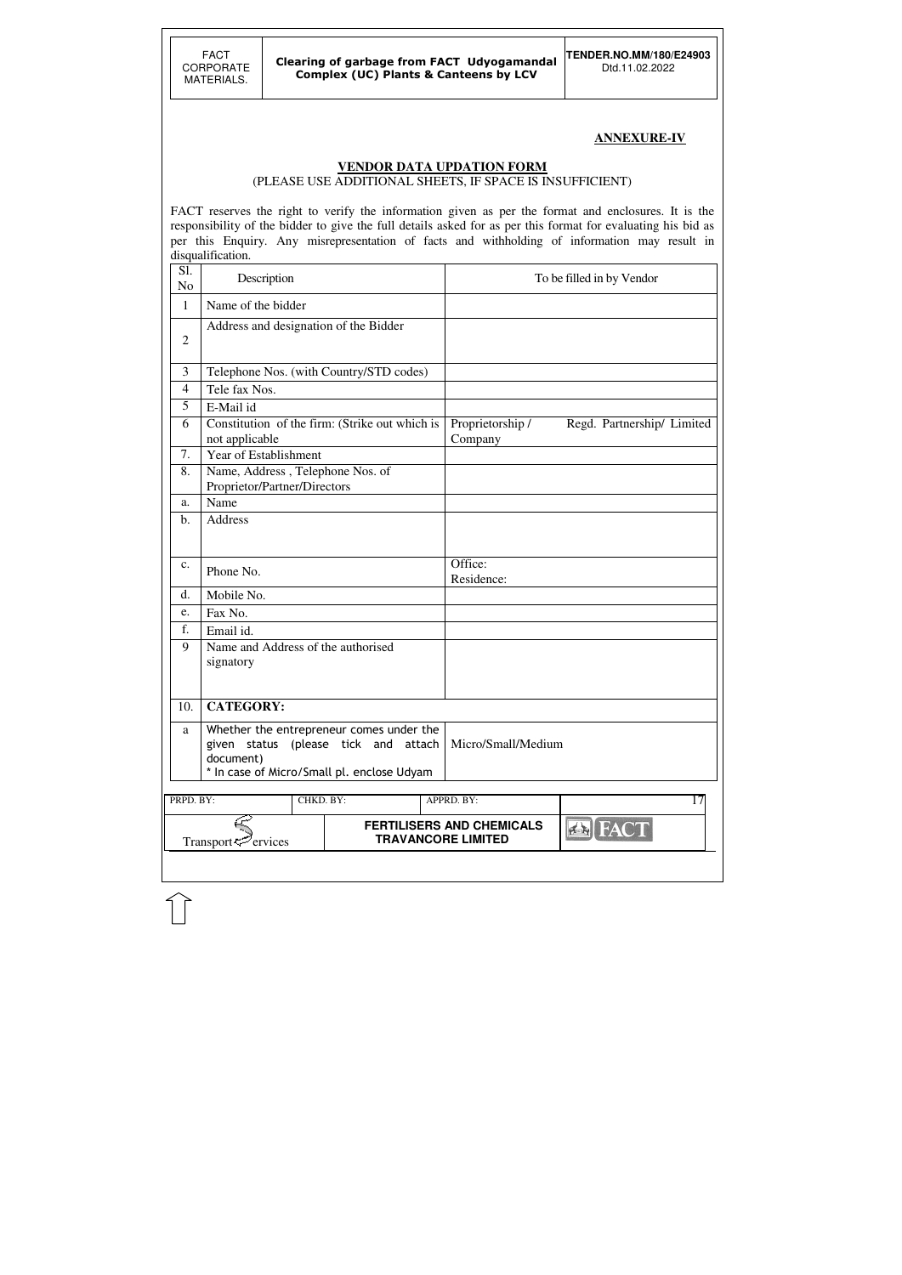### **ANNEXURE-IV**

#### **VENDOR DATA UPDATION FORM**

(PLEASE USE ADDITIONAL SHEETS, IF SPACE IS INSUFFICIENT)

FACT reserves the right to verify the information given as per the format and enclosures. It is the responsibility of the bidder to give the full details asked for as per this format for evaluating his bid as per this Enquiry. Any misrepresentation of facts and withholding of information may result in disqualification.

| Sl.<br>N <sub>o</sub> | Description                                                      |                                                                                                                                                     |  |                                                               | To be filled in by Vendor  |
|-----------------------|------------------------------------------------------------------|-----------------------------------------------------------------------------------------------------------------------------------------------------|--|---------------------------------------------------------------|----------------------------|
| $\mathbf{1}$          | Name of the bidder                                               |                                                                                                                                                     |  |                                                               |                            |
| $\overline{2}$        | Address and designation of the Bidder                            |                                                                                                                                                     |  |                                                               |                            |
| 3                     |                                                                  | Telephone Nos. (with Country/STD codes)                                                                                                             |  |                                                               |                            |
| 4                     | Tele fax Nos.                                                    |                                                                                                                                                     |  |                                                               |                            |
| 5                     | E-Mail id                                                        |                                                                                                                                                     |  |                                                               |                            |
| 6                     | not applicable                                                   | Constitution of the firm: (Strike out which is                                                                                                      |  |                                                               | Regd. Partnership/ Limited |
| 7.                    | Year of Establishment                                            |                                                                                                                                                     |  |                                                               |                            |
| 8.                    | Name, Address, Telephone Nos. of<br>Proprietor/Partner/Directors |                                                                                                                                                     |  |                                                               |                            |
| a.                    | Name                                                             |                                                                                                                                                     |  |                                                               |                            |
| b.                    | Address                                                          |                                                                                                                                                     |  |                                                               |                            |
| c.                    | Phone No.                                                        |                                                                                                                                                     |  | Office:<br>Residence:                                         |                            |
| d.                    | Mobile No.                                                       |                                                                                                                                                     |  |                                                               |                            |
| e.                    | Fax No.                                                          |                                                                                                                                                     |  |                                                               |                            |
| f.                    | Email id.                                                        |                                                                                                                                                     |  |                                                               |                            |
| 9                     | Name and Address of the authorised                               |                                                                                                                                                     |  |                                                               |                            |
|                       | signatory                                                        |                                                                                                                                                     |  |                                                               |                            |
|                       |                                                                  |                                                                                                                                                     |  |                                                               |                            |
| 10.                   | <b>CATEGORY:</b>                                                 |                                                                                                                                                     |  |                                                               |                            |
| a                     | document)                                                        | Whether the entrepreneur comes under the<br>given status (please tick and attach   Micro/Small/Medium<br>* In case of Micro/Small pl. enclose Udyam |  |                                                               |                            |
| PRPD. BY:             |                                                                  | CHKD. BY:                                                                                                                                           |  | APPRD. BY:                                                    | $\overline{17}$            |
|                       | Transport <sup>ry</sup> ervices                                  |                                                                                                                                                     |  | <b>FERTILISERS AND CHEMICALS</b><br><b>TRAVANCORE LIMITED</b> | <b>AN FACT</b>             |
|                       |                                                                  |                                                                                                                                                     |  |                                                               |                            |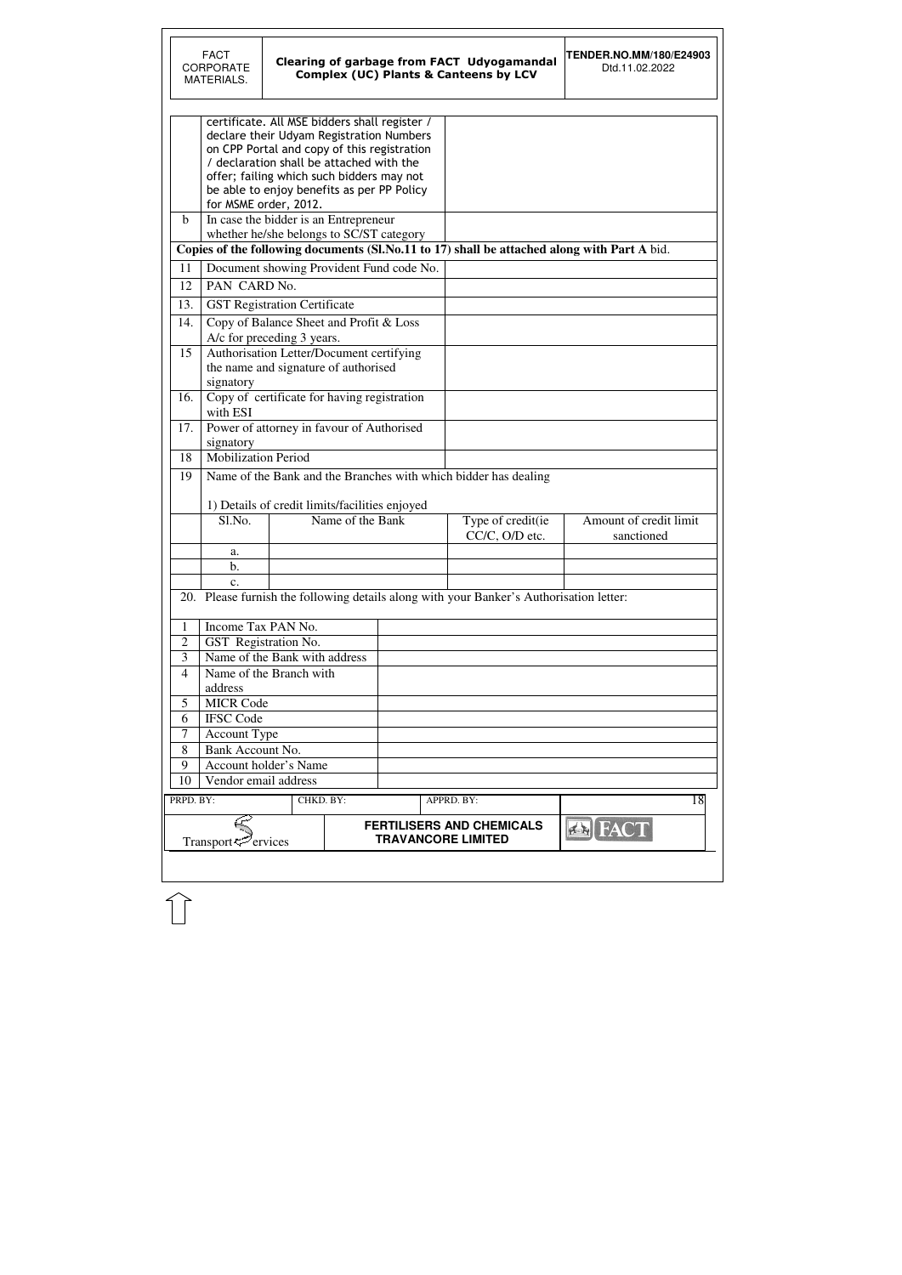|                | <b>FACT</b><br><b>CORPORATE</b><br>MATERIALS. |                                                                                                                                                                                                                                                                                                          |                  |                                          | <b>Clearing of garbage from FACT Udyogamandal</b><br><b>Complex (UC) Plants &amp; Canteens by LCV</b> | <b>TENDER.NO.MM/180/E24903</b><br>Dtd.11.02.2022 |
|----------------|-----------------------------------------------|----------------------------------------------------------------------------------------------------------------------------------------------------------------------------------------------------------------------------------------------------------------------------------------------------------|------------------|------------------------------------------|-------------------------------------------------------------------------------------------------------|--------------------------------------------------|
|                |                                               | certificate. All MSE bidders shall register /<br>declare their Udyam Registration Numbers<br>on CPP Portal and copy of this registration<br>/ declaration shall be attached with the<br>offer; failing which such bidders may not<br>be able to enjoy benefits as per PP Policy<br>for MSME order, 2012. |                  |                                          |                                                                                                       |                                                  |
| $\mathbf b$    |                                               | In case the bidder is an Entrepreneur<br>whether he/she belongs to SC/ST category                                                                                                                                                                                                                        |                  |                                          |                                                                                                       |                                                  |
|                |                                               |                                                                                                                                                                                                                                                                                                          |                  |                                          | Copies of the following documents (Sl.No.11 to 17) shall be attached along with Part A bid.           |                                                  |
| 11             |                                               |                                                                                                                                                                                                                                                                                                          |                  | Document showing Provident Fund code No. |                                                                                                       |                                                  |
| 12             | PAN CARD No.                                  |                                                                                                                                                                                                                                                                                                          |                  |                                          |                                                                                                       |                                                  |
| 13.            |                                               | <b>GST Registration Certificate</b>                                                                                                                                                                                                                                                                      |                  |                                          |                                                                                                       |                                                  |
| 14.            |                                               | Copy of Balance Sheet and Profit & Loss<br>A/c for preceding 3 years.                                                                                                                                                                                                                                    |                  |                                          |                                                                                                       |                                                  |
| 15             |                                               | Authorisation Letter/Document certifying<br>the name and signature of authorised                                                                                                                                                                                                                         |                  |                                          |                                                                                                       |                                                  |
| 16.            | signatory<br>with ESI                         | Copy of certificate for having registration                                                                                                                                                                                                                                                              |                  |                                          |                                                                                                       |                                                  |
| 17.            | signatory                                     | Power of attorney in favour of Authorised                                                                                                                                                                                                                                                                |                  |                                          |                                                                                                       |                                                  |
| 18             | <b>Mobilization Period</b>                    |                                                                                                                                                                                                                                                                                                          |                  |                                          |                                                                                                       |                                                  |
| 19             |                                               | 1) Details of credit limits/facilities enjoyed                                                                                                                                                                                                                                                           |                  |                                          | Name of the Bank and the Branches with which bidder has dealing                                       |                                                  |
|                | Sl.No.                                        |                                                                                                                                                                                                                                                                                                          | Name of the Bank |                                          | Type of credit(ie<br>CC/C, O/D etc.                                                                   | Amount of credit limit<br>sanctioned             |
|                | a.                                            |                                                                                                                                                                                                                                                                                                          |                  |                                          |                                                                                                       |                                                  |
|                | b.                                            |                                                                                                                                                                                                                                                                                                          |                  |                                          |                                                                                                       |                                                  |
|                | c.                                            |                                                                                                                                                                                                                                                                                                          |                  |                                          |                                                                                                       |                                                  |
|                |                                               |                                                                                                                                                                                                                                                                                                          |                  |                                          | 20. Please furnish the following details along with your Banker's Authorisation letter:               |                                                  |
| 1              | Income Tax PAN No.                            |                                                                                                                                                                                                                                                                                                          |                  |                                          |                                                                                                       |                                                  |
| $\overline{2}$ |                                               | GST Registration No.                                                                                                                                                                                                                                                                                     |                  |                                          |                                                                                                       |                                                  |
| 3              | Name of the Bank with address                 |                                                                                                                                                                                                                                                                                                          |                  |                                          |                                                                                                       |                                                  |
| $\overline{4}$ | Name of the Branch with                       |                                                                                                                                                                                                                                                                                                          |                  |                                          |                                                                                                       |                                                  |
|                | address                                       |                                                                                                                                                                                                                                                                                                          |                  |                                          |                                                                                                       |                                                  |
| 5              | <b>MICR Code</b>                              |                                                                                                                                                                                                                                                                                                          |                  |                                          |                                                                                                       |                                                  |
| 6              | <b>IFSC Code</b>                              |                                                                                                                                                                                                                                                                                                          |                  |                                          |                                                                                                       |                                                  |
| 7              | <b>Account Type</b>                           |                                                                                                                                                                                                                                                                                                          |                  |                                          |                                                                                                       |                                                  |
| 8              | Bank Account No.                              |                                                                                                                                                                                                                                                                                                          |                  |                                          |                                                                                                       |                                                  |
| 9              |                                               | Account holder's Name                                                                                                                                                                                                                                                                                    |                  |                                          |                                                                                                       |                                                  |
| 10             | Vendor email address                          |                                                                                                                                                                                                                                                                                                          |                  |                                          |                                                                                                       |                                                  |
| PRPD. BY:      |                                               |                                                                                                                                                                                                                                                                                                          | CHKD. BY:        |                                          | APPRD. BY:                                                                                            | 18                                               |
|                | Transport <sup>ry</sup> ervices               |                                                                                                                                                                                                                                                                                                          |                  |                                          | <b>FERTILISERS AND CHEMICALS</b><br><b>TRAVANCORE LIMITED</b>                                         |                                                  |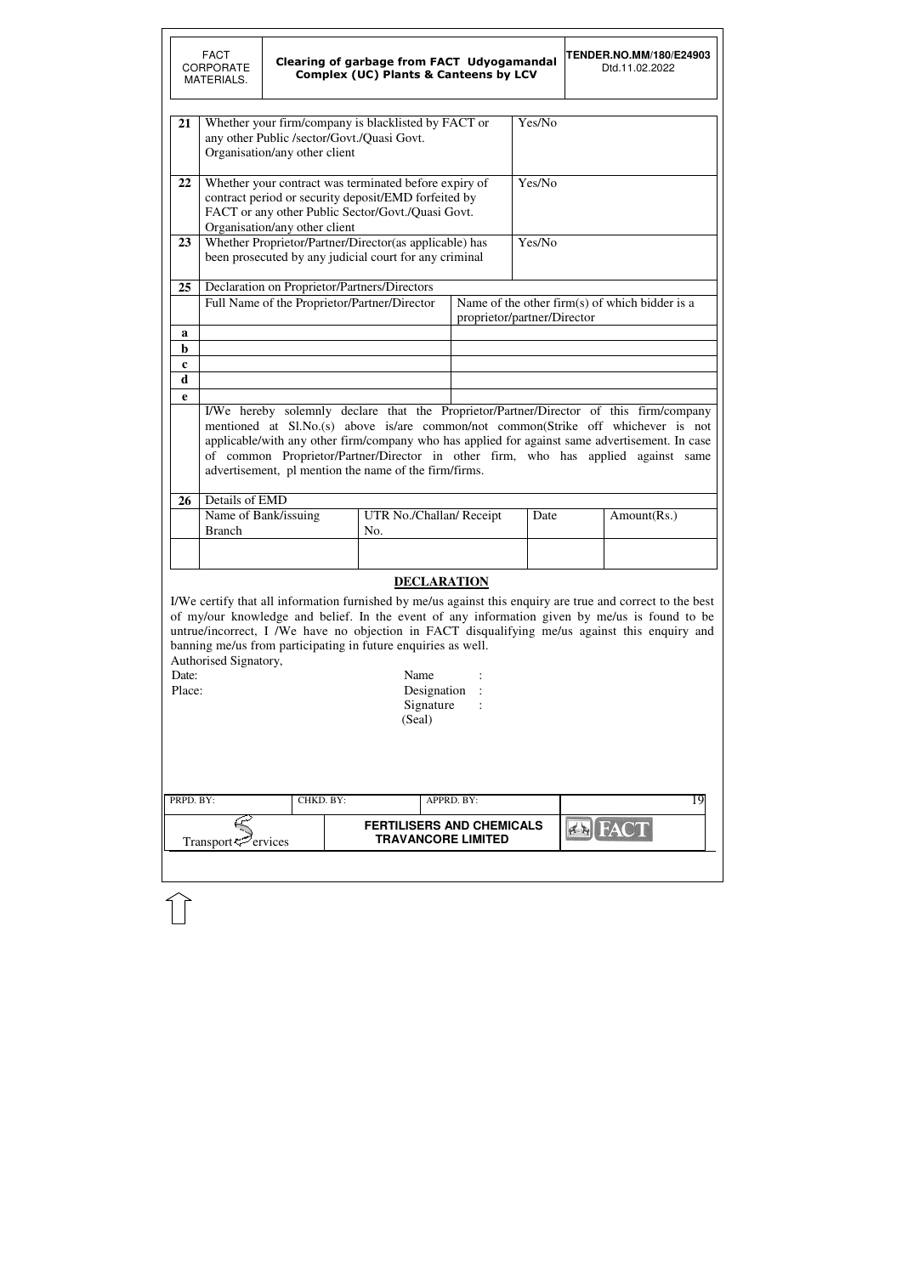|                                                                                                                                                                                                                                                                                                                                                                                                                                                                                                | <b>FACT</b><br><b>CORPORATE</b><br>MATERIALS.                                                                                                                                                                                                                                                                                                                                                                               |                               | <b>Clearing of garbage from FACT Udyogamandal</b><br><b>Complex (UC) Plants &amp; Canteens by LCV</b>                                                              |                           |                             | <b>TENDER.NO.MM/180/E24903</b><br>Dtd.11.02.2022 |  |  |  |  |  |
|------------------------------------------------------------------------------------------------------------------------------------------------------------------------------------------------------------------------------------------------------------------------------------------------------------------------------------------------------------------------------------------------------------------------------------------------------------------------------------------------|-----------------------------------------------------------------------------------------------------------------------------------------------------------------------------------------------------------------------------------------------------------------------------------------------------------------------------------------------------------------------------------------------------------------------------|-------------------------------|--------------------------------------------------------------------------------------------------------------------------------------------------------------------|---------------------------|-----------------------------|--------------------------------------------------|--|--|--|--|--|
| 21                                                                                                                                                                                                                                                                                                                                                                                                                                                                                             |                                                                                                                                                                                                                                                                                                                                                                                                                             | Organisation/any other client | Whether your firm/company is blacklisted by FACT or<br>any other Public /sector/Govt./Quasi Govt.                                                                  |                           | Yes/No                      |                                                  |  |  |  |  |  |
| 22                                                                                                                                                                                                                                                                                                                                                                                                                                                                                             |                                                                                                                                                                                                                                                                                                                                                                                                                             | Organisation/any other client | Whether your contract was terminated before expiry of<br>contract period or security deposit/EMD forfeited by<br>FACT or any other Public Sector/Govt./Quasi Govt. |                           | Yes/No                      |                                                  |  |  |  |  |  |
| 23                                                                                                                                                                                                                                                                                                                                                                                                                                                                                             |                                                                                                                                                                                                                                                                                                                                                                                                                             |                               | Whether Proprietor/Partner/Director(as applicable) has<br>been prosecuted by any judicial court for any criminal                                                   |                           | Yes/No                      |                                                  |  |  |  |  |  |
| 25                                                                                                                                                                                                                                                                                                                                                                                                                                                                                             |                                                                                                                                                                                                                                                                                                                                                                                                                             |                               | Declaration on Proprietor/Partners/Directors<br>Full Name of the Proprietor/Partner/Director                                                                       |                           | proprietor/partner/Director | Name of the other firm(s) of which bidder is a   |  |  |  |  |  |
| a<br>$\mathbf b$<br>$\mathbf c$                                                                                                                                                                                                                                                                                                                                                                                                                                                                |                                                                                                                                                                                                                                                                                                                                                                                                                             |                               |                                                                                                                                                                    |                           |                             |                                                  |  |  |  |  |  |
| $\mathbf d$<br>e                                                                                                                                                                                                                                                                                                                                                                                                                                                                               | I/We hereby solemnly declare that the Proprietor/Partner/Director of this firm/company<br>mentioned at Sl.No.(s) above is/are common/not common(Strike off whichever is not<br>applicable/with any other firm/company who has applied for against same advertisement. In case<br>of common Proprietor/Partner/Director in other firm, who has applied against same<br>advertisement, pl mention the name of the firm/firms. |                               |                                                                                                                                                                    |                           |                             |                                                  |  |  |  |  |  |
| <b>26</b>                                                                                                                                                                                                                                                                                                                                                                                                                                                                                      | Details of EMD<br>Name of Bank/issuing<br><b>Branch</b>                                                                                                                                                                                                                                                                                                                                                                     |                               | UTR No./Challan/ Receipt<br>No.                                                                                                                                    |                           | Date                        | Amount(Rs.)                                      |  |  |  |  |  |
|                                                                                                                                                                                                                                                                                                                                                                                                                                                                                                |                                                                                                                                                                                                                                                                                                                                                                                                                             |                               |                                                                                                                                                                    |                           |                             |                                                  |  |  |  |  |  |
| <b>DECLARATION</b><br>I/We certify that all information furnished by me/us against this enquiry are true and correct to the best<br>of my/our knowledge and belief. In the event of any information given by me/us is found to be<br>untrue/incorrect, I /We have no objection in FACT disqualifying me/us against this enquiry and<br>banning me/us from participating in future enquiries as well.<br>Authorised Signatory,<br>Name<br>Date:<br>Place:<br>Designation<br>Signature<br>(Seal) |                                                                                                                                                                                                                                                                                                                                                                                                                             |                               |                                                                                                                                                                    |                           |                             |                                                  |  |  |  |  |  |
| PRPD. BY:                                                                                                                                                                                                                                                                                                                                                                                                                                                                                      |                                                                                                                                                                                                                                                                                                                                                                                                                             | CHKD. BY:                     |                                                                                                                                                                    | APPRD. BY:                |                             | 19                                               |  |  |  |  |  |
|                                                                                                                                                                                                                                                                                                                                                                                                                                                                                                | Transport <sup>5</sup> ervices                                                                                                                                                                                                                                                                                                                                                                                              |                               | <b>FERTILISERS AND CHEMICALS</b>                                                                                                                                   | <b>TRAVANCORE LIMITED</b> |                             |                                                  |  |  |  |  |  |
|                                                                                                                                                                                                                                                                                                                                                                                                                                                                                                |                                                                                                                                                                                                                                                                                                                                                                                                                             |                               |                                                                                                                                                                    |                           |                             |                                                  |  |  |  |  |  |

 $\mathbb{\hat{}}$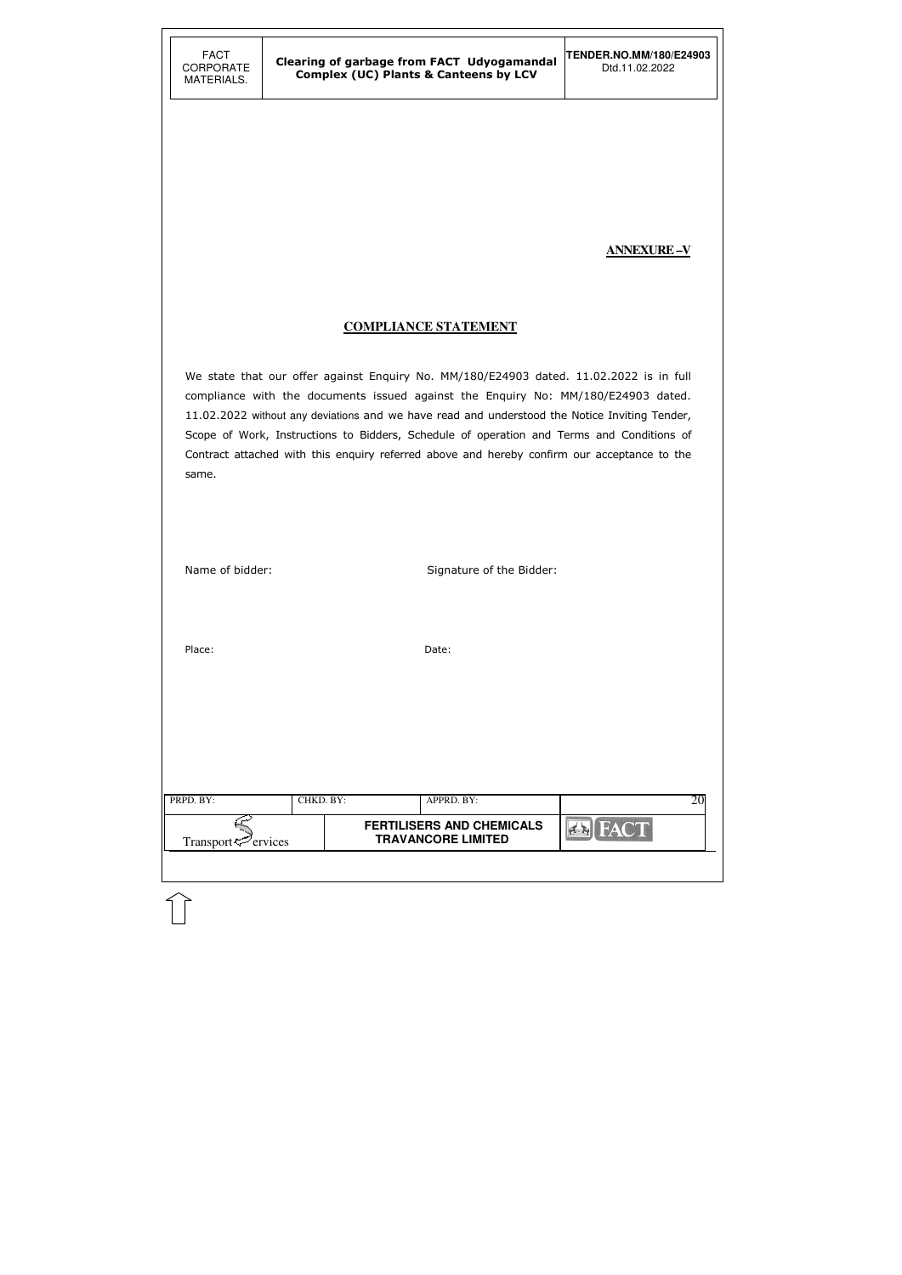#### **ANNEXURE –V**

#### **COMPLIANCE STATEMENT**

We state that our offer against Enquiry No. MM/180/E24903 dated. 11.02.2022 is in full compliance with the documents issued against the Enquiry No: MM/180/E24903 dated. 11.02.2022 without any deviations and we have read and understood the Notice Inviting Tender, Scope of Work, Instructions to Bidders, Schedule of operation and Terms and Conditions of Contract attached with this enquiry referred above and hereby confirm our acceptance to the same.

| Name of bidder:                              |           |       | Signature of the Bidder:                                                    |             |    |
|----------------------------------------------|-----------|-------|-----------------------------------------------------------------------------|-------------|----|
| Place:                                       |           | Date: |                                                                             |             |    |
| PRPD. BY:<br>Transport <sup>ry</sup> ervices | CHKD. BY: |       | APPRD. BY:<br><b>FERTILISERS AND CHEMICALS</b><br><b>TRAVANCORE LIMITED</b> | <b>FACT</b> | 20 |
|                                              |           |       |                                                                             |             |    |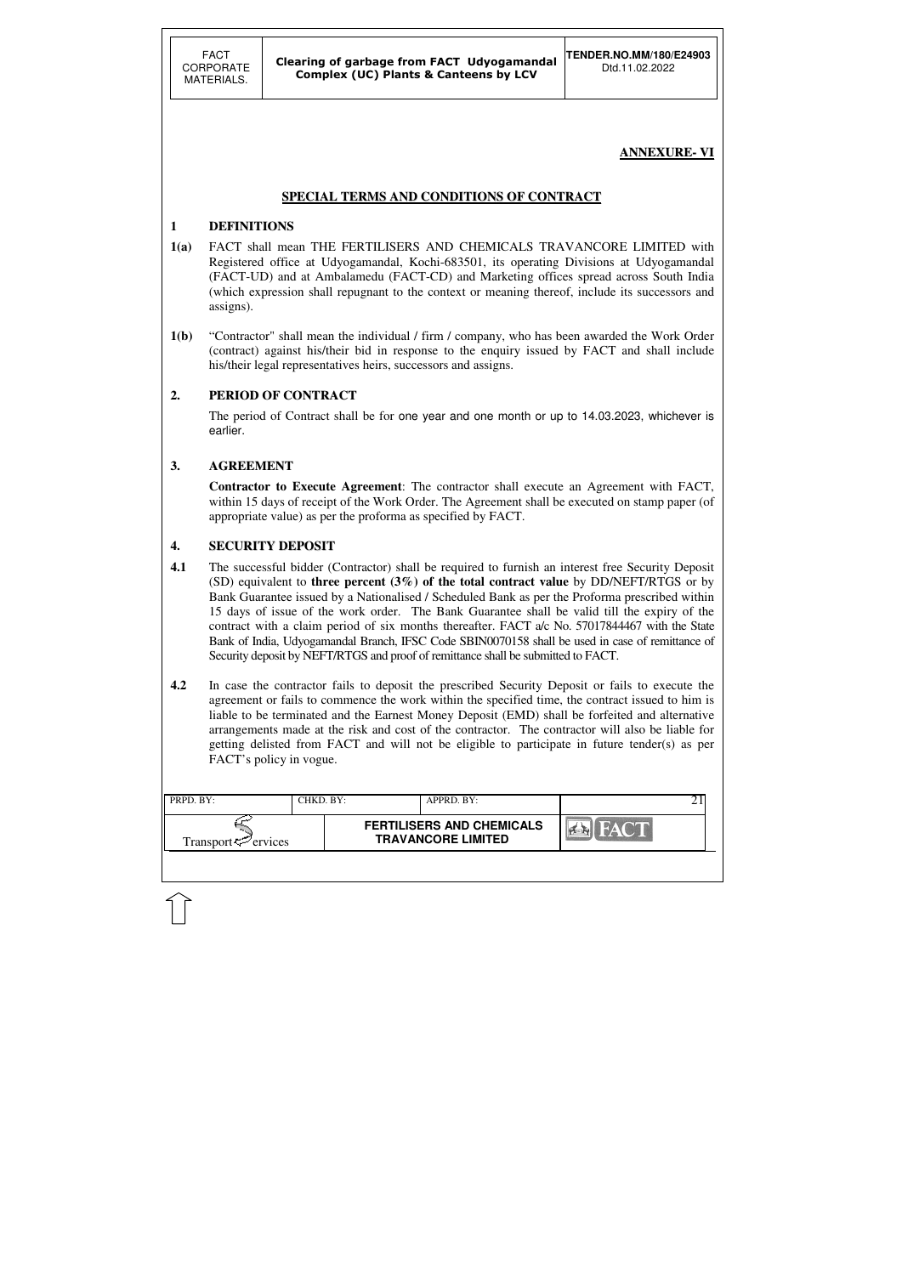| $\parallel$ PRPD. BY:       | CHKD. BY: | APPRD. BY:                                                    |  |
|-----------------------------|-----------|---------------------------------------------------------------|--|
| Transport $\varphi$ ervices |           | <b>FERTILISERS AND CHEMICALS</b><br><b>TRAVANCORE LIMITED</b> |  |
|                             |           |                                                               |  |

### **ANNEXURE- VI**

### **SPECIAL TERMS AND CONDITIONS OF CONTRACT**

### **1 DEFINITIONS**

- **1(a)** FACT shall mean THE FERTILISERS AND CHEMICALS TRAVANCORE LIMITED with Registered office at Udyogamandal, Kochi-683501, its operating Divisions at Udyogamandal (FACT-UD) and at Ambalamedu (FACT-CD) and Marketing offices spread across South India (which expression shall repugnant to the context or meaning thereof, include its successors and assigns).
- **1(b)** "Contractor" shall mean the individual / firm / company, who has been awarded the Work Order (contract) against his/their bid in response to the enquiry issued by FACT and shall include his/their legal representatives heirs, successors and assigns.

### **2. PERIOD OF CONTRACT**

 The period of Contract shall be for one year and one month or up to 14.03.2023, whichever is earlier.

### **3. AGREEMENT**

 **Contractor to Execute Agreement**: The contractor shall execute an Agreement with FACT, within 15 days of receipt of the Work Order. The Agreement shall be executed on stamp paper (of appropriate value) as per the proforma as specified by FACT.

### **4. SECURITY DEPOSIT**

- **4.1** The successful bidder (Contractor) shall be required to furnish an interest free Security Deposit (SD) equivalent to **three percent (3%) of the total contract value** by DD/NEFT/RTGS or by Bank Guarantee issued by a Nationalised / Scheduled Bank as per the Proforma prescribed within 15 days of issue of the work order. The Bank Guarantee shall be valid till the expiry of the contract with a claim period of six months thereafter. FACT a/c No. 57017844467 with the State Bank of India, Udyogamandal Branch, IFSC Code SBIN0070158 shall be used in case of remittance of Security deposit by NEFT/RTGS and proof of remittance shall be submitted to FACT.
- **4.2** In case the contractor fails to deposit the prescribed Security Deposit or fails to execute the agreement or fails to commence the work within the specified time, the contract issued to him is liable to be terminated and the Earnest Money Deposit (EMD) shall be forfeited and alternative arrangements made at the risk and cost of the contractor. The contractor will also be liable for getting delisted from FACT and will not be eligible to participate in future tender(s) as per FACT's policy in vogue.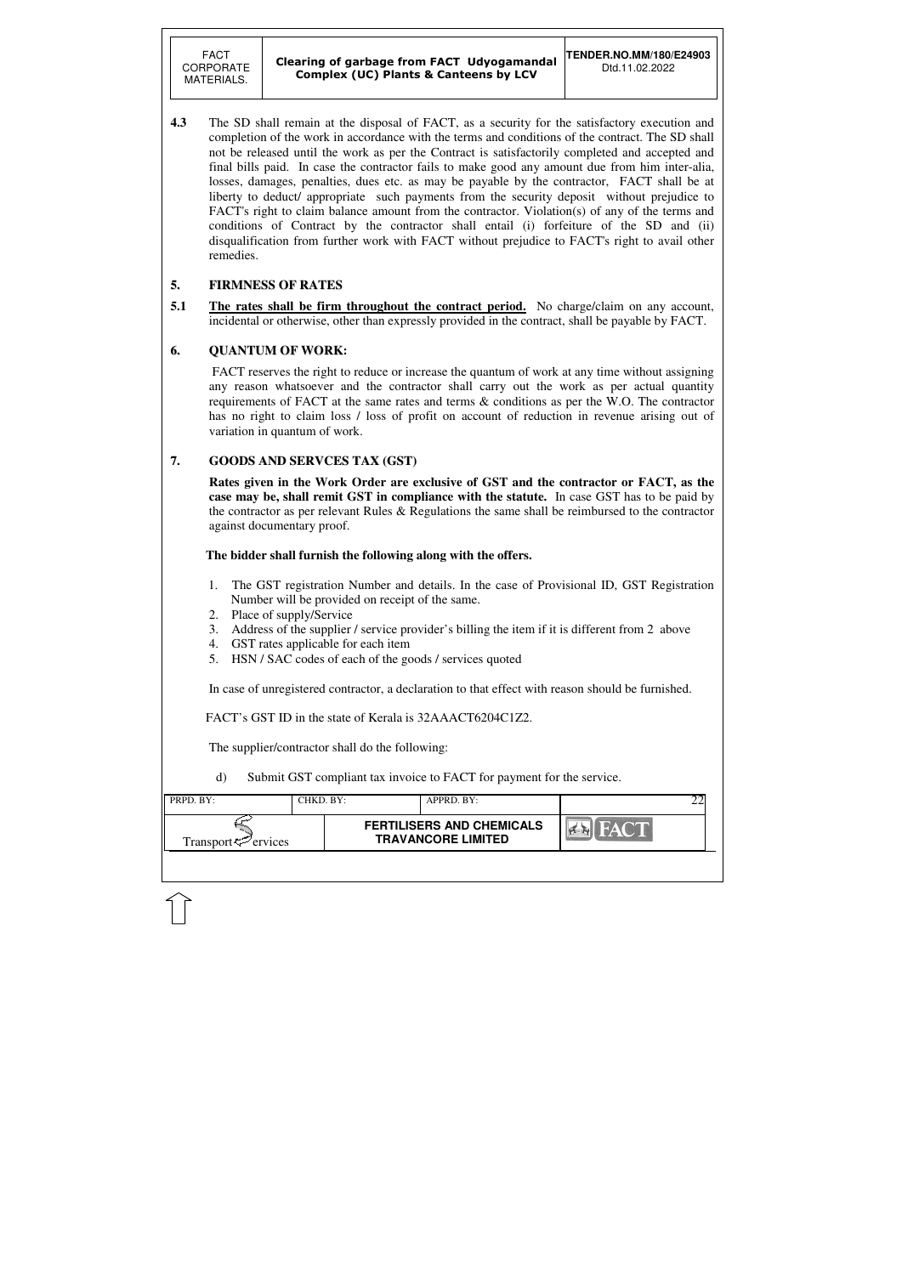FACT CORPORATE MATERIALS.

| PRPD. BY:                       | CHKD. BY: | APPRD. BY:                                                    |  |
|---------------------------------|-----------|---------------------------------------------------------------|--|
| Transport $\mathcal{P}$ ervices |           | <b>FERTILISERS AND CHEMICALS</b><br><b>TRAVANCORE LIMITED</b> |  |
|                                 |           |                                                               |  |

**4.3** The SD shall remain at the disposal of FACT, as a security for the satisfactory execution and completion of the work in accordance with the terms and conditions of the contract. The SD shall not be released until the work as per the Contract is satisfactorily completed and accepted and final bills paid. In case the contractor fails to make good any amount due from him inter-alia, losses, damages, penalties, dues etc. as may be payable by the contractor, FACT shall be at liberty to deduct/ appropriate such payments from the security deposit without prejudice to FACT's right to claim balance amount from the contractor. Violation(s) of any of the terms and conditions of Contract by the contractor shall entail (i) forfeiture of the SD and (ii) disqualification from further work with FACT without prejudice to FACT's right to avail other remedies.

### **5. FIRMNESS OF RATES**

**5.1 The rates shall be firm throughout the contract period.** No charge/claim on any account, incidental or otherwise, other than expressly provided in the contract, shall be payable by FACT.

### **6. QUANTUM OF WORK:**

 FACT reserves the right to reduce or increase the quantum of work at any time without assigning any reason whatsoever and the contractor shall carry out the work as per actual quantity requirements of FACT at the same rates and terms & conditions as per the W.O. The contractor has no right to claim loss / loss of profit on account of reduction in revenue arising out of variation in quantum of work.

### **7. GOODS AND SERVCES TAX (GST)**

 **Rates given in the Work Order are exclusive of GST and the contractor or FACT, as the case may be, shall remit GST in compliance with the statute.** In case GST has to be paid by the contractor as per relevant Rules & Regulations the same shall be reimbursed to the contractor against documentary proof.

### **The bidder shall furnish the following along with the offers.**

- 1. The GST registration Number and details. In the case of Provisional ID, GST Registration Number will be provided on receipt of the same.
- 2. Place of supply/Service
- 3. Address of the supplier / service provider's billing the item if it is different from 2 above
- 4. GST rates applicable for each item
- 5. HSN / SAC codes of each of the goods / services quoted

In case of unregistered contractor, a declaration to that effect with reason should be furnished.

FACT's GST ID in the state of Kerala is 32AAACT6204C1Z2.

The supplier/contractor shall do the following:

d) Submit GST compliant tax invoice to FACT for payment for the service.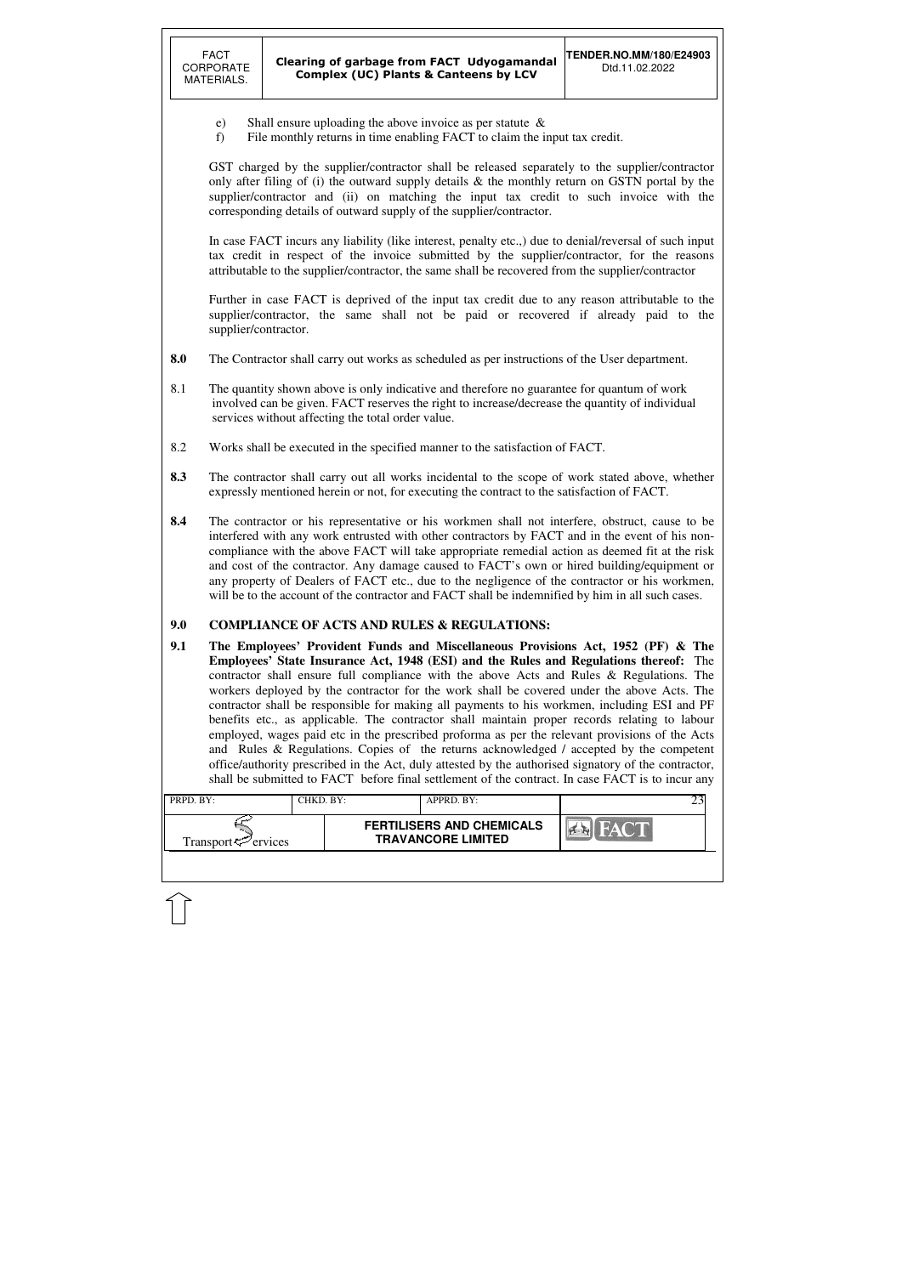| $\parallel$ PRPD. BY:           | CHKD. BY: | APPRD. BY:                                                    |  |
|---------------------------------|-----------|---------------------------------------------------------------|--|
| Transport <sup>ry</sup> ervices |           | <b>FERTILISERS AND CHEMICALS</b><br><b>TRAVANCORE LIMITED</b> |  |
|                                 |           |                                                               |  |

- e) Shall ensure uploading the above invoice as per statute &
- f) File monthly returns in time enabling FACT to claim the input tax credit.

GST charged by the supplier/contractor shall be released separately to the supplier/contractor only after filing of (i) the outward supply details & the monthly return on GSTN portal by the supplier/contractor and (ii) on matching the input tax credit to such invoice with the corresponding details of outward supply of the supplier/contractor.

- **8.0** The Contractor shall carry out works as scheduled as per instructions of the User department.
- 8.1 The quantity shown above is only indicative and therefore no guarantee for quantum of work involved can be given. FACT reserves the right to increase/decrease the quantity of individual services without affecting the total order value.
- 8.2 Works shall be executed in the specified manner to the satisfaction of FACT.
- **8.3** The contractor shall carry out all works incidental to the scope of work stated above, whether expressly mentioned herein or not, for executing the contract to the satisfaction of FACT.
- **8.4** The contractor or his representative or his workmen shall not interfere, obstruct, cause to be interfered with any work entrusted with other contractors by FACT and in the event of his noncompliance with the above FACT will take appropriate remedial action as deemed fit at the risk and cost of the contractor. Any damage caused to FACT's own or hired building/equipment or any property of Dealers of FACT etc., due to the negligence of the contractor or his workmen, will be to the account of the contractor and FACT shall be indemnified by him in all such cases.

In case FACT incurs any liability (like interest, penalty etc.,) due to denial/reversal of such input tax credit in respect of the invoice submitted by the supplier/contractor, for the reasons attributable to the supplier/contractor, the same shall be recovered from the supplier/contractor

Further in case FACT is deprived of the input tax credit due to any reason attributable to the supplier/contractor, the same shall not be paid or recovered if already paid to the supplier/contractor.

### **9.0 COMPLIANCE OF ACTS AND RULES & REGULATIONS:**

**9.1 The Employees' Provident Funds and Miscellaneous Provisions Act, 1952 (PF) & The Employees' State Insurance Act, 1948 (ESI) and the Rules and Regulations thereof:** The contractor shall ensure full compliance with the above Acts and Rules & Regulations. The workers deployed by the contractor for the work shall be covered under the above Acts. The contractor shall be responsible for making all payments to his workmen, including ESI and PF benefits etc., as applicable. The contractor shall maintain proper records relating to labour employed, wages paid etc in the prescribed proforma as per the relevant provisions of the Acts and Rules & Regulations. Copies of the returns acknowledged / accepted by the competent office/authority prescribed in the Act, duly attested by the authorised signatory of the contractor, shall be submitted to FACT before final settlement of the contract. In case FACT is to incur any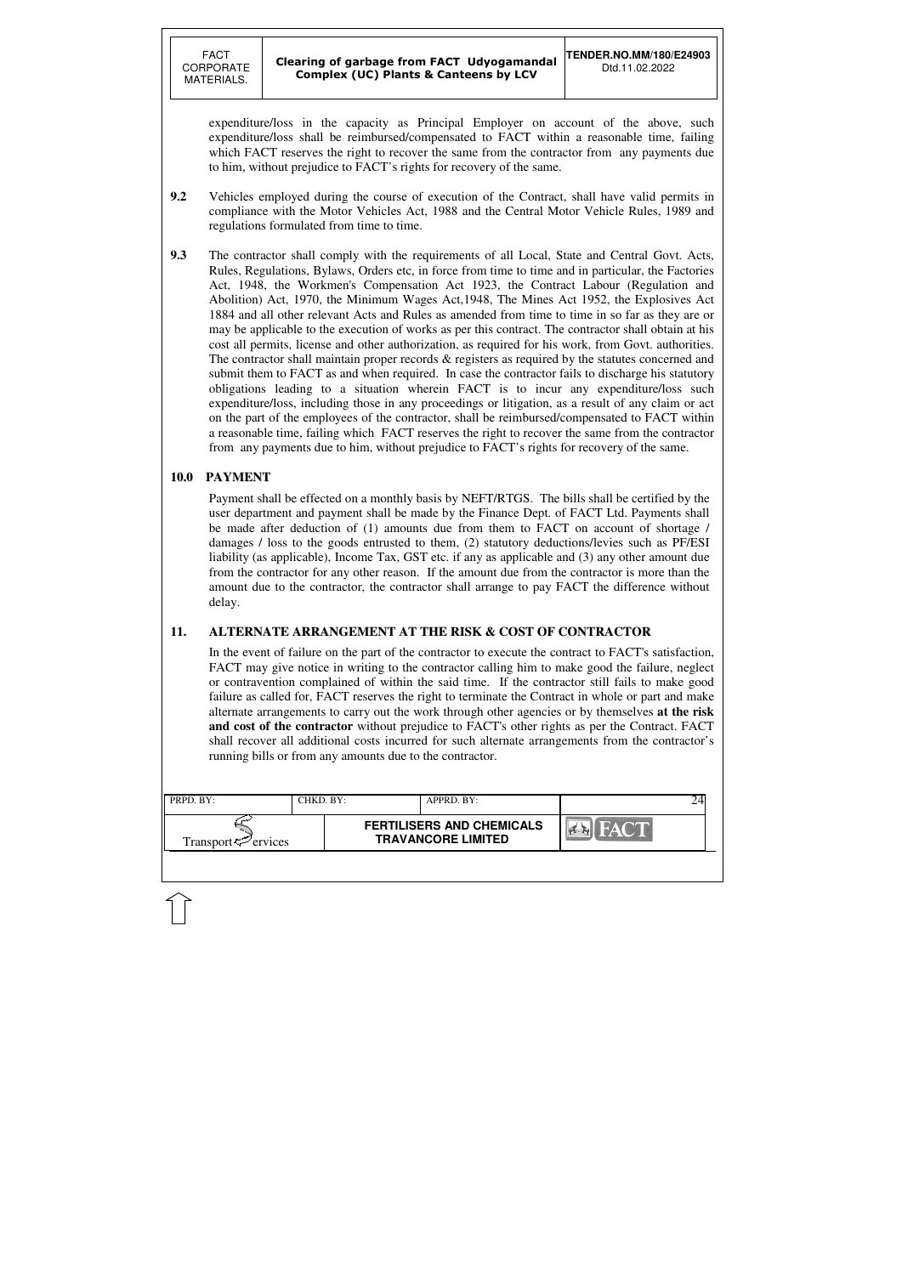| PRPD. BY:                      | CHKD. BY: |                                                               | APPRD. BY:              |  |  |
|--------------------------------|-----------|---------------------------------------------------------------|-------------------------|--|--|
| Transport <sup>7</sup> ervices |           | <b>FERTILISERS AND CHEMICALS</b><br><b>TRAVANCORE LIMITED</b> | $\mathbb{Z}/\mathbb{Z}$ |  |  |
|                                |           |                                                               |                         |  |  |

expenditure/loss in the capacity as Principal Employer on account of the above, such expenditure/loss shall be reimbursed/compensated to FACT within a reasonable time, failing which FACT reserves the right to recover the same from the contractor from any payments due to him, without prejudice to FACT's rights for recovery of the same.

- **9.2** Vehicles employed during the course of execution of the Contract, shall have valid permits in compliance with the Motor Vehicles Act, 1988 and the Central Motor Vehicle Rules, 1989 and regulations formulated from time to time.
- **9.3** The contractor shall comply with the requirements of all Local, State and Central Govt. Acts, Rules, Regulations, Bylaws, Orders etc, in force from time to time and in particular, the Factories Act, 1948, the Workmen's Compensation Act 1923, the Contract Labour (Regulation and Abolition) Act, 1970, the Minimum Wages Act,1948, The Mines Act 1952, the Explosives Act 1884 and all other relevant Acts and Rules as amended from time to time in so far as they are or may be applicable to the execution of works as per this contract. The contractor shall obtain at his cost all permits, license and other authorization, as required for his work, from Govt. authorities. The contractor shall maintain proper records & registers as required by the statutes concerned and submit them to FACT as and when required. In case the contractor fails to discharge his statutory obligations leading to a situation wherein FACT is to incur any expenditure/loss such expenditure/loss, including those in any proceedings or litigation, as a result of any claim or act on the part of the employees of the contractor, shall be reimbursed/compensated to FACT within a reasonable time, failing which FACT reserves the right to recover the same from the contractor from any payments due to him, without prejudice to FACT's rights for recovery of the same.

### **10.0 PAYMENT**

Payment shall be effected on a monthly basis by NEFT/RTGS. The bills shall be certified by the user department and payment shall be made by the Finance Dept. of FACT Ltd. Payments shall be made after deduction of (1) amounts due from them to FACT on account of shortage / damages / loss to the goods entrusted to them, (2) statutory deductions/levies such as PF/ESI liability (as applicable), Income Tax, GST etc. if any as applicable and (3) any other amount due from the contractor for any other reason. If the amount due from the contractor is more than the amount due to the contractor, the contractor shall arrange to pay FACT the difference without delay.

### **11. ALTERNATE ARRANGEMENT AT THE RISK & COST OF CONTRACTOR**

In the event of failure on the part of the contractor to execute the contract to FACT's satisfaction, FACT may give notice in writing to the contractor calling him to make good the failure, neglect or contravention complained of within the said time. If the contractor still fails to make good failure as called for, FACT reserves the right to terminate the Contract in whole or part and make alternate arrangements to carry out the work through other agencies or by themselves **at the risk and cost of the contractor** without prejudice to FACT's other rights as per the Contract. FACT shall recover all additional costs incurred for such alternate arrangements from the contractor's running bills or from any amounts due to the contractor.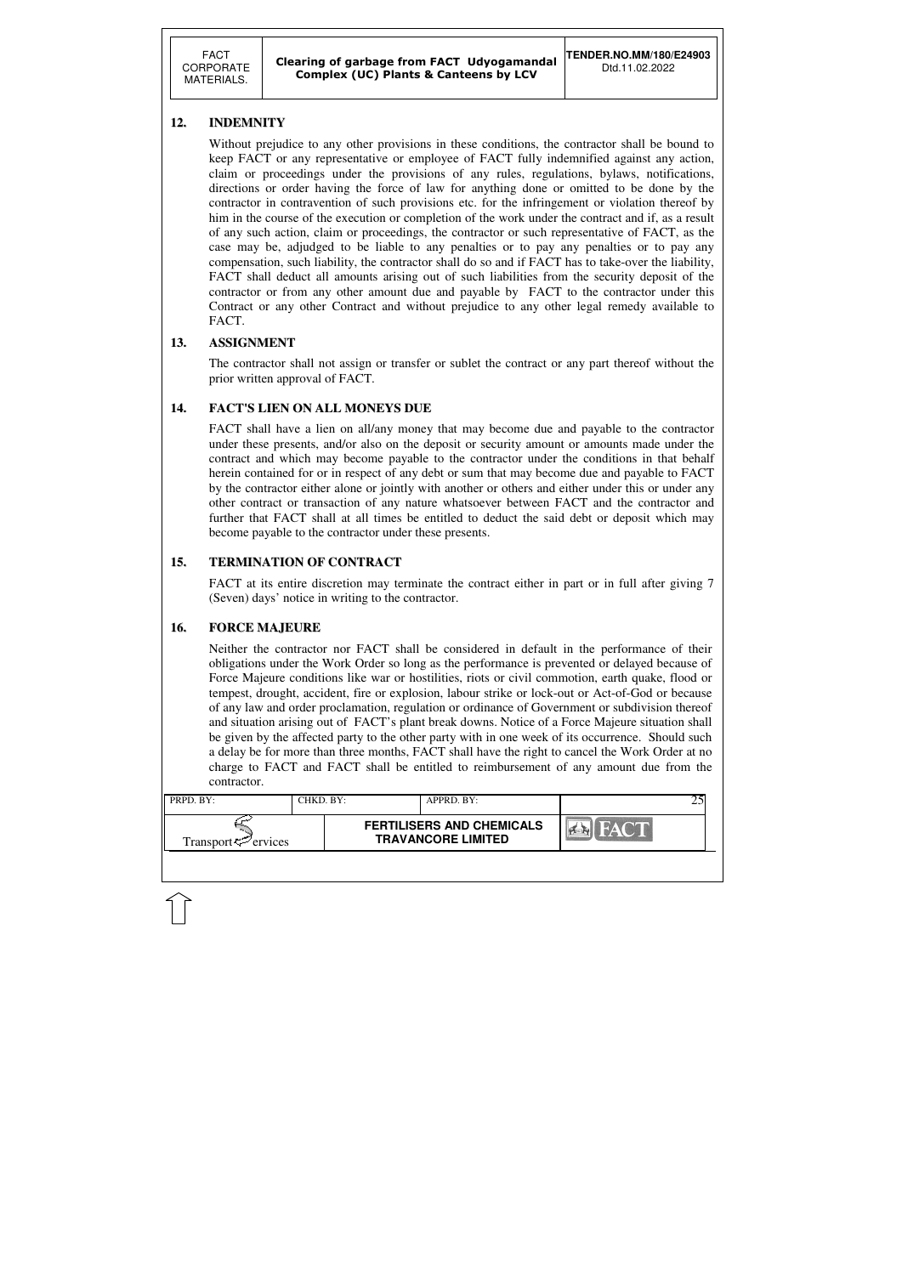FACT CORPORATE MATERIALS.

| PRPD. BY:                       | CHKD. BY:- | APPRD. BY:                                                    |  |
|---------------------------------|------------|---------------------------------------------------------------|--|
| Transport <sup>ry</sup> ervices |            | <b>FERTILISERS AND CHEMICALS</b><br><b>TRAVANCORE LIMITED</b> |  |

### **12. INDEMNITY**

Without prejudice to any other provisions in these conditions, the contractor shall be bound to keep FACT or any representative or employee of FACT fully indemnified against any action, claim or proceedings under the provisions of any rules, regulations, bylaws, notifications, directions or order having the force of law for anything done or omitted to be done by the contractor in contravention of such provisions etc. for the infringement or violation thereof by him in the course of the execution or completion of the work under the contract and if, as a result of any such action, claim or proceedings, the contractor or such representative of FACT, as the case may be, adjudged to be liable to any penalties or to pay any penalties or to pay any compensation, such liability, the contractor shall do so and if FACT has to take-over the liability, FACT shall deduct all amounts arising out of such liabilities from the security deposit of the contractor or from any other amount due and payable by FACT to the contractor under this Contract or any other Contract and without prejudice to any other legal remedy available to FACT.

### **13. ASSIGNMENT**

 The contractor shall not assign or transfer or sublet the contract or any part thereof without the prior written approval of FACT.

### **14. FACT'S LIEN ON ALL MONEYS DUE**

 FACT shall have a lien on all/any money that may become due and payable to the contractor under these presents, and/or also on the deposit or security amount or amounts made under the contract and which may become payable to the contractor under the conditions in that behalf herein contained for or in respect of any debt or sum that may become due and payable to FACT by the contractor either alone or jointly with another or others and either under this or under any other contract or transaction of any nature whatsoever between FACT and the contractor and further that FACT shall at all times be entitled to deduct the said debt or deposit which may become payable to the contractor under these presents.

### **15. TERMINATION OF CONTRACT**

FACT at its entire discretion may terminate the contract either in part or in full after giving 7 (Seven) days' notice in writing to the contractor.

### **16. FORCE MAJEURE**

Neither the contractor nor FACT shall be considered in default in the performance of their obligations under the Work Order so long as the performance is prevented or delayed because of Force Majeure conditions like war or hostilities, riots or civil commotion, earth quake, flood or tempest, drought, accident, fire or explosion, labour strike or lock-out or Act-of-God or because of any law and order proclamation, regulation or ordinance of Government or subdivision thereof and situation arising out of FACT's plant break downs. Notice of a Force Majeure situation shall be given by the affected party to the other party with in one week of its occurrence. Should such a delay be for more than three months, FACT shall have the right to cancel the Work Order at no charge to FACT and FACT shall be entitled to reimbursement of any amount due from the contractor.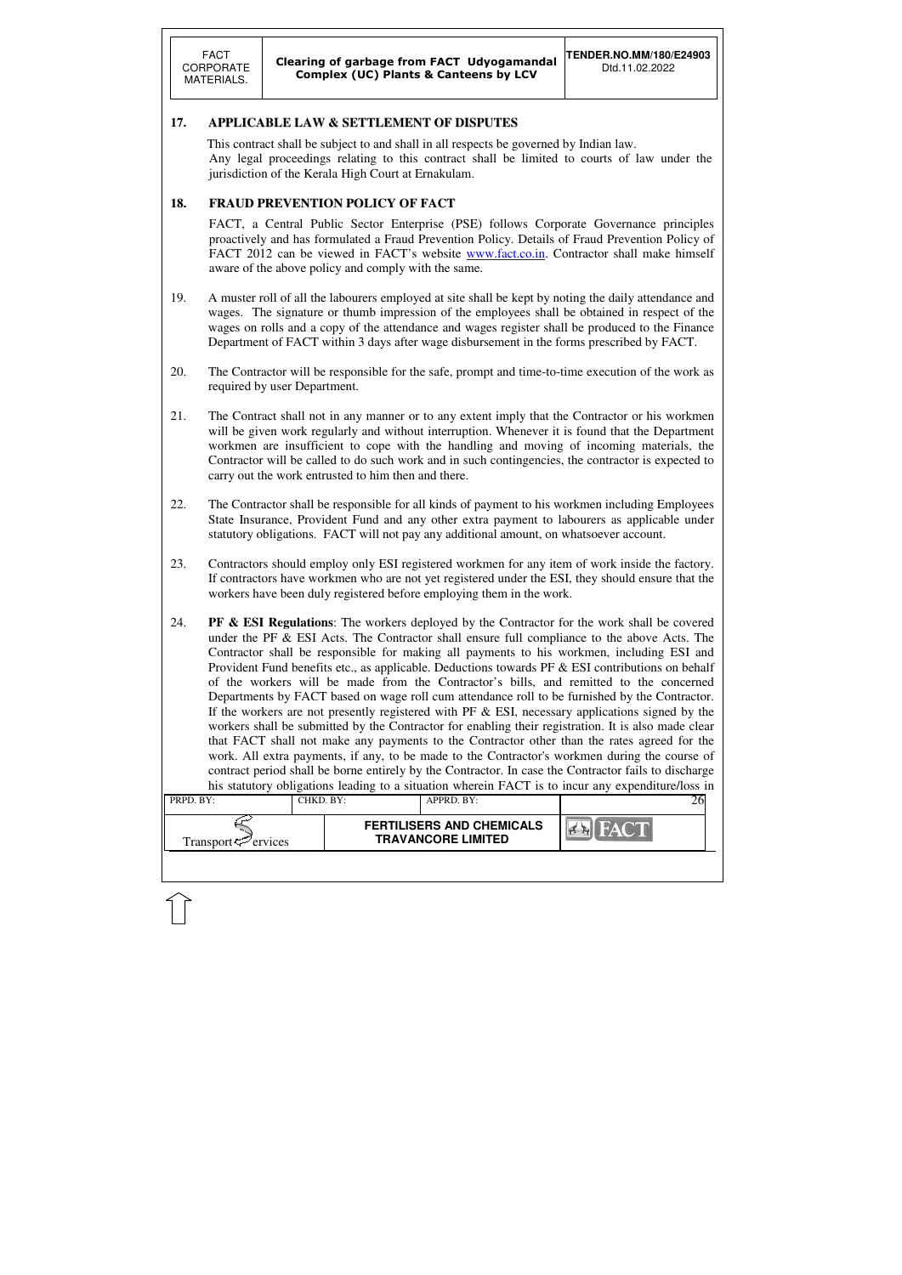| PRPD. BY:                       | CHKD, BY: | $APPRD$ . $BY:$                                               |  |
|---------------------------------|-----------|---------------------------------------------------------------|--|
| Transport <sup>ry</sup> ervices |           | <b>FERTILISERS AND CHEMICALS</b><br><b>TRAVANCORE LIMITED</b> |  |

### **17. APPLICABLE LAW & SETTLEMENT OF DISPUTES**

 This contract shall be subject to and shall in all respects be governed by Indian law. Any legal proceedings relating to this contract shall be limited to courts of law under the jurisdiction of the Kerala High Court at Ernakulam.

### **18. FRAUD PREVENTION POLICY OF FACT**

FACT, a Central Public Sector Enterprise (PSE) follows Corporate Governance principles proactively and has formulated a Fraud Prevention Policy. Details of Fraud Prevention Policy of FACT 2012 can be viewed in FACT's website www.fact.co.in. Contractor shall make himself aware of the above policy and comply with the same.

- 19. A muster roll of all the labourers employed at site shall be kept by noting the daily attendance and wages. The signature or thumb impression of the employees shall be obtained in respect of the wages on rolls and a copy of the attendance and wages register shall be produced to the Finance Department of FACT within 3 days after wage disbursement in the forms prescribed by FACT.
- 20. The Contractor will be responsible for the safe, prompt and time-to-time execution of the work as required by user Department.
- 21. The Contract shall not in any manner or to any extent imply that the Contractor or his workmen will be given work regularly and without interruption. Whenever it is found that the Department workmen are insufficient to cope with the handling and moving of incoming materials, the Contractor will be called to do such work and in such contingencies, the contractor is expected to carry out the work entrusted to him then and there.
- 22. The Contractor shall be responsible for all kinds of payment to his workmen including Employees State Insurance, Provident Fund and any other extra payment to labourers as applicable under statutory obligations. FACT will not pay any additional amount, on whatsoever account.
- 23. Contractors should employ only ESI registered workmen for any item of work inside the factory. If contractors have workmen who are not yet registered under the ESI, they should ensure that the workers have been duly registered before employing them in the work.
- 24. **PF & ESI Regulations**: The workers deployed by the Contractor for the work shall be covered under the PF & ESI Acts. The Contractor shall ensure full compliance to the above Acts. The Contractor shall be responsible for making all payments to his workmen, including ESI and Provident Fund benefits etc., as applicable. Deductions towards PF & ESI contributions on behalf of the workers will be made from the Contractor's bills, and remitted to the concerned Departments by FACT based on wage roll cum attendance roll to be furnished by the Contractor. If the workers are not presently registered with PF & ESI, necessary applications signed by the workers shall be submitted by the Contractor for enabling their registration. It is also made clear that FACT shall not make any payments to the Contractor other than the rates agreed for the work. All extra payments, if any, to be made to the Contractor's workmen during the course of contract period shall be borne entirely by the Contractor. In case the Contractor fails to discharge his statutory obligations leading to a situation wherein FACT is to incur any expenditure/loss in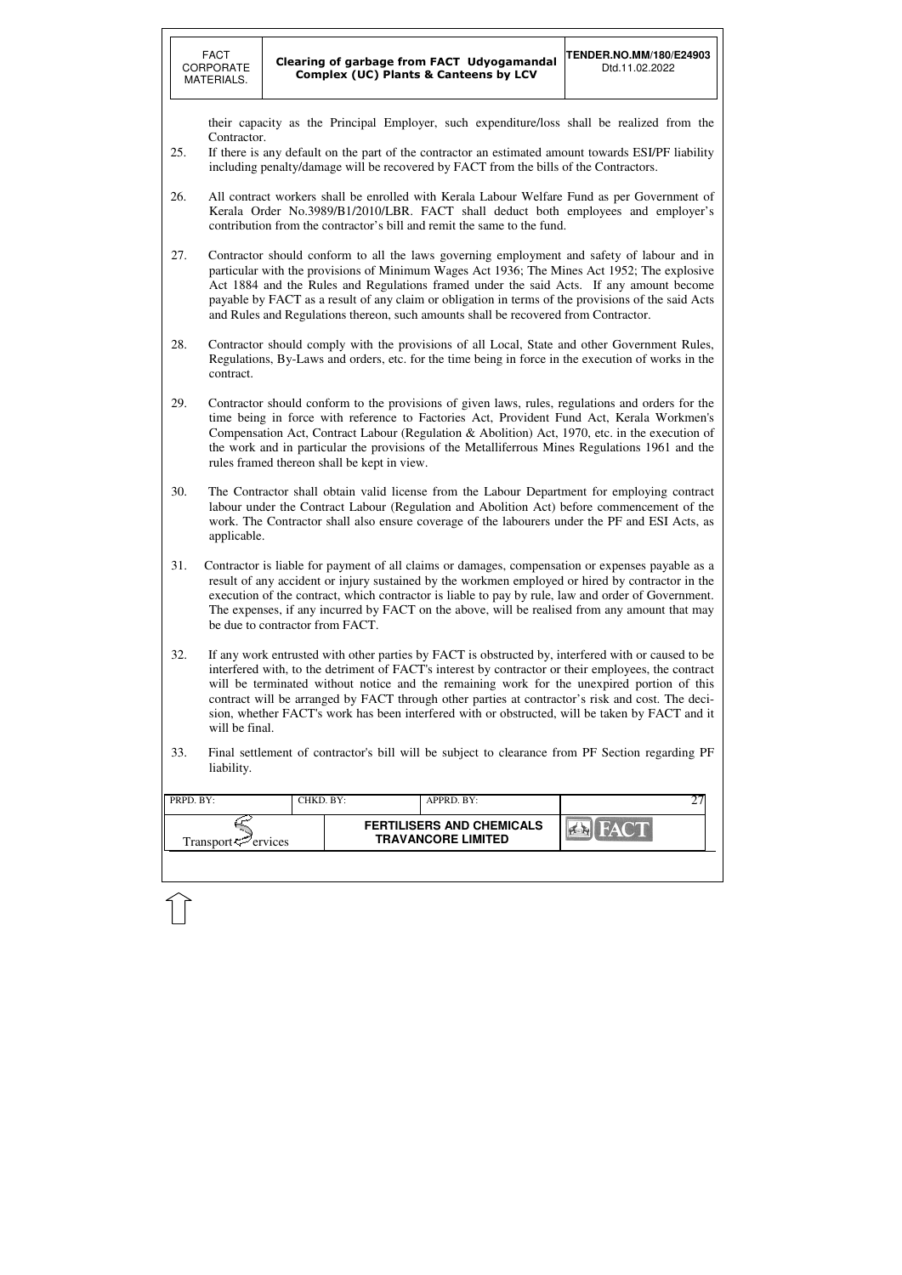| PRPD. BY:                       | CHKD. BY: | APPRD. BY:                                                    |      |  |
|---------------------------------|-----------|---------------------------------------------------------------|------|--|
| Transport $\mathcal{P}$ ervices |           | <b>FERTILISERS AND CHEMICALS</b><br><b>TRAVANCORE LIMITED</b> | FACT |  |
|                                 |           |                                                               |      |  |

their capacity as the Principal Employer, such expenditure/loss shall be realized from the Contractor.

- 25. If there is any default on the part of the contractor an estimated amount towards ESI/PF liability including penalty/damage will be recovered by FACT from the bills of the Contractors.
- 26. All contract workers shall be enrolled with Kerala Labour Welfare Fund as per Government of Kerala Order No.3989/B1/2010/LBR. FACT shall deduct both employees and employer's contribution from the contractor's bill and remit the same to the fund.
- 27. Contractor should conform to all the laws governing employment and safety of labour and in particular with the provisions of Minimum Wages Act 1936; The Mines Act 1952; The explosive Act 1884 and the Rules and Regulations framed under the said Acts. If any amount become payable by FACT as a result of any claim or obligation in terms of the provisions of the said Acts and Rules and Regulations thereon, such amounts shall be recovered from Contractor.
- 28. Contractor should comply with the provisions of all Local, State and other Government Rules, Regulations, By-Laws and orders, etc. for the time being in force in the execution of works in the contract.
- 29. Contractor should conform to the provisions of given laws, rules, regulations and orders for the time being in force with reference to Factories Act, Provident Fund Act, Kerala Workmen's Compensation Act, Contract Labour (Regulation & Abolition) Act, 1970, etc. in the execution of the work and in particular the provisions of the Metalliferrous Mines Regulations 1961 and the rules framed thereon shall be kept in view.
- 30. The Contractor shall obtain valid license from the Labour Department for employing contract labour under the Contract Labour (Regulation and Abolition Act) before commencement of the work. The Contractor shall also ensure coverage of the labourers under the PF and ESI Acts, as applicable.
- 31. Contractor is liable for payment of all claims or damages, compensation or expenses payable as a result of any accident or injury sustained by the workmen employed or hired by contractor in the execution of the contract, which contractor is liable to pay by rule, law and order of Government. The expenses, if any incurred by FACT on the above, will be realised from any amount that may be due to contractor from FACT.
- 32. If any work entrusted with other parties by FACT is obstructed by, interfered with or caused to be interfered with, to the detriment of FACT's interest by contractor or their employees, the contract will be terminated without notice and the remaining work for the unexpired portion of this contract will be arranged by FACT through other parties at contractor's risk and cost. The decision, whether FACT's work has been interfered with or obstructed, will be taken by FACT and it will be final.
- 33. Final settlement of contractor's bill will be subject to clearance from PF Section regarding PF liability.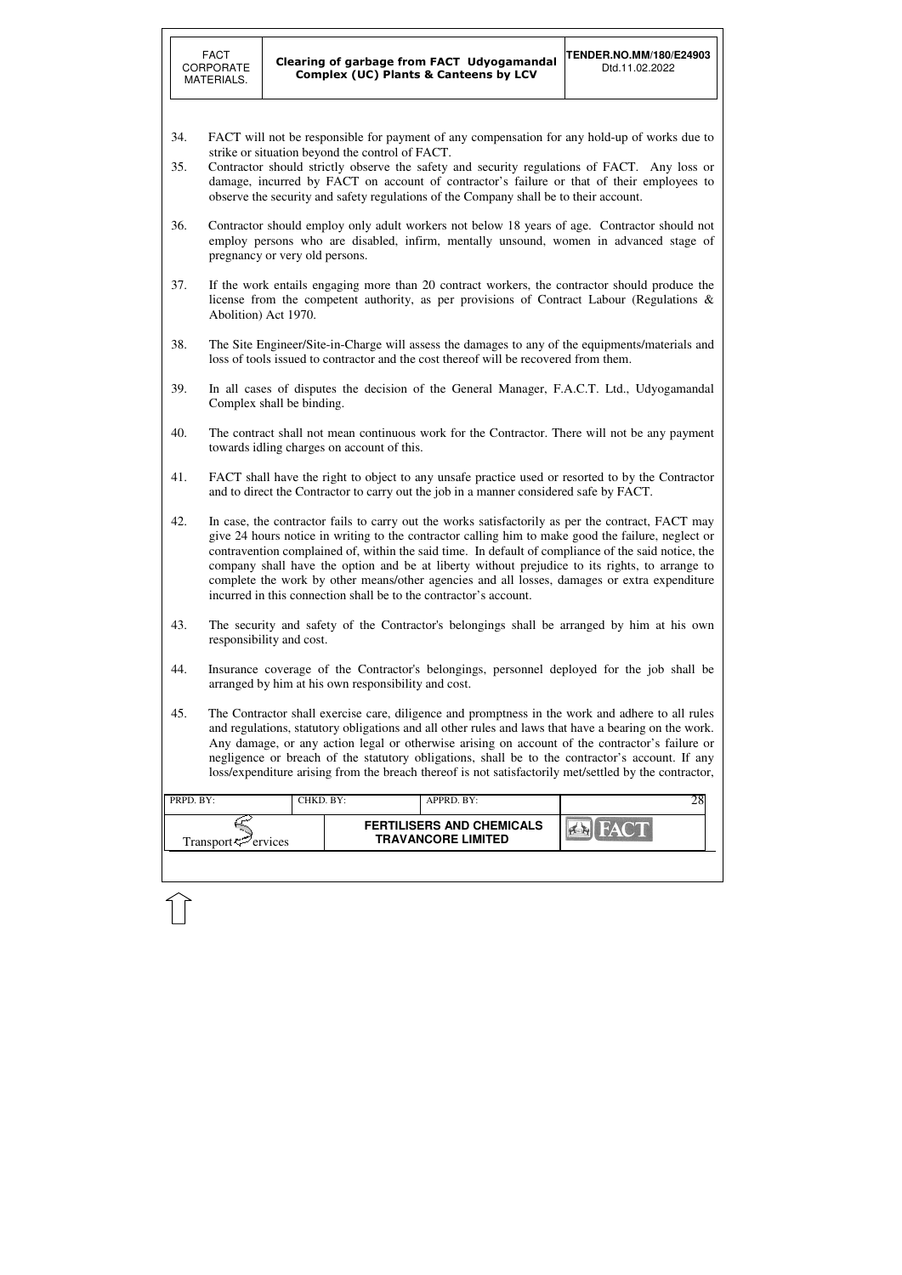| <b>PRPD.</b> BY:                | CHKD, BY: | $APPRD$ . $BY:$                                               |  |
|---------------------------------|-----------|---------------------------------------------------------------|--|
| Transport <sup>ry</sup> ervices |           | <b>FERTILISERS AND CHEMICALS</b><br><b>TRAVANCORE LIMITED</b> |  |
|                                 |           |                                                               |  |

- 34. FACT will not be responsible for payment of any compensation for any hold-up of works due to strike or situation beyond the control of FACT.
- 35. Contractor should strictly observe the safety and security regulations of FACT. Any loss or damage, incurred by FACT on account of contractor's failure or that of their employees to observe the security and safety regulations of the Company shall be to their account.
- 36. Contractor should employ only adult workers not below 18 years of age. Contractor should not employ persons who are disabled, infirm, mentally unsound, women in advanced stage of pregnancy or very old persons.
- 37. If the work entails engaging more than 20 contract workers, the contractor should produce the license from the competent authority, as per provisions of Contract Labour (Regulations & Abolition) Act 1970.
- 38. The Site Engineer/Site-in-Charge will assess the damages to any of the equipments/materials and loss of tools issued to contractor and the cost thereof will be recovered from them.
- 39. In all cases of disputes the decision of the General Manager, F.A.C.T. Ltd., Udyogamandal Complex shall be binding.
- 40. The contract shall not mean continuous work for the Contractor. There will not be any payment towards idling charges on account of this.
- 41. FACT shall have the right to object to any unsafe practice used or resorted to by the Contractor and to direct the Contractor to carry out the job in a manner considered safe by FACT.
- 42. In case, the contractor fails to carry out the works satisfactorily as per the contract, FACT may give 24 hours notice in writing to the contractor calling him to make good the failure, neglect or contravention complained of, within the said time. In default of compliance of the said notice, the company shall have the option and be at liberty without prejudice to its rights, to arrange to complete the work by other means/other agencies and all losses, damages or extra expenditure incurred in this connection shall be to the contractor's account.
- 43. The security and safety of the Contractor's belongings shall be arranged by him at his own responsibility and cost.
- 44. Insurance coverage of the Contractor's belongings, personnel deployed for the job shall be arranged by him at his own responsibility and cost.
- 45. The Contractor shall exercise care, diligence and promptness in the work and adhere to all rules and regulations, statutory obligations and all other rules and laws that have a bearing on the work. Any damage, or any action legal or otherwise arising on account of the contractor's failure or negligence or breach of the statutory obligations, shall be to the contractor's account. If any loss/expenditure arising from the breach thereof is not satisfactorily met/settled by the contractor,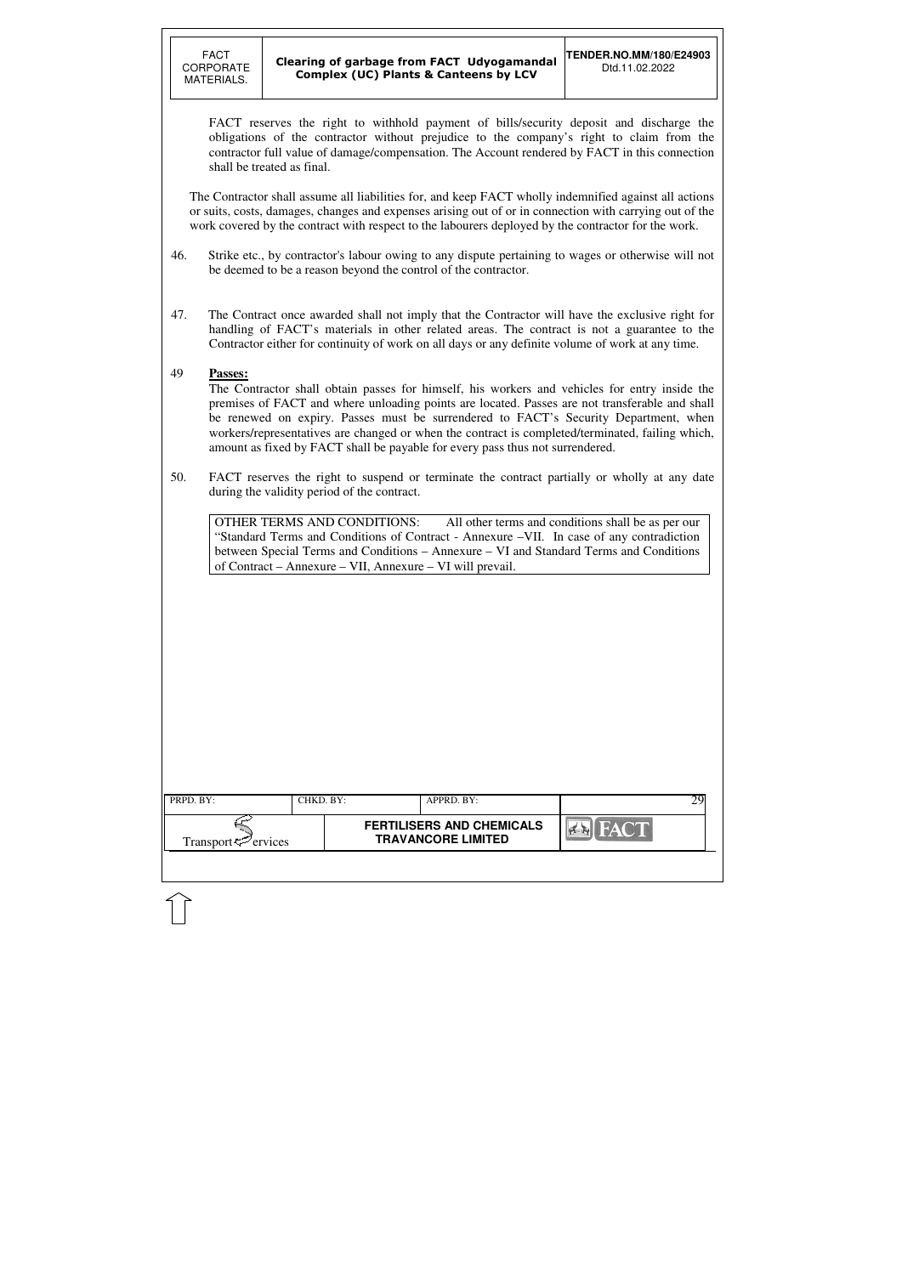| PRPD. BY:                      | CHKD. BY: | APPRD. BY:                                                    |  |
|--------------------------------|-----------|---------------------------------------------------------------|--|
| Transport <sup>7</sup> ervices |           | <b>FERTILISERS AND CHEMICALS</b><br><b>TRAVANCORE LIMITED</b> |  |

FACT reserves the right to withhold payment of bills/security deposit and discharge the obligations of the contractor without prejudice to the company's right to claim from the contractor full value of damage/compensation. The Account rendered by FACT in this connection shall be treated as final.

The Contractor shall assume all liabilities for, and keep FACT wholly indemnified against all actions or suits, costs, damages, changes and expenses arising out of or in connection with carrying out of the work covered by the contract with respect to the labourers deployed by the contractor for the work.

- 46. Strike etc., by contractor's labour owing to any dispute pertaining to wages or otherwise will not be deemed to be a reason beyond the control of the contractor.
- 47. The Contract once awarded shall not imply that the Contractor will have the exclusive right for handling of FACT's materials in other related areas. The contract is not a guarantee to the Contractor either for continuity of work on all days or any definite volume of work at any time.

### 49 **Passes:**

The Contractor shall obtain passes for himself, his workers and vehicles for entry inside the premises of FACT and where unloading points are located. Passes are not transferable and shall be renewed on expiry. Passes must be surrendered to FACT's Security Department, when workers/representatives are changed or when the contract is completed/terminated, failing which, amount as fixed by FACT shall be payable for every pass thus not surrendered.

50. FACT reserves the right to suspend or terminate the contract partially or wholly at any date during the validity period of the contract.

OTHER TERMS AND CONDITIONS: All other terms and conditions shall be as per our "Standard Terms and Conditions of Contract - Annexure –VII. In case of any contradiction between Special Terms and Conditions – Annexure – VI and Standard Terms and Conditions of Contract – Annexure – VII, Annexure – VI will prevail.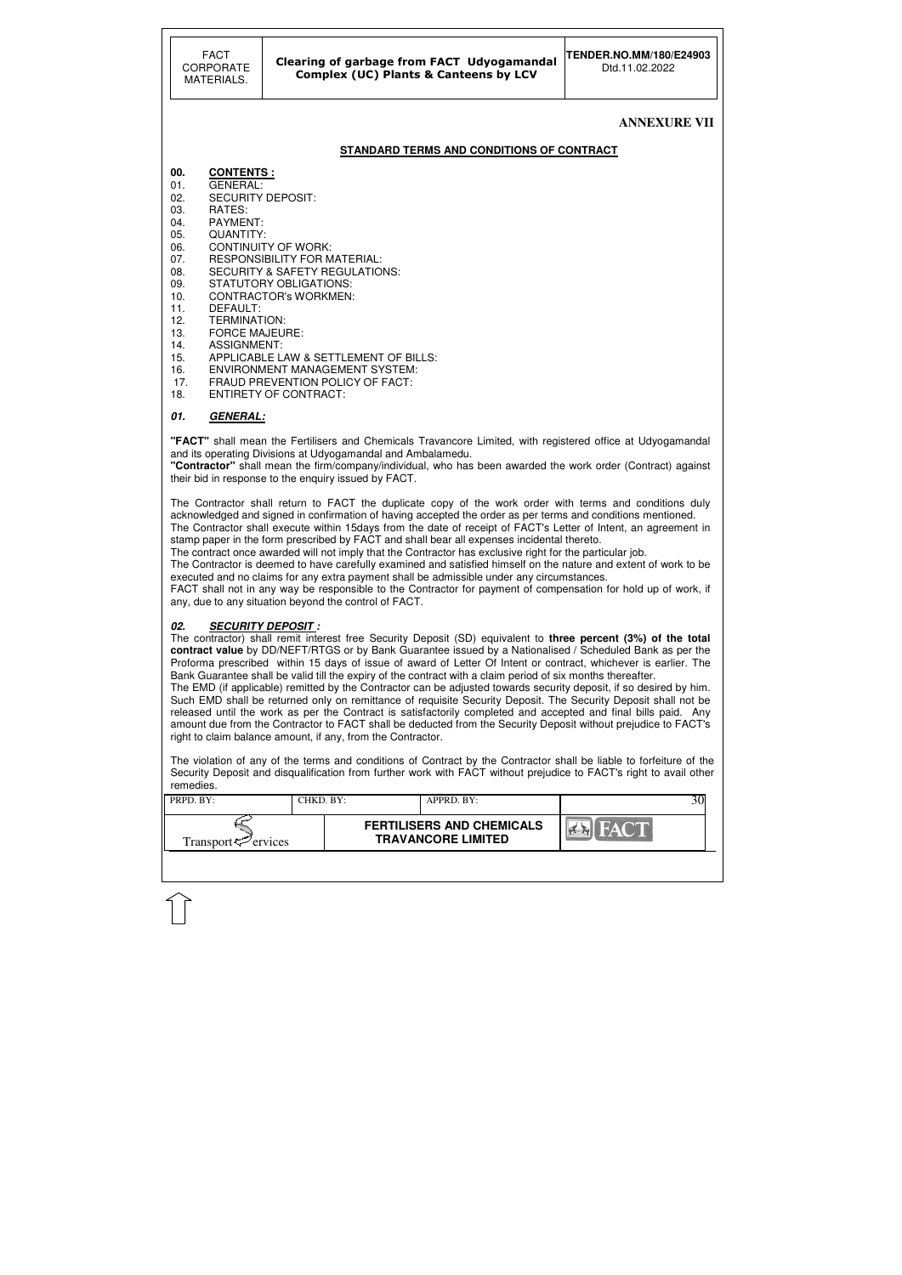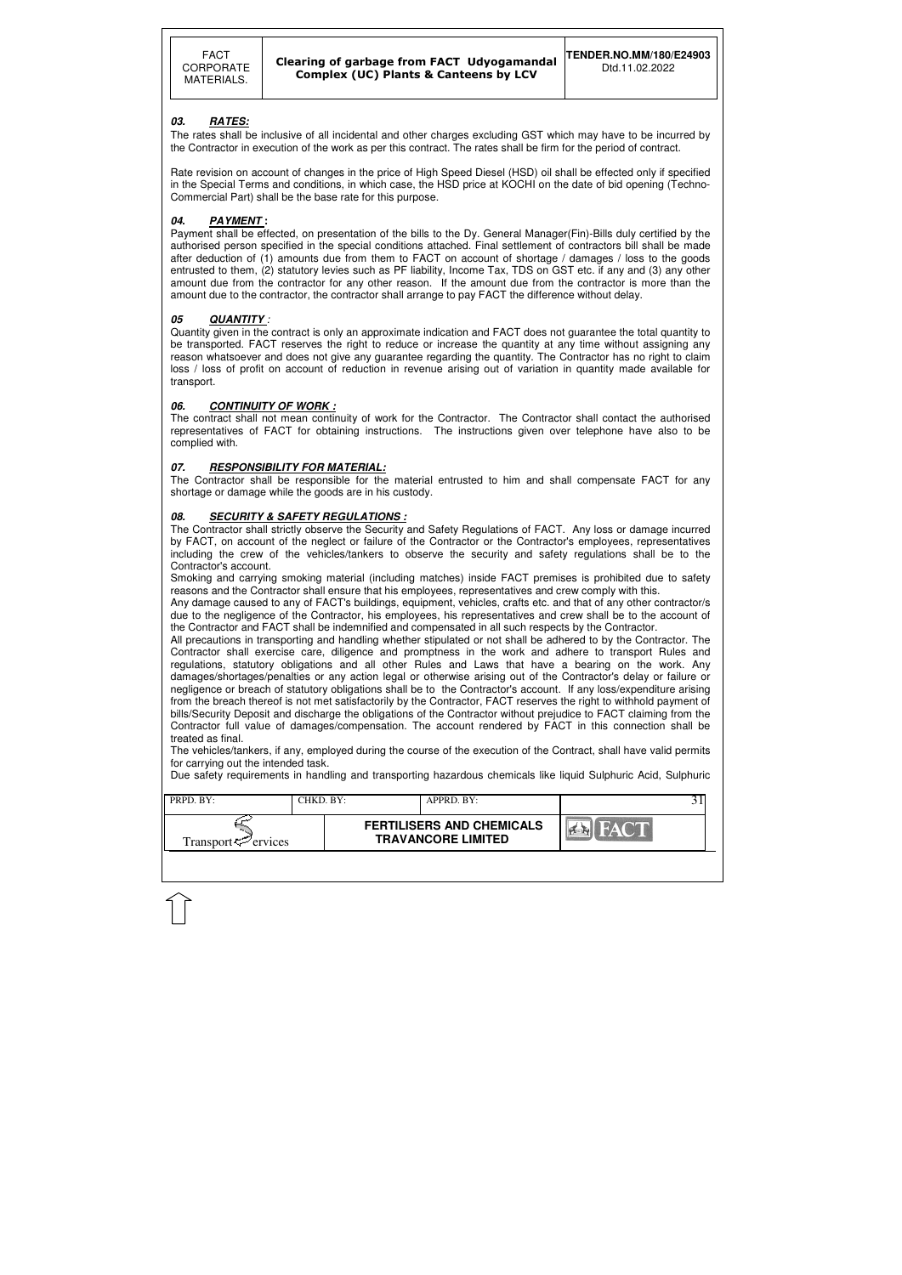| <b>FERTILISERS AND CHEMICALS</b>                            |  |
|-------------------------------------------------------------|--|
| <b>TRAVANCORE LIMITED</b><br>Transport <sup>7</sup> ervices |  |

### **03. RATES:**

The rates shall be inclusive of all incidental and other charges excluding GST which may have to be incurred by the Contractor in execution of the work as per this contract. The rates shall be firm for the period of contract.

Rate revision on account of changes in the price of High Speed Diesel (HSD) oil shall be effected only if specified in the Special Terms and conditions, in which case, the HSD price at KOCHI on the date of bid opening (Techno-Commercial Part) shall be the base rate for this purpose.

#### **04. PAYMENT :**

Payment shall be effected, on presentation of the bills to the Dy. General Manager(Fin)-Bills duly certified by the authorised person specified in the special conditions attached. Final settlement of contractors bill shall be made after deduction of (1) amounts due from them to FACT on account of shortage / damages / loss to the goods entrusted to them, (2) statutory levies such as PF liability, Income Tax, TDS on GST etc. if any and (3) any other amount due from the contractor for any other reason. If the amount due from the contractor is more than the amount due to the contractor, the contractor shall arrange to pay FACT the difference without delay.

#### **05 QUANTITY** :

Quantity given in the contract is only an approximate indication and FACT does not guarantee the total quantity to be transported. FACT reserves the right to reduce or increase the quantity at any time without assigning any reason whatsoever and does not give any guarantee regarding the quantity. The Contractor has no right to claim loss / loss of profit on account of reduction in revenue arising out of variation in quantity made available for transport.

#### **06.** CONTINUITY OF WORK :

The contract shall not mean continuity of work for the Contractor. The Contractor shall contact the authorised representatives of FACT for obtaining instructions. The instructions given over telephone have also to be complied with.

#### **07. RESPONSIBILITY FOR MATERIAL:**

The Contractor shall be responsible for the material entrusted to him and shall compensate FACT for any shortage or damage while the goods are in his custody.

### **08. SECURITY & SAFETY REGULATIONS :**

The Contractor shall strictly observe the Security and Safety Regulations of FACT. Any loss or damage incurred by FACT, on account of the neglect or failure of the Contractor or the Contractor's employees, representatives including the crew of the vehicles/tankers to observe the security and safety regulations shall be to the Contractor's account.

Smoking and carrying smoking material (including matches) inside FACT premises is prohibited due to safety reasons and the Contractor shall ensure that his employees, representatives and crew comply with this.

Any damage caused to any of FACT's buildings, equipment, vehicles, crafts etc. and that of any other contractor/s due to the negligence of the Contractor, his employees, his representatives and crew shall be to the account of the Contractor and FACT shall be indemnified and compensated in all such respects by the Contractor.

All precautions in transporting and handling whether stipulated or not shall be adhered to by the Contractor. The Contractor shall exercise care, diligence and promptness in the work and adhere to transport Rules and regulations, statutory obligations and all other Rules and Laws that have a bearing on the work. Any damages/shortages/penalties or any action legal or otherwise arising out of the Contractor's delay or failure or negligence or breach of statutory obligations shall be to the Contractor's account. If any loss/expenditure arising from the breach thereof is not met satisfactorily by the Contractor, FACT reserves the right to withhold payment of bills/Security Deposit and discharge the obligations of the Contractor without prejudice to FACT claiming from the Contractor full value of damages/compensation. The account rendered by FACT in this connection shall be treated as final.

The vehicles/tankers, if any, employed during the course of the execution of the Contract, shall have valid permits for carrying out the intended task.

Due safety requirements in handling and transporting hazardous chemicals like liquid Sulphuric Acid, Sulphuric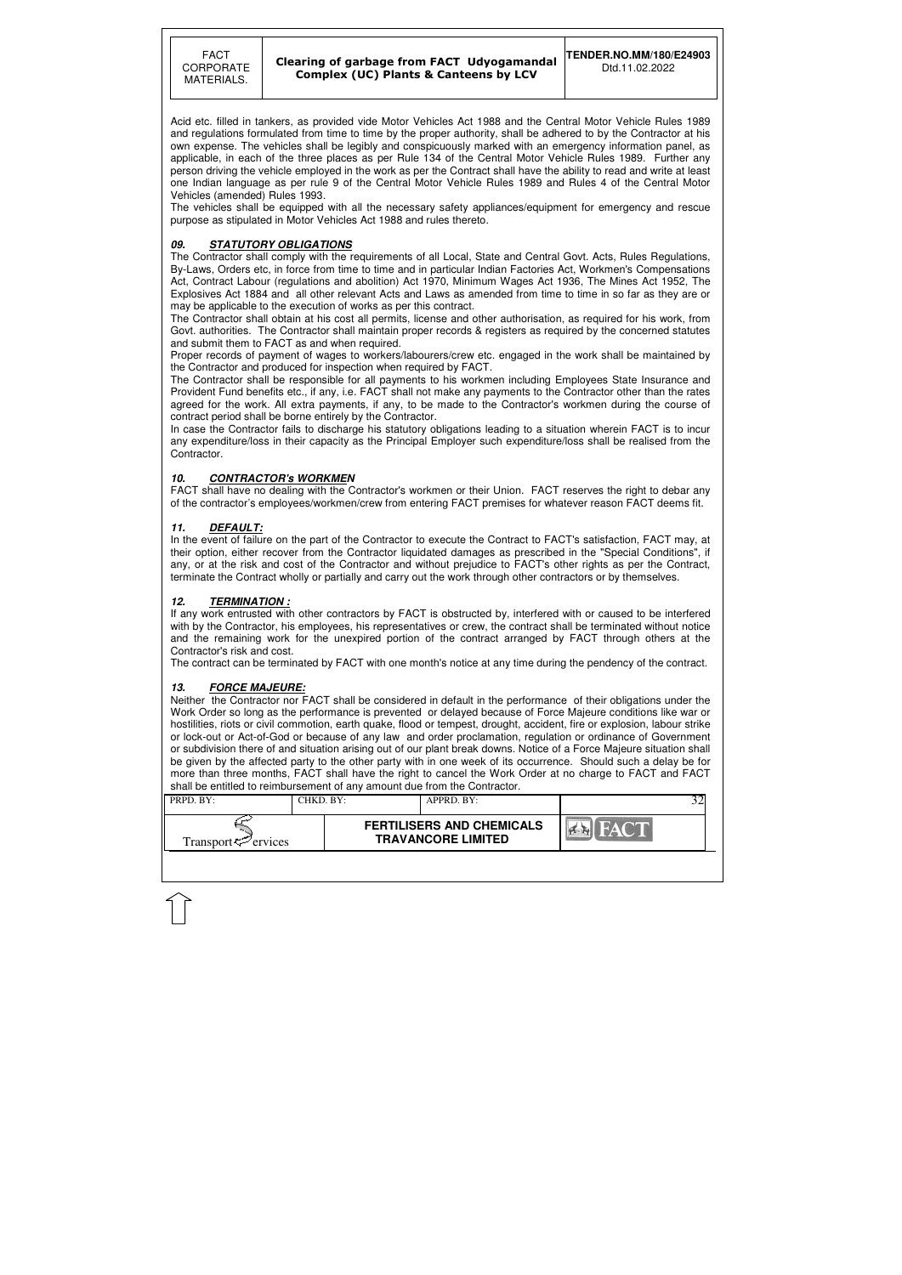

#### Clearing of garbage from FACT Udyogamandal Complex (UC) Plants & Canteens by LCV

| $PRPD$ . $BY:$              | ™HKD. BY: | $APPRD$ . $BY:$                                               |  |
|-----------------------------|-----------|---------------------------------------------------------------|--|
| Transport $\approx$ ervices |           | <b>FERTILISERS AND CHEMICALS</b><br><b>TRAVANCORE LIMITED</b> |  |

Acid etc. filled in tankers, as provided vide Motor Vehicles Act 1988 and the Central Motor Vehicle Rules 1989 and regulations formulated from time to time by the proper authority, shall be adhered to by the Contractor at his own expense. The vehicles shall be legibly and conspicuously marked with an emergency information panel, as applicable, in each of the three places as per Rule 134 of the Central Motor Vehicle Rules 1989. Further any person driving the vehicle employed in the work as per the Contract shall have the ability to read and write at least one Indian language as per rule 9 of the Central Motor Vehicle Rules 1989 and Rules 4 of the Central Motor Vehicles (amended) Rules 1993.

The vehicles shall be equipped with all the necessary safety appliances/equipment for emergency and rescue purpose as stipulated in Motor Vehicles Act 1988 and rules thereto.

#### **09. STATUTORY OBLIGATIONS**

The Contractor shall comply with the requirements of all Local, State and Central Govt. Acts, Rules Regulations, By-Laws, Orders etc, in force from time to time and in particular Indian Factories Act, Workmen's Compensations Act, Contract Labour (regulations and abolition) Act 1970, Minimum Wages Act 1936, The Mines Act 1952, The Explosives Act 1884 and all other relevant Acts and Laws as amended from time to time in so far as they are or may be applicable to the execution of works as per this contract.

In the event of failure on the part of the Contractor to execute the Contract to FACT's satisfaction. FACT may, at their option, either recover from the Contractor liquidated damages as prescribed in the "Special Conditions", if any, or at the risk and cost of the Contractor and without prejudice to FACT's other rights as per the Contract, terminate the Contract wholly or partially and carry out the work through other contractors or by themselves.

The Contractor shall obtain at his cost all permits, license and other authorisation, as required for his work, from Govt. authorities. The Contractor shall maintain proper records & registers as required by the concerned statutes and submit them to FACT as and when required.

Proper records of payment of wages to workers/labourers/crew etc. engaged in the work shall be maintained by the Contractor and produced for inspection when required by FACT.

The Contractor shall be responsible for all payments to his workmen including Employees State Insurance and Provident Fund benefits etc., if any, i.e. FACT shall not make any payments to the Contractor other than the rates agreed for the work. All extra payments, if any, to be made to the Contractor's workmen during the course of contract period shall be borne entirely by the Contractor.

In case the Contractor fails to discharge his statutory obligations leading to a situation wherein FACT is to incur any expenditure/loss in their capacity as the Principal Employer such expenditure/loss shall be realised from the Contractor.

#### **10. CONTRACTOR's WORKMEN**

FACT shall have no dealing with the Contractor's workmen or their Union. FACT reserves the right to debar any of the contractor's employees/workmen/crew from entering FACT premises for whatever reason FACT deems fit.

#### **11. DEFAULT:**

#### **12. TERMINATION :**

If any work entrusted with other contractors by FACT is obstructed by, interfered with or caused to be interfered with by the Contractor, his employees, his representatives or crew, the contract shall be terminated without notice and the remaining work for the unexpired portion of the contract arranged by FACT through others at the Contractor's risk and cost.

The contract can be terminated by FACT with one month's notice at any time during the pendency of the contract.

#### **13. FORCE MAJEURE:**

Neither the Contractor nor FACT shall be considered in default in the performance of their obligations under the Work Order so long as the performance is prevented or delayed because of Force Majeure conditions like war or hostilities, riots or civil commotion, earth quake, flood or tempest, drought, accident, fire or explosion, labour strike or lock-out or Act-of-God or because of any law and order proclamation, regulation or ordinance of Government or subdivision there of and situation arising out of our plant break downs. Notice of a Force Majeure situation shall be given by the affected party to the other party with in one week of its occurrence. Should such a delay be for more than three months, FACT shall have the right to cancel the Work Order at no charge to FACT and FACT shall be entitled to reimbursement of any amount due from the Contractor.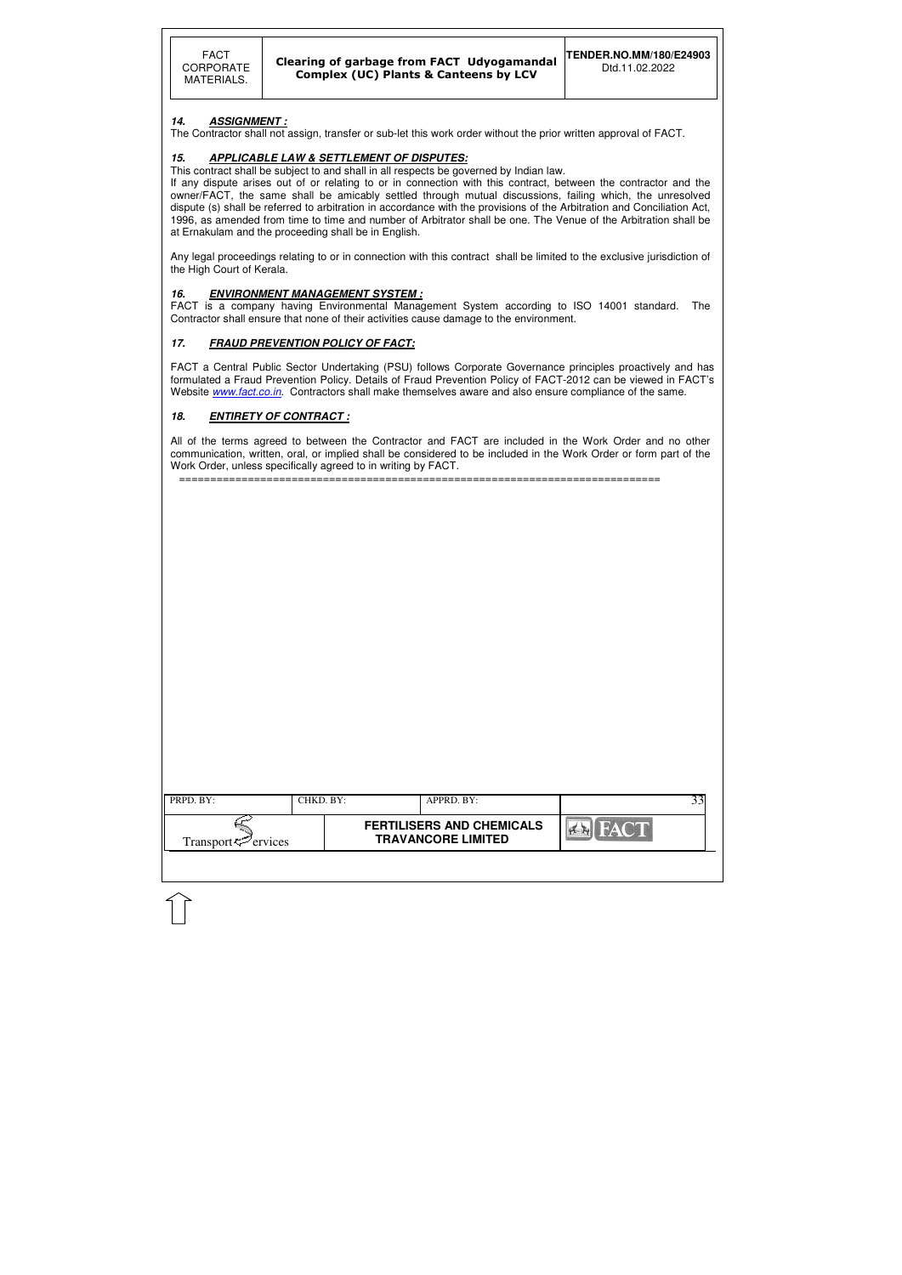| PRPD. BY:                      | CHKD. BY: | APPRD. BY:                                                    |                | 33 |
|--------------------------------|-----------|---------------------------------------------------------------|----------------|----|
| Transport <sup>5</sup> ervices |           | <b>FERTILISERS AND CHEMICALS</b><br><b>TRAVANCORE LIMITED</b> | <b>EX FACT</b> |    |
|                                |           |                                                               |                |    |

#### **14. ASSIGNMENT :**

The Contractor shall not assign, transfer or sub-let this work order without the prior written approval of FACT.

### **15. APPLICABLE LAW & SETTLEMENT OF DISPUTES:**

This contract shall be subject to and shall in all respects be governed by Indian law.

If any dispute arises out of or relating to or in connection with this contract, between the contractor and the owner/FACT, the same shall be amicably settled through mutual discussions, failing which, the unresolved dispute (s) shall be referred to arbitration in accordance with the provisions of the Arbitration and Conciliation Act, 1996, as amended from time to time and number of Arbitrator shall be one. The Venue of the Arbitration shall be at Ernakulam and the proceeding shall be in English.

FACT a Central Public Sector Undertaking (PSU) follows Corporate Governance principles proactively and has formulated a Fraud Prevention Policy. Details of Fraud Prevention Policy of FACT-2012 can be viewed in FACT's Website www.fact.co.in. Contractors shall make themselves aware and also ensure compliance of the same.

Any legal proceedings relating to or in connection with this contract shall be limited to the exclusive jurisdiction of the High Court of Kerala.

#### **16. ENVIRONMENT MANAGEMENT SYSTEM :**

FACT is a company having Environmental Management System according to ISO 14001 standard. The Contractor shall ensure that none of their activities cause damage to the environment.

#### **17. FRAUD PREVENTION POLICY OF FACT:**

#### **18. ENTIRETY OF CONTRACT :**

All of the terms agreed to between the Contractor and FACT are included in the Work Order and no other communication, written, oral, or implied shall be considered to be included in the Work Order or form part of the Work Order, unless specifically agreed to in writing by FACT.

=============================================================================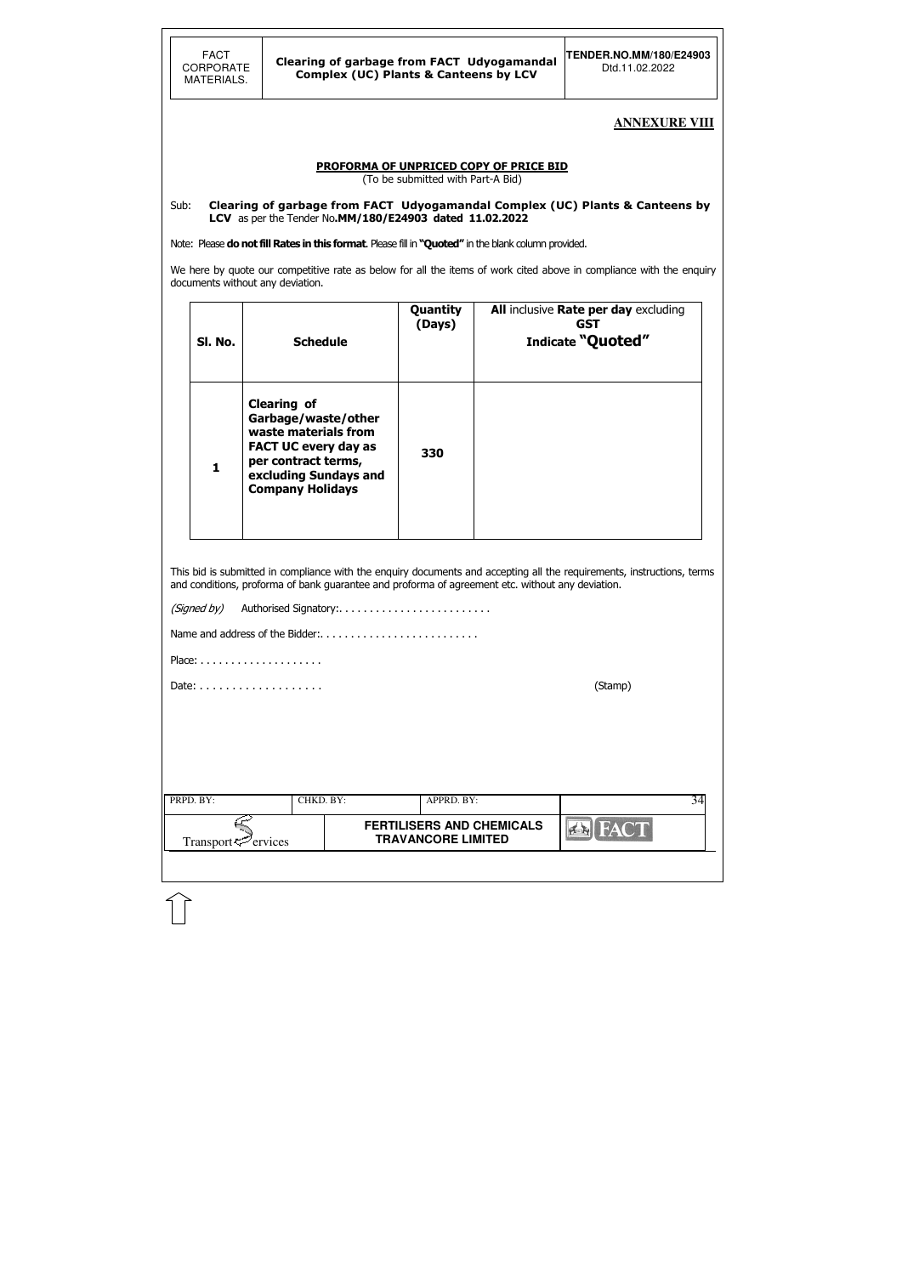### **ANNEXURE VIII**

#### PROFORMA OF UNPRICED COPY OF PRICE BID

(To be submitted with Part-A Bid)

We here by quote our competitive rate as below for all the items of work cited above in compliance with the enquiry documents without any deviation.

#### Sub: Clearing of garbage from FACT Udyogamandal Complex (UC) Plants & Canteens by LCVas per the Tender No.MM/180/E24903 dated 11.02.2022

Note: Please do not fill Rates in this format. Please fill in "Quoted" in the blank column provided.

| (Signed by)                    |           | Authorised Signatory:           |                                  |             |    |
|--------------------------------|-----------|---------------------------------|----------------------------------|-------------|----|
|                                |           | Name and address of the Bidder: |                                  |             |    |
|                                |           |                                 |                                  |             |    |
|                                |           | (Stamp)                         |                                  |             |    |
|                                |           |                                 |                                  |             |    |
|                                |           |                                 |                                  |             |    |
|                                |           |                                 |                                  |             |    |
| PRPD. BY:                      | CHKD. BY: |                                 | APPRD. BY:                       |             | 34 |
|                                |           |                                 | <b>FERTILISERS AND CHEMICALS</b> | <b>FACT</b> |    |
| Transport <sup>r</sup> ervices |           |                                 | <b>TRAVANCORE LIMITED</b>        |             |    |
|                                |           |                                 |                                  |             |    |

| SI. No.      | <b>Schedule</b>                                                                                                                                                             | Quantity<br>(Days) | All inclusive Rate per day excluding<br>GST<br>Indicate "Quoted" |
|--------------|-----------------------------------------------------------------------------------------------------------------------------------------------------------------------------|--------------------|------------------------------------------------------------------|
| $\mathbf{1}$ | <b>Clearing of</b><br>Garbage/waste/other<br>waste materials from<br><b>FACT UC every day as</b><br>per contract terms,<br>excluding Sundays and<br><b>Company Holidays</b> | 330                |                                                                  |

This bid is submitted in compliance with the enquiry documents and accepting all the requirements, instructions, terms and conditions, proforma of bank guarantee and proforma of agreement etc. without any deviation.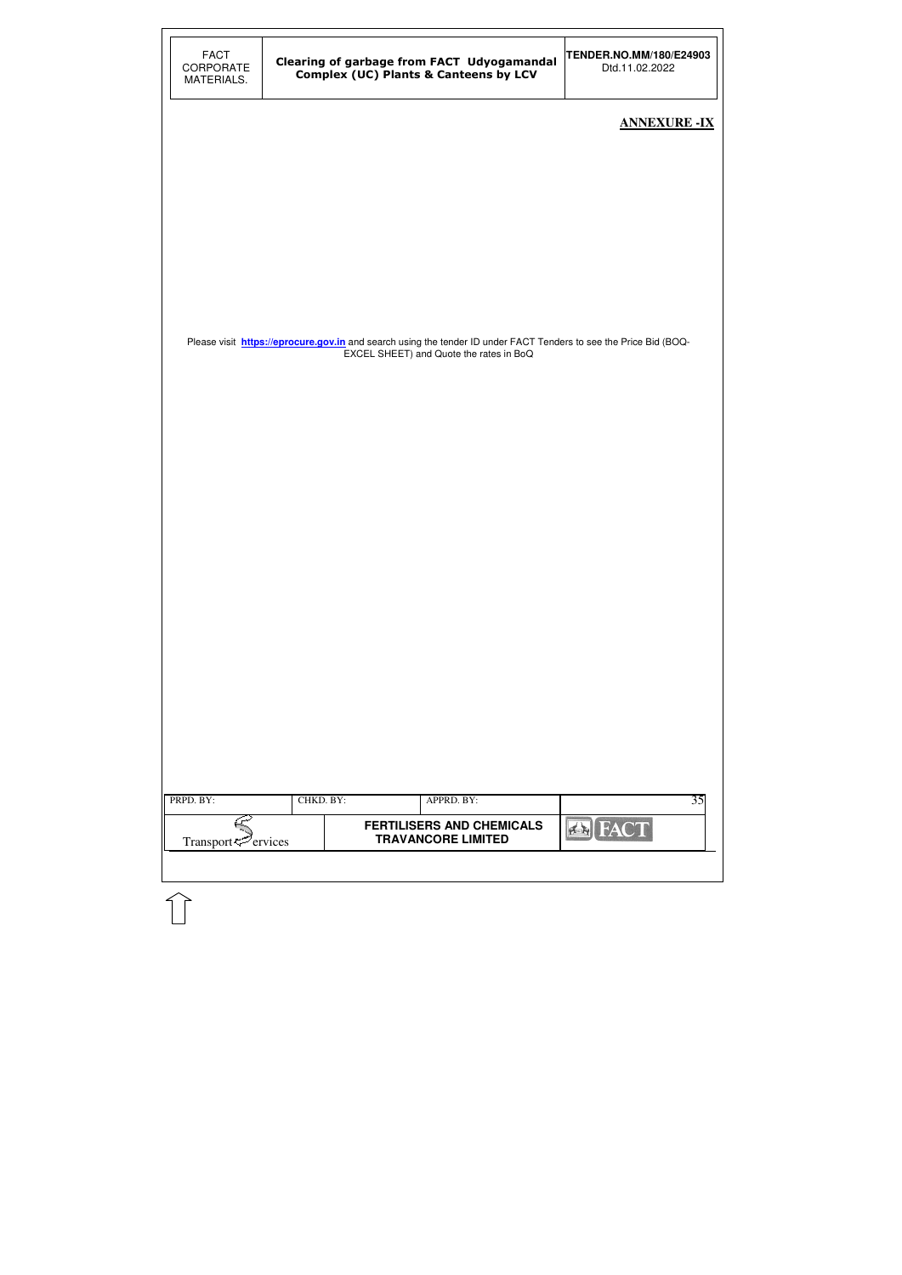| <b>FACT</b><br>CORPORATE<br>MATERIALS. |           | Clearing of garbage from FACT Udyogamandal<br><b>Complex (UC) Plants &amp; Canteens by LCV</b>                    | TENDER.NO.MM/180/E24903<br>Dtd.11.02.2022 |
|----------------------------------------|-----------|-------------------------------------------------------------------------------------------------------------------|-------------------------------------------|
|                                        |           |                                                                                                                   | <b>ANNEXURE -IX</b>                       |
|                                        |           |                                                                                                                   |                                           |
|                                        |           |                                                                                                                   |                                           |
|                                        |           |                                                                                                                   |                                           |
|                                        |           | Please visit https://eprocure.gov.in and search using the tender ID under FACT Tenders to see the Price Bid (BOQ- |                                           |
|                                        |           | EXCEL SHEET) and Quote the rates in BoQ                                                                           |                                           |
|                                        |           |                                                                                                                   |                                           |
|                                        |           |                                                                                                                   |                                           |
|                                        |           |                                                                                                                   |                                           |
|                                        |           |                                                                                                                   |                                           |
|                                        |           |                                                                                                                   |                                           |
|                                        |           |                                                                                                                   |                                           |
|                                        |           |                                                                                                                   |                                           |
|                                        |           |                                                                                                                   |                                           |
| PRPD. BY:                              | CHKD. BY: | APPRD. BY:                                                                                                        | 35                                        |
| Transport <sup>5</sup> ervices         |           | <b>FERTILISERS AND CHEMICALS</b><br><b>TRAVANCORE LIMITED</b>                                                     | <b>EN FACT</b>                            |
|                                        |           |                                                                                                                   |                                           |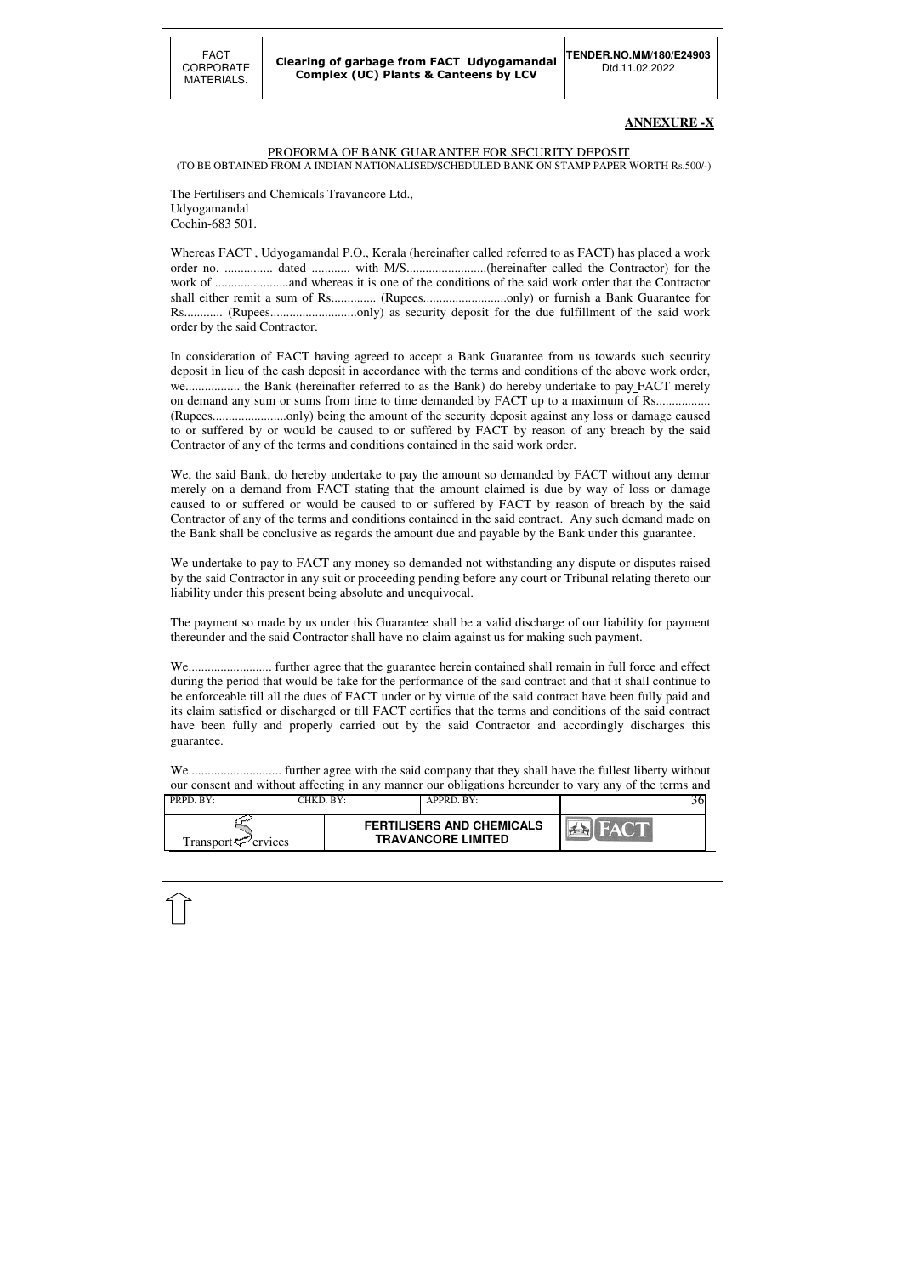| PRPD. BY:           | CHKD. BY: | $APPRD$ $BY:$                                                 |  |
|---------------------|-----------|---------------------------------------------------------------|--|
| Transport <∠ervices |           | <b>FERTILISERS AND CHEMICALS</b><br><b>TRAVANCORE LIMITED</b> |  |

### **ANNEXURE -X**

### PROFORMA OF BANK GUARANTEE FOR SECURITY DEPOSIT

(TO BE OBTAINED FROM A INDIAN NATIONALISED/SCHEDULED BANK ON STAMP PAPER WORTH Rs.500/-)

The Fertilisers and Chemicals Travancore Ltd., Udyogamandal Cochin-683 501.

Whereas FACT , Udyogamandal P.O., Kerala (hereinafter called referred to as FACT) has placed a work order no. ............... dated ............ with M/S.........................(hereinafter called the Contractor) for the work of .......................and whereas it is one of the conditions of the said work order that the Contractor shall either remit a sum of Rs.............. (Rupees..........................only) or furnish a Bank Guarantee for Rs............ (Rupees...........................only) as security deposit for the due fulfillment of the said work order by the said Contractor.

We, the said Bank, do hereby undertake to pay the amount so demanded by FACT without any demur merely on a demand from FACT stating that the amount claimed is due by way of loss or damage caused to or suffered or would be caused to or suffered by FACT by reason of breach by the said Contractor of any of the terms and conditions contained in the said contract. Any such demand made on the Bank shall be conclusive as regards the amount due and payable by the Bank under this guarantee.

In consideration of FACT having agreed to accept a Bank Guarantee from us towards such security deposit in lieu of the cash deposit in accordance with the terms and conditions of the above work order, we.......................... the Bank (hereinafter referred to as the Bank) do hereby undertake to pay FACT merely on demand any sum or sums from time to time demanded by FACT up to a maximum of Rs.................. (Rupees.......................only) being the amount of the security deposit against any loss or damage caused to or suffered by or would be caused to or suffered by FACT by reason of any breach by the said Contractor of any of the terms and conditions contained in the said work order.

We undertake to pay to FACT any money so demanded not withstanding any dispute or disputes raised by the said Contractor in any suit or proceeding pending before any court or Tribunal relating thereto our liability under this present being absolute and unequivocal.

The payment so made by us under this Guarantee shall be a valid discharge of our liability for payment thereunder and the said Contractor shall have no claim against us for making such payment.

We.......................... further agree that the guarantee herein contained shall remain in full force and effect during the period that would be take for the performance of the said contract and that it shall continue to be enforceable till all the dues of FACT under or by virtue of the said contract have been fully paid and its claim satisfied or discharged or till FACT certifies that the terms and conditions of the said contract have been fully and properly carried out by the said Contractor and accordingly discharges this guarantee.

We............................. further agree with the said company that they shall have the fullest liberty without our consent and without affecting in any manner our obligations hereunder to vary any of the terms and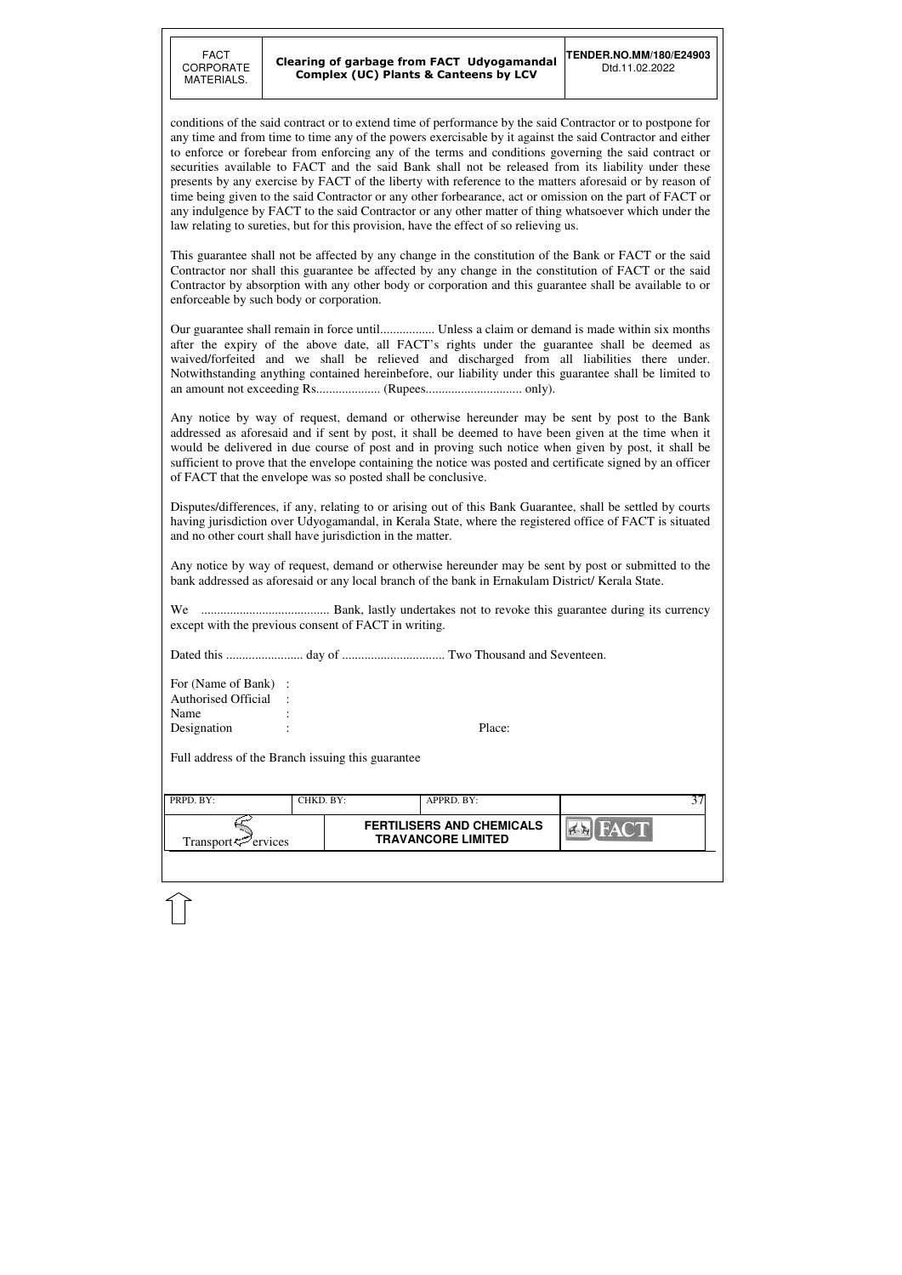| PRPD. BY:                   | CHKD. BY:- | APPRD. BY:                                                    |  |
|-----------------------------|------------|---------------------------------------------------------------|--|
| Transport $\approx$ ervices |            | <b>FERTILISERS AND CHEMICALS</b><br><b>TRAVANCORE LIMITED</b> |  |

conditions of the said contract or to extend time of performance by the said Contractor or to postpone for any time and from time to time any of the powers exercisable by it against the said Contractor and either to enforce or forebear from enforcing any of the terms and conditions governing the said contract or securities available to FACT and the said Bank shall not be released from its liability under these presents by any exercise by FACT of the liberty with reference to the matters aforesaid or by reason of time being given to the said Contractor or any other forbearance, act or omission on the part of FACT or any indulgence by FACT to the said Contractor or any other matter of thing whatsoever which under the law relating to sureties, but for this provision, have the effect of so relieving us.

This guarantee shall not be affected by any change in the constitution of the Bank or FACT or the said Contractor nor shall this guarantee be affected by any change in the constitution of FACT or the said Contractor by absorption with any other body or corporation and this guarantee shall be available to or enforceable by such body or corporation.

Our guarantee shall remain in force until................. Unless a claim or demand is made within six months after the expiry of the above date, all FACT's rights under the guarantee shall be deemed as waived/forfeited and we shall be relieved and discharged from all liabilities there under. Notwithstanding anything contained hereinbefore, our liability under this guarantee shall be limited to an amount not exceeding Rs.................... (Rupees.............................. only).

Any notice by way of request, demand or otherwise hereunder may be sent by post to the Bank addressed as aforesaid and if sent by post, it shall be deemed to have been given at the time when it would be delivered in due course of post and in proving such notice when given by post, it shall be sufficient to prove that the envelope containing the notice was posted and certificate signed by an officer of FACT that the envelope was so posted shall be conclusive.

Disputes/differences, if any, relating to or arising out of this Bank Guarantee, shall be settled by courts having jurisdiction over Udyogamandal, in Kerala State, where the registered office of FACT is situated and no other court shall have jurisdiction in the matter.

Any notice by way of request, demand or otherwise hereunder may be sent by post or submitted to the bank addressed as aforesaid or any local branch of the bank in Ernakulam District/ Kerala State.

We ........................................ Bank, lastly undertakes not to revoke this guarantee during its currency except with the previous consent of FACT in writing.

Dated this ........................ day of ................................ Two Thousand and Seventeen.

| For (Name of Bank) : |  |        |
|----------------------|--|--------|
| Authorised Official: |  |        |
| Name                 |  |        |
| Designation          |  | Place: |

Full address of the Branch issuing this guarantee